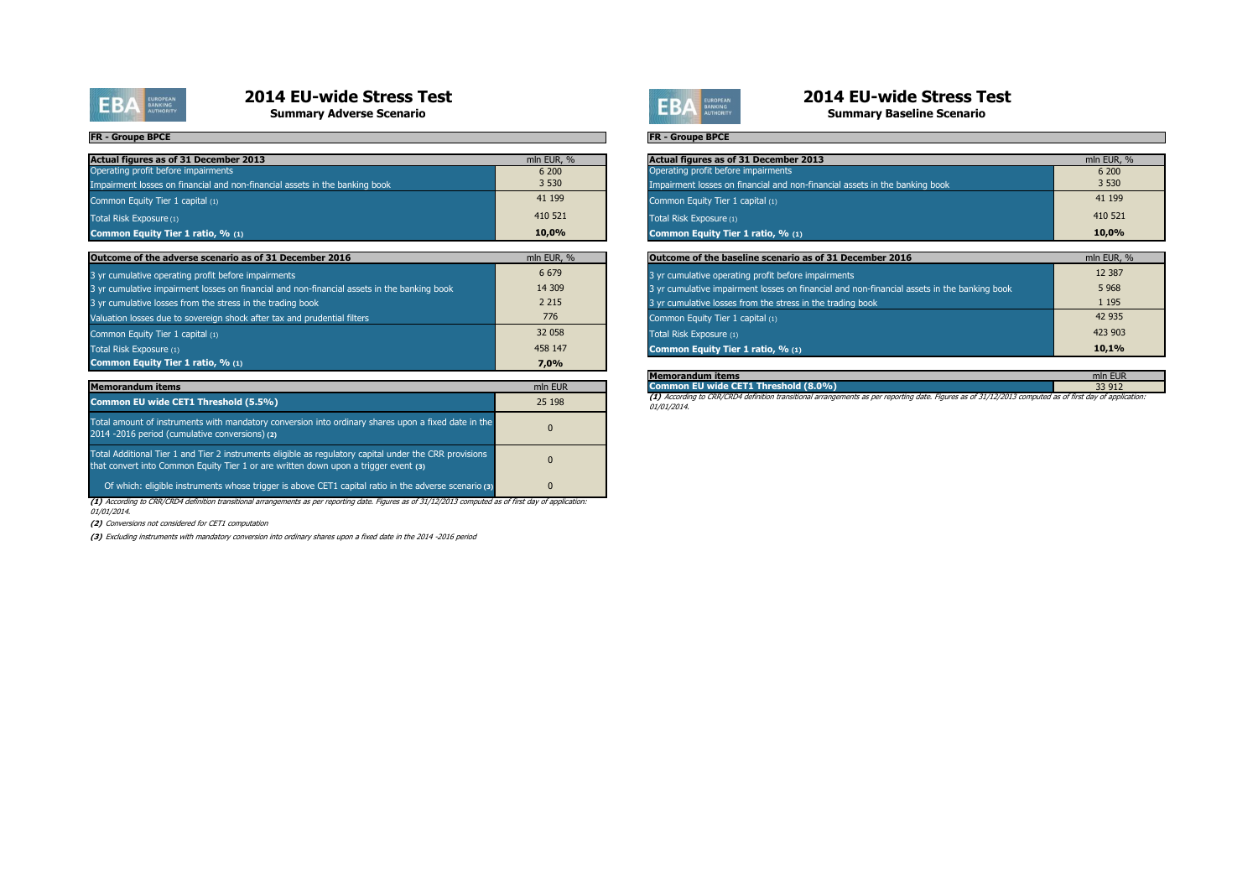

**Summary Adverse Scenario**

#### **FR - Groupe BPCE**

| Actual figures as of 31 December 2013                                       | mln EUR, % |
|-----------------------------------------------------------------------------|------------|
| Operating profit before impairments                                         | 6 200      |
| Impairment losses on financial and non-financial assets in the banking book | 3 5 3 0    |
| Common Equity Tier 1 capital (1)                                            | 41 199     |
| Total Risk Exposure (1)                                                     | 410 521    |
| Common Equity Tier 1 ratio, % (1)                                           | 10.0%      |

| Outcome of the adverse scenario as of 31 December 2016                                      | mln EUR, % |
|---------------------------------------------------------------------------------------------|------------|
| 3 yr cumulative operating profit before impairments                                         | 6 6 7 9    |
| 3 yr cumulative impairment losses on financial and non-financial assets in the banking book | 14 309     |
| 3 yr cumulative losses from the stress in the trading book                                  | 2 2 1 5    |
| Valuation losses due to sovereign shock after tax and prudential filters                    | 776        |
| Common Equity Tier 1 capital (1)                                                            | 32 058     |
| Total Risk Exposure (1)                                                                     | 458 147    |
| Common Equity Tier 1 ratio, % (1)                                                           | 7.0%       |

| <b>Memorandum items</b>                                                                                                                                                                       | mln EUR  |
|-----------------------------------------------------------------------------------------------------------------------------------------------------------------------------------------------|----------|
| Common EU wide CET1 Threshold (5.5%)                                                                                                                                                          | 25 198   |
| Total amount of instruments with mandatory conversion into ordinary shares upon a fixed date in the<br>2014 -2016 period (cumulative conversions) (2)                                         | $\Omega$ |
| Total Additional Tier 1 and Tier 2 instruments eligible as regulatory capital under the CRR provisions<br>that convert into Common Equity Tier 1 or are written down upon a trigger event (3) | $\Omega$ |
| Of which: eligible instruments whose trigger is above CET1 capital ratio in the adverse scenario (3)                                                                                          | $\Omega$ |

**(1)** According to CRR/CRD4 definition transitional arrangements as per reporting date. Figures as of 31/12/2013 computed as of first day of application: 01/01/2014.

**(2)** Conversions not considered for CET1 computation

**(3)** Excluding instruments with mandatory conversion into ordinary shares upon a fixed date in the 2014 -2016 period



# **2014 EU-wide Stress Test**

**Summary Baseline Scenario**

#### **FR - Groupe BPCE**

| mln EUR, % | Actual figures as of 31 December 2013                                       | mln EUR, % |
|------------|-----------------------------------------------------------------------------|------------|
| 6 200      | Operating profit before impairments                                         | 6 200      |
| 3 5 3 0    | Impairment losses on financial and non-financial assets in the banking book | 3 5 3 0    |
| 41 199     | Common Equity Tier 1 capital (1)                                            | 41 199     |
| 410 521    | Total Risk Exposure (1)                                                     | 410 521    |
| 10.0%      | Common Equity Tier 1 ratio, % (1)                                           | $10.0\%$   |
|            |                                                                             |            |

| cember 2016                              | mln EUR, % | Outcome of the baseline scenario as of 31 December 2016                                     | mln EUR, % |
|------------------------------------------|------------|---------------------------------------------------------------------------------------------|------------|
|                                          | 6 6 7 9    | 3 yr cumulative operating profit before impairments                                         | 12 3 8 7   |
| non-financial assets in the banking book | 14 309     | 3 yr cumulative impairment losses on financial and non-financial assets in the banking book | 5 9 6 8    |
| a book                                   | 2 2 1 5    | 3 yr cumulative losses from the stress in the trading book                                  | 1 1 9 5    |
| nd prudential filters                    | 776        | Common Equity Tier 1 capital (1)                                                            | 42 935     |
|                                          | 32 058     | Total Risk Exposure (1)                                                                     | 423 903    |
|                                          | 458 147    | Common Equity Tier 1 ratio, % (1)                                                           | 10.1%      |

| lMemorandum items                                                                                                                                       | mln EUR |
|---------------------------------------------------------------------------------------------------------------------------------------------------------|---------|
| Common EU wide CET1 Threshold (8.0%)                                                                                                                    | 33 912  |
| (1) Accordina to CRR/CRD4 definition transitional arrangements as per reporting date. Figures as of 31/12/2013 computed as of first day of application: |         |

01/01/2014.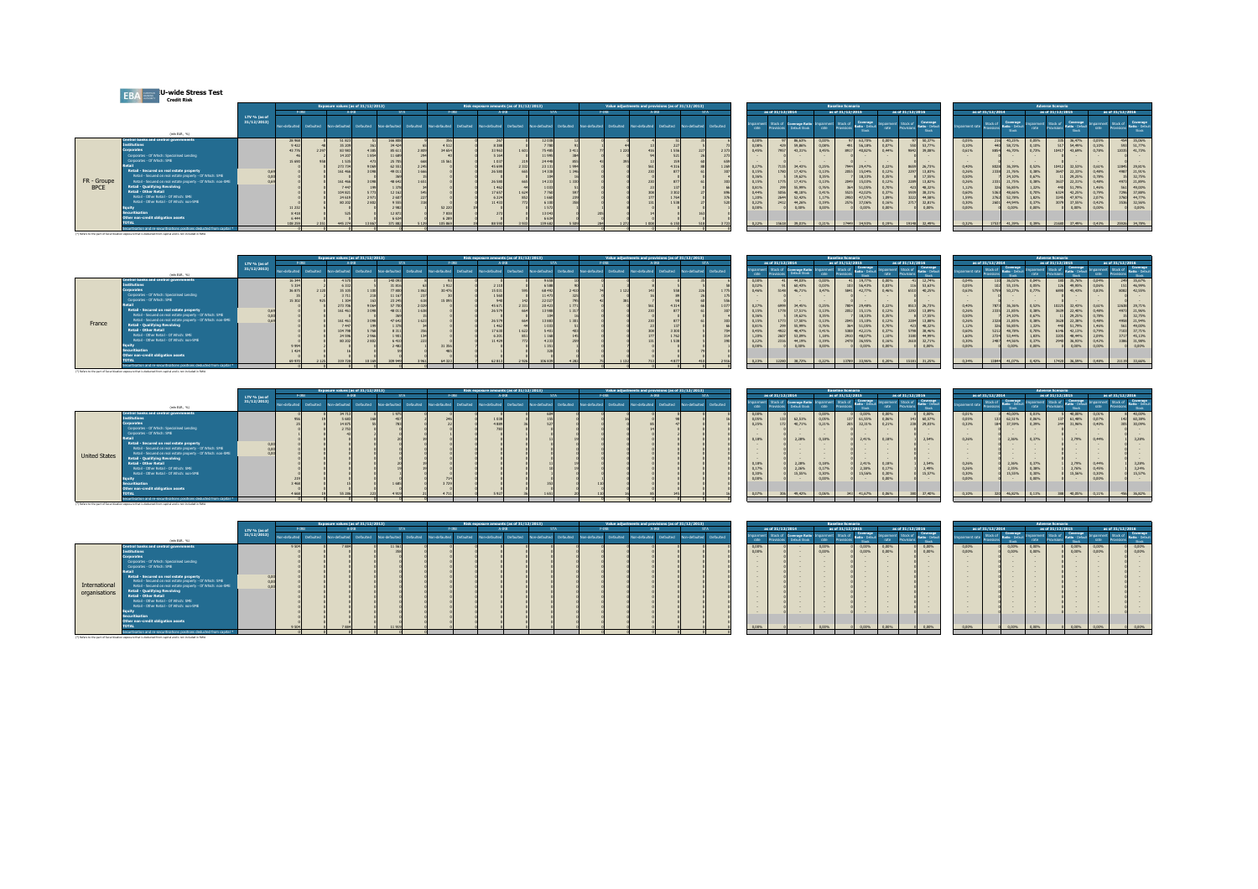| <b>EBA</b> | <b>U-wide Stress Test</b> |  |
|------------|---------------------------|--|
|            | <b>Credit Risk</b>        |  |

(\*) Refers to the part of Securitization exposure that is deducted from capital and is not included in RWA

(\*) Refers to the part of Securitization exposure that is deducted from capital and is not included in RWA

| Exposure values (as of 31/12/2013)                                                                         |                                                              | Risk exposure amounts (as of 31/12/2013)           | Value adjustments and provisions (as of 31/12/2013)                        | <b>Baseline Scenario</b>                                                                                                               | <b>Adverse Scenario</b>                                                                                           |
|------------------------------------------------------------------------------------------------------------|--------------------------------------------------------------|----------------------------------------------------|----------------------------------------------------------------------------|----------------------------------------------------------------------------------------------------------------------------------------|-------------------------------------------------------------------------------------------------------------------|
| F-TRR.                                                                                                     | <b>STA</b>                                                   | A-TRR                                              | <b>FIRR</b><br>4.19R                                                       | as of 31/12/2015<br>as of 31/12/2016<br>as of 31/12/2014                                                                               | as of 31/12/2016<br>as of 31/12/2014<br>as of 31/12/2015                                                          |
| LTV % (as of<br>31/12/2013<br>Non-defaulted Defaulted<br>hotlinghoon<br>Defaulted                          | Non-defaulted<br><b>Defaulted</b><br>Non-defaulted Defaulted | Non-defaulted Defaulted<br>Non-defaulted Defaulted | Non-defaulted<br>Defaulted Non-defaulted Defaulted Non-defaulted Defaulted | Coverage Impairment Stock of Coverage<br>Coverage Ratio<br>Stock of<br>loairmen<br>Default Stock<br>ate<br>rate<br>rate<br>$rac{1}{2}$ | Stock of Coverage<br>Stock of Coverage<br>E Stock of Coverag<br>Impairme<br>. Impairment<br>noaiment rate<br>rate |
| (min EIR, 26)                                                                                              |                                                              |                                                    |                                                                            |                                                                                                                                        |                                                                                                                   |
| Central banks and central governments<br>28 9 68<br><b>Institutions</b>                                    | 166 80                                                       | 12038                                              |                                                                            | 63,70% 0,00%<br>97 50,37%<br>0.00%<br>0,00%<br>97 86.63%                                                                               | 0,05%<br>0.05%<br>335 36,47% 0,05%<br>216 40,25%<br>454 35,069                                                    |
| 43.776                                                                                                     | 4 5 1 2                                                      |                                                    |                                                                            | 0,08%<br>0,08%<br>56,18%<br>0.07%<br>550 53.77%<br>59,86%<br>491                                                                       | 593 51,779<br>0,10%<br>0,61%<br>440 58,72%<br>517 54,49% 0,10%<br>0,10%                                           |
| <b>Corporates</b><br>2 2 9 7<br>83 983<br>Corporates - Of Which: Specialised Lending                       | 85 61<br>34 654                                              | 33 963<br><b>75 485</b><br>1601<br>11995           |                                                                            | 0.45%<br>0.45%<br>7957<br>8917<br>40,82%<br>43.31%<br>0.44%<br>9842<br><b>Contract Contract</b>                                        | 12035 41,739<br>0.78%<br>0.73%<br>46,70%<br>10417 43,69%                                                          |
| Corporates - Of Which: SME                                                                                 | 15.561                                                       |                                                    |                                                                            |                                                                                                                                        |                                                                                                                   |
| 273 73                                                                                                     | 62.55                                                        | 23 131                                             |                                                                            | 0,25%<br>0,27%<br>34,43%<br>29,47%<br>26,73%<br>7944<br>0,22%<br>7135<br>8659                                                          | $\sim$<br>0,40%<br>36,39%<br>10412 32,53% 0,61%<br>0,52%<br>12845 29.819                                          |
| Retail - Secured on real estate property                                                                   | 49.0                                                         |                                                    |                                                                            | 0,13%<br>0,15%<br>2055<br>15,04%<br>0.12%<br>2297 13,83%<br>1780<br>17.42%                                                             | 0,26%<br>3647 22,33% 0,48%<br>2338 21,76%<br>0.38%<br>4987 21.919                                                 |
| Retail - Secured on real estate property - Of Which: SME                                                   |                                                              |                                                    |                                                                            | 0.36%<br>0.35%<br>18.33%<br>17,55%<br>0.35%<br>19.62%                                                                                  | 0,50%<br>32,759<br>0,78%<br>24,10%<br>0.67%<br>11 29,25%                                                          |
| FR - Groupe<br>Retail - Secured on real estate property - Of Which: non-SME<br>161 466                     | 48 64                                                        |                                                    |                                                                            | 0,159<br>0,13%<br>15,03%<br>13,82%<br>1775<br>17,41%<br>2049<br>0.12%                                                                  | 4973 21.899<br>0,26%<br>31 21,75%<br>0,48%<br>3637 22,31%<br>0,38%                                                |
| Retail - Qualifying Revolving<br><b>BPCE</b>                                                               |                                                              |                                                    |                                                                            | 0,76%<br>0,81%<br>51.05%<br>0.70%<br>423 48.32%<br>55,99%                                                                              | 1,12%<br>561 49,009<br>1,32%<br>1,46%<br>56,85%<br>440 51,79%                                                     |
| <b>Retail - Other Retail</b><br>10482                                                                      | 12.167                                                       | 1624                                               |                                                                            | 0.44%<br>0.41%<br>42,02%<br>0.37%<br>5056<br>48.18%<br>5525<br>38.31%                                                                  | 0,60%<br>6324 42,25%<br>0.79%<br>7296 37.889<br>48,66%<br>0.70%                                                   |
| Retail - Other Retail - Of Which: SME<br>24 61                                                             |                                                              |                                                    |                                                                            | 1,20%<br>1,17%<br>47,57%<br>1.09%<br>44,58%<br>52.42%<br>3222                                                                          | 3760 44,779<br>1,59%<br>2,07%<br>1,82%<br>3245 47,97%<br>2762 52,78%                                              |
| Retail - Other Retail - Of Which: non-SME                                                                  |                                                              |                                                    |                                                                            | 2412<br>0,19%<br>2576<br>37,06%<br>0,22%<br>44,26%<br>0.16%<br>2717 32,81%                                                             | 0,30%<br>0,42%<br>0,37%<br>3079 37,55%<br>3536 32.569<br>44,94%                                                   |
| Securitisation                                                                                             | 52 220<br>7.838<br>12.87                                     |                                                    |                                                                            | 0.00%<br>0.00%<br>0.00%<br>0.00%<br>0.00%<br>0.00%                                                                                     | 0.00%<br>0.00%<br>0.00%<br>0.00%<br>0.00%<br>0.00%                                                                |
| Other non-credit obligation assets                                                                         | 6 289                                                        | 13043                                              |                                                                            |                                                                                                                                        |                                                                                                                   |
| <b>TOTAL</b>                                                                                               | 105.96<br>271.99                                             |                                                    |                                                                            | 39.01%<br>0.21%<br>0.22%<br>17449<br>34,93%<br>0.19%<br>19148 32,49%                                                                   | 0.32%<br>34,78%<br>0,43%<br>41,39%<br>0.39%<br>37,49%<br>25926<br>17                                              |
| eculitisation and re-securitisations positions deducted from capital *                                     |                                                              |                                                    |                                                                            |                                                                                                                                        |                                                                                                                   |
| (*) Refers to the part of Securitization exposure that is deducted from capital and is not included in RWA |                                                              |                                                    |                                                                            |                                                                                                                                        |                                                                                                                   |

|                        |                                 |                   | <b>Baseline Scenario</b>       |                                            |                  |                               |                                     |                |                        |                                             |                           | <b>Adverse Scenario</b> |                                             |                           |                        |                                            |
|------------------------|---------------------------------|-------------------|--------------------------------|--------------------------------------------|------------------|-------------------------------|-------------------------------------|----------------|------------------------|---------------------------------------------|---------------------------|-------------------------|---------------------------------------------|---------------------------|------------------------|--------------------------------------------|
| as of 31/12/2014       |                                 |                   | as of 31/12/2015               |                                            |                  | as of 31/12/2016              |                                     |                | as of 31/12/2014       |                                             |                           | as of 31/12/2015        |                                             |                           | as of 31/12/2016       |                                            |
| Stock of<br>Provisions | Coverage Ratio<br>Dalaub Street | noairment<br>rate | Stock of<br><b>Penulisinns</b> | Coverage<br><b>Danie</b> - Dalash<br>Stock | moairmen<br>rate | Stock of<br><b>Penuicinns</b> | Coverage<br>Ratio - Defaul<br>Stock | moairment rate | Stock of<br>Provisions | Coverage<br><b>Datin</b> - Default<br>Stark | <b>Impairment</b><br>rate | Stock of<br>Provisions  | Coverage<br><b>Ratio - Difault</b><br>Stock | <b>Impairment</b><br>rate | Stock of<br>Provisions | Courrane<br><b>Batin</b> - Defaul<br>Stock |
| 97                     | 86.63%                          | 0.00%             | 97                             | 63.70%                                     | 0.00%            | 97                            | 50.37%                              | 0.05%          | 216                    | 40.25%                                      | 0.05%                     | 335                     | 36,47%                                      | 0.05%                     | 454                    | 35.06%                                     |
| 429                    | 59.86%                          | 0.08%             | 491                            | 56.18%                                     | 0.07%            | 550                           | 53.77%                              | 0.10%          | 440                    | 58.72%                                      | 0.10%                     | 517                     | 54,49%                                      | 0.10%                     | 593                    | 51.77%                                     |
| 7457                   | 43.31%                          | 0.45%             | 8917                           | 40.82%                                     | 0.44%            | 9847                          | 39.08%                              | 0.61%          | 8854                   | 46.70%                                      | 0.73%                     | 10417                   | 43,69%                                      | 0.78%                     | 12035                  | 41.73%                                     |
|                        |                                 |                   |                                |                                            |                  |                               |                                     |                |                        |                                             |                           |                         |                                             |                           |                        |                                            |
|                        |                                 |                   |                                |                                            |                  |                               |                                     |                |                        |                                             |                           |                         |                                             |                           |                        |                                            |
| 7135                   | 34.43%                          | 0.25%             | 7944                           | 29.47%                                     | 0.22%            | 8659                          | 26.73%                              | 0.40%          | 8028                   | 36.39%                                      | 0.52%                     | 10412                   | 32.53%                                      | 0.61%                     | 12845                  | 29.81%                                     |
| 1780                   | 17.42%                          | 0.13%             | 2055                           | 15.04%                                     | 0.12%            | 2297                          | 13.83%                              | 0.26%          | 2338                   | 21.76%                                      | 0.38%                     | 3647                    | 22.33%                                      | 0.48%                     | 4987                   | 21.91%                                     |
|                        | 19.62%                          | 0.35%             |                                | 18.33%                                     | 0.35%            |                               | 17.55%                              | 0.50%          |                        | 24.10%                                      | 0.67%                     |                         | 29.25%                                      | 0.78%                     | 15                     | 32.75%                                     |
| 1775                   | 17.41%                          | 0.13%             | 2049                           | 15.03%                                     | 0.12%            | 2289                          | 13.82%                              | 0.26%          | 2331                   | 21.75%                                      | 0.38%                     | 3637                    | 22.31%                                      | 0.48%                     | 4977                   | 21.89%                                     |
| 299                    | 55.99%                          | 0.76%             | 364                            | 51.05%                                     | 0.70%            | 423                           | 48.32%                              | 1.12%          | 326                    | 56.85%                                      | 1.32%                     | 440                     | 51.79%                                      | 1.46%                     | 561                    | 49.00%                                     |
| 5056                   | 48.18%                          | 0.41%             | 5525                           | 42.02%                                     | 0.37%            | 5939                          | 38.31%                              | 0.60%          | 5363                   | 48,66%                                      | 0.70%                     | 6324                    | 42.25%                                      | 0.79%                     | 7296                   | 37.88%                                     |
| 2644                   | 52.42%                          | 1.17%             | 7950                           | 47.57%                                     | 1.09%            | 3222                          | 44.58%                              | 1.59%          | 2762                   | 52.78%                                      | 1.82%                     | 3245                    | 47.97%                                      | 2.07%                     | 3760                   | 44.77%                                     |
| 2412                   | 44.26%                          | 0.19%             | 2576                           | 37.06%                                     | 0.16%            | 2717                          | 32.81%                              | 0.30%          | 260                    | 44,94%                                      | 0.37%                     | 3079                    | 37.55%                                      | 0.42%                     | 3536                   | 32.56%                                     |
|                        | 0.00%                           | 0.00%             |                                | 0.00%                                      | 0.00%            |                               | 0.00%                               | 0.00%          |                        | 0.00%                                       | 0.00%                     |                         | 0.00%                                       | 0.00%                     |                        | 0.00%                                      |
|                        |                                 |                   |                                |                                            |                  |                               |                                     |                |                        |                                             |                           |                         |                                             |                           |                        |                                            |
| 15618                  | 39.01%                          | 0.21%             | 17449                          | 34.93%                                     | 0.19%            | 19148                         | 32.49%                              | 0.32%          | 17537                  | 41.39%                                      | 0.39%                     | 21680                   | 37.49%                                      | 0.43%                     | 25926                  | 34,78%                                     |

|                                                                                                                                                                                                                                                                                                                                                                                                                                                                                                                                                                                                                                                  |              |             |                  |                                                                         | roosure values (as of 31/12/2013). |         |                  | ikk exposure amounts (as of 31/12/2013) |       |  | Value adjustments and provisions (as of 31/12/2013) |                         |                                                                                        |                  |                                             |                                                                                                          | <b>Baseline Scenario</b>                                                                                                                |                                                                                                                              |                                                       |                           |                                                                                                                   |                     |                                                                                                                                                              |                                                                                                          | <b>Adverse Scenario</b>                                                           |                                                                                                                                            |                                                             |                                                                                                                                                                               |
|--------------------------------------------------------------------------------------------------------------------------------------------------------------------------------------------------------------------------------------------------------------------------------------------------------------------------------------------------------------------------------------------------------------------------------------------------------------------------------------------------------------------------------------------------------------------------------------------------------------------------------------------------|--------------|-------------|------------------|-------------------------------------------------------------------------|------------------------------------|---------|------------------|-----------------------------------------|-------|--|-----------------------------------------------------|-------------------------|----------------------------------------------------------------------------------------|------------------|---------------------------------------------|----------------------------------------------------------------------------------------------------------|-----------------------------------------------------------------------------------------------------------------------------------------|------------------------------------------------------------------------------------------------------------------------------|-------------------------------------------------------|---------------------------|-------------------------------------------------------------------------------------------------------------------|---------------------|--------------------------------------------------------------------------------------------------------------------------------------------------------------|----------------------------------------------------------------------------------------------------------|-----------------------------------------------------------------------------------|--------------------------------------------------------------------------------------------------------------------------------------------|-------------------------------------------------------------|-------------------------------------------------------------------------------------------------------------------------------------------------------------------------------|
|                                                                                                                                                                                                                                                                                                                                                                                                                                                                                                                                                                                                                                                  | LTV % (as of |             | F-198            |                                                                         |                                    |         |                  |                                         |       |  |                                                     |                         |                                                                                        | as of 31/12/2014 |                                             |                                                                                                          | as of 31/12/2015                                                                                                                        |                                                                                                                              | as of 31/12/2016                                      |                           |                                                                                                                   | as of 31/12/2014    |                                                                                                                                                              |                                                                                                          | as of 31/12/2015                                                                  |                                                                                                                                            | as of 31/12/2016                                            |                                                                                                                                                                               |
| (min EUR, %)                                                                                                                                                                                                                                                                                                                                                                                                                                                                                                                                                                                                                                     | 31/12/2013)  | n-defaultec | <b>Defaulted</b> | high defaulted                                                          |                                    |         |                  |                                         |       |  | Non-defaulted                                       | Ion-defaulted Defaulted |                                                                                        |                  | of Coverage Ratio<br><b>Contract Stores</b> |                                                                                                          | Stock of Coverage                                                                                                                       | roairmen                                                                                                                     | <b>And Stock of Business Common</b>                   | Coverage                  | airment rate                                                                                                      | Stock of Coverage   |                                                                                                                                                              |                                                                                                          | Stock of Coverage                                                                 |                                                                                                                                            | noairmen                                                    | <b>Covered</b> Stock of <b>Covered</b>                                                                                                                                        |
| Contral banks and central governments<br><b>Institutions</b><br>Corporates<br>Corporates - Of Which: Specialised Lending<br>Corporates - Of Which: SME<br>Retail - Secured on real estate property<br>Retail - Secured on real estate property - Of Which: SME<br>Retail - Secured on real estate property - Of Which: non-SME<br>France<br><b>Retail - Qualifying Revolving</b><br><b>Retail - Other Retail</b><br>Retail - Other Retail - Of Which: SME<br>Retail - Other Retail - Of Which: non-SME<br><b>Securitisation</b><br>Other non-credit obligation assets<br>Securitisation and re-securitisations positions deducted from capital * |              |             |                  | 35 105<br>273 706<br>161 461<br>161 461<br>104,798<br>24 596<br>80 20 2 |                                    | 140 09: | 30,476<br>31.356 |                                         | 20 42 |  |                                                     |                         | 0.00%<br>0.02%<br>0.46%<br>0.279<br>0.81%<br>0.45%<br>1.209<br>0.22%<br>0.00%<br>0.23% |                  | 60,43%<br>46.71%<br>44.19%                  | 0.00%<br>0,03%<br>0.47%<br>0,25%<br>0.13%<br>0.35%<br>0.13%<br>0,76%<br>0.41%<br>1,18%<br>0,19%<br>0.00% | 19.77%<br>5841 42,77%<br>29,48%<br>7804<br>15.11%<br>2052<br>18.33%<br>15,10%<br>364 51,05%<br>42,21%<br>48.07%<br>2478 36,95%<br>0.00% | 0.00%<br>103 56,43% 0,03%<br>0.46%<br>0.22%<br>0.12%<br>0.35%<br>0.12%<br>0.70%<br>0.37%<br>1.10%<br>0.16%<br>0.00%<br>0.20% | 41 12.74%<br>116 53.63%<br>2202<br>2284<br>423 48.32% | 40.25%<br>17,55%<br>0.00% | 0,04%<br>0,05%<br>0.63%<br>0,40%<br>0,26%<br>0,50%<br>0,26%<br>1,12%<br>0,60%<br>1,60%<br>0,30%<br>0.00%<br>0.34% | 2328<br>326<br>2724 | 110 36.02%<br>102 55,15%<br>5759 50.27% 0.77%<br>7873 36.36%<br>2335 21,85%<br>7 24.10%<br>21.85%<br>56,85%<br>5212 48.78%<br>53,44%<br>2487 44.56%<br>0.00% | 0.04%<br>0.05%<br>0.52%<br>0.38%<br>0.67%<br>0.38%<br>1.32%<br>0.70%<br>1.83%<br>0.37%<br>0.00%<br>0.42% | 126 49,95% 0.06%<br>6890<br>10225<br>3639<br>3628<br>3205 48,44%<br>2940<br>17420 | 35,76%<br>45,43% 0.83%<br>32.43% 0.61%<br>22,40% 0.48%<br>29.25%<br>22,38%<br>51,79%<br>42.13%<br>0.79%<br>36,93% 0,42%<br>0.00%<br>36,59% | 0.04%<br>0.78%<br>0.48%<br>1.46%<br>2,09%<br>0.00%<br>0.48% | 249 35.679<br>151 46,999<br>8082 42.559<br>12638 29.719<br>4973 21.969<br>32,759<br>4958 21,949<br>561 49,009<br>7103 37,719<br>3717 45.139<br>3386 31.989<br>0.00%<br>33,669 |

**Risk exposure amounts (as of 31/12/2013) Value adjustments and provisions (as of 31/12/2013)**

|                                           |                   |                               |                                             |                 |                        |                                             |                    | <b>Adverse Scenario</b> |                                             |                    |                               |                                            |
|-------------------------------------------|-------------------|-------------------------------|---------------------------------------------|-----------------|------------------------|---------------------------------------------|--------------------|-------------------------|---------------------------------------------|--------------------|-------------------------------|--------------------------------------------|
| 15                                        |                   | as of 31/12/2016              |                                             |                 | as of 31/12/2014       |                                             |                    | as of 31/12/2015        |                                             |                    | as of 31/12/2016              |                                            |
| Coverage<br>dio - Default<br><b>Stock</b> | moairment<br>rate | Stock of<br><b>Provisions</b> | Coverage<br>Ratio - Default<br><b>Stock</b> | Impairment rate | Stock of<br>Provisions | Coverage<br>Ratio - Difault<br><b>Stock</b> | Impairment<br>rate | Stock of<br>Provisions  | Coverage<br>Ratio - Default<br><b>Stock</b> | Impairment<br>rate | Stock of<br><b>Provisions</b> | Coverage<br>Ratio - Difaul<br><b>Stock</b> |
| 0.00%                                     | 0.00%             |                               | 0.00%                                       | 0.01%           |                        | 40.00%                                      | 0.01%              |                         | 40.00%                                      | 0.01%              | 失                             | 40.00%                                     |
| 61.55%                                    | 0.06%             | 141                           | 60.57%                                      | 0.05%           | 133                    | 62.51%                                      | 0.06%              | 137                     | 61,48%                                      | 0.07%              | 142                           | 60,38%                                     |
| 32.31%                                    | 0.21%             | 238                           | 29.03%                                      | 0.33%           | 184                    | 37.59%                                      | 0.39%              | 244                     | 31.96%                                      | 0.40%              | 305                           | 30,09%                                     |
|                                           |                   |                               |                                             |                 |                        |                                             |                    |                         |                                             |                    |                               |                                            |
|                                           |                   |                               |                                             |                 |                        |                                             |                    |                         |                                             |                    |                               |                                            |
| 2.41%                                     | 0.18%             |                               | 2.54%                                       | 0.26%           |                        | 2.36%                                       | 0.37%              |                         | 2.79%                                       | 0.44%              |                               | 3.28%                                      |
|                                           |                   |                               |                                             |                 |                        |                                             |                    |                         |                                             |                    |                               |                                            |
|                                           |                   |                               |                                             |                 |                        |                                             |                    |                         |                                             |                    |                               |                                            |
|                                           |                   |                               |                                             |                 |                        |                                             |                    |                         |                                             |                    |                               |                                            |
|                                           |                   |                               |                                             |                 |                        |                                             |                    |                         |                                             |                    |                               |                                            |
| 2.41%                                     | 0.18%             |                               | 2.54%                                       | 0.26%           |                        | 2.36%                                       | 0.37%              |                         | 2.79%                                       | 0.44%              |                               | 3.28%                                      |
| 2.38%                                     | 0.17%             |                               | 2.49%                                       | 0.26%           |                        | 2.35%                                       | 0.38%              |                         | 2.76%                                       | 0.45%              |                               | 3.24%                                      |
| 15.56%                                    | 0.30%             |                               | 15.57%                                      | 0.30%           |                        | 15.55%                                      | 0.30%              |                         | 15.56%                                      | 0.30%              |                               | 15.57%                                     |
|                                           | 0.00%             |                               |                                             | 0.00%           |                        |                                             | 0.00%              |                         |                                             | 0.00%              |                               |                                            |
|                                           |                   |                               |                                             |                 |                        |                                             |                    |                         |                                             |                    |                               |                                            |
| 41.67%                                    | 0.06%             | 380                           | 37,40%                                      | 0.10%           | 320                    | 46.82%                                      | 0.11%              | 388                     | 40.05%                                      | 0.11%              | 456                           | 36.82%                                     |
|                                           |                   |                               |                                             |                 |                        |                                             |                    |                         |                                             |                    |                               |                                            |

|                          |                        |                                        |                           | <b>Baseline Scenario</b>      |                                             |                           |                               |                                             |
|--------------------------|------------------------|----------------------------------------|---------------------------|-------------------------------|---------------------------------------------|---------------------------|-------------------------------|---------------------------------------------|
|                          | as of 31/12/2014       |                                        |                           | as of 31/12/2015              |                                             |                           | as of 31/12/2016              |                                             |
| <b>moairment</b><br>rate | Stock of<br>Provisions | <b>Coverage Ratio</b><br>Default Stock | <b>Impairment</b><br>rate | Stock of<br><b>Provisions</b> | Coverage<br>Ratio - Default<br><b>Stock</b> | <b>Impairment</b><br>rate | Stock of<br><b>Provisions</b> | Coverage<br>Ratio - Default<br><b>Stock</b> |
| 0.00%                    | $\circ$                |                                        | 0.00%                     |                               | 0.00%                                       | 0.00%                     |                               | 0.00%                                       |
| 0.05%                    | 133                    | 62.51%                                 | 0.05%                     | 137                           | 61,55%                                      | 0.06%                     | 141                           | 60.57%                                      |
| 0.25%                    | 172                    | 40.71%                                 | 0.21%                     | 205                           | 32.31%                                      | 0.21%                     | 238                           | 29.03%                                      |
|                          |                        |                                        |                           |                               |                                             |                           |                               |                                             |
|                          |                        |                                        |                           |                               |                                             |                           |                               |                                             |
| 0.18%                    |                        | 2.28%                                  | 0.18%                     |                               | 2.41%                                       | 0.18%                     |                               | 2.54%                                       |
|                          |                        |                                        |                           |                               |                                             |                           |                               |                                             |
|                          |                        |                                        |                           |                               |                                             |                           |                               |                                             |
|                          |                        |                                        |                           |                               |                                             |                           |                               |                                             |
|                          |                        |                                        |                           |                               |                                             |                           |                               |                                             |
| 0.18%                    |                        | 2.28%                                  | 0.18%                     |                               | 2.41%                                       | 0.18%                     |                               | 2.54%                                       |
| 0.17%                    |                        | 2.26%                                  | 0.17%                     |                               | 2.38%                                       | 0.17%                     |                               | 2.49%                                       |
| 0.30%                    |                        | 15.55%                                 | 0.30%                     |                               | 15.56%                                      | 0.30%                     |                               | 15.57%                                      |
| 0.00%                    |                        |                                        | 0.00%                     |                               |                                             | 0.00%                     |                               |                                             |
|                          |                        |                                        |                           |                               |                                             |                           |                               |                                             |
| 0.07%                    | 305                    | 49.42%                                 | 0.06%                     | 343                           | 41.67%                                      | 0.06%                     | 380                           | 37,40%                                      |
|                          |                        |                                        |                           |                               |                                             |                           |                               |                                             |

|                                                                                                                                                                                                                                                                                                                                                                                                                                                                                                                                                                                                                                                                                                                                          | LTV % (as of |                        |               |                  |               |  |                        |                           |                         |                                                 |  |                                                                               | as of 31/12/2014 |                                                                 |                                                                                                                                           | as of 31/12/2015                                                                                                                                                            |                                                                                                                   | as of 31/12/2016               |                                                                                                                                                                      |                                                                                                                                                   | as of 31/12/2014 |                                                                                                                                                                 |                                                                               | as of 31/12/2015 |                                                                                                                                          | as of 31/12/2016 |                                                                                       |
|------------------------------------------------------------------------------------------------------------------------------------------------------------------------------------------------------------------------------------------------------------------------------------------------------------------------------------------------------------------------------------------------------------------------------------------------------------------------------------------------------------------------------------------------------------------------------------------------------------------------------------------------------------------------------------------------------------------------------------------|--------------|------------------------|---------------|------------------|---------------|--|------------------------|---------------------------|-------------------------|-------------------------------------------------|--|-------------------------------------------------------------------------------|------------------|-----------------------------------------------------------------|-------------------------------------------------------------------------------------------------------------------------------------------|-----------------------------------------------------------------------------------------------------------------------------------------------------------------------------|-------------------------------------------------------------------------------------------------------------------|--------------------------------|----------------------------------------------------------------------------------------------------------------------------------------------------------------------|---------------------------------------------------------------------------------------------------------------------------------------------------|------------------|-----------------------------------------------------------------------------------------------------------------------------------------------------------------|-------------------------------------------------------------------------------|------------------|------------------------------------------------------------------------------------------------------------------------------------------|------------------|---------------------------------------------------------------------------------------|
| (min EUR, 76)                                                                                                                                                                                                                                                                                                                                                                                                                                                                                                                                                                                                                                                                                                                            | 31/12/2013   | on-defaulted Defaulted | Non-defaulted | <b>Defaulted</b> | hefu cheh ool |  | on-defaulted Defaulted | Non-defaulted Defaulted N | Non-defaulted Defaulted | Non-defaulted Defaulted Non-defaulted Defaulted |  | rate a                                                                        |                  | <b>Dalauft Steel</b>                                            |                                                                                                                                           | win . fully                                                                                                                                                                 |                                                                                                                   | <b>Stock of Lange Advisory</b> |                                                                                                                                                                      | nairment rate                                                                                                                                     |                  |                                                                                                                                                                 |                                                                               |                  |                                                                                                                                          |                  |                                                                                       |
| entral banks and central governments<br><b>Institutions</b><br>Corporates<br>Corporates - Of Which: Specialised Lending<br>Corporates - Of Which: SME<br>Retail - Secured on real estate property<br>Retail - Secured on real estate property - Of Which: SME<br>Retail - Secured on real estate property - Of Which: non-SME<br><b>United States</b><br>Retail - Qualifying Revolving<br><b>Retail - Other Retail</b><br>Retail - Other Retail - Of Which: SME<br>Retail - Other Retail - Of Which: non-SME<br>Securitisation<br>Other non-credit obligation assets<br>securitisation and re-securitisations positions deducted from capital *<br>t of Securitization exposure that is deducted from capital and is not included in RWF |              |                        | 34 713        |                  |               |  |                        |                           |                         |                                                 |  | 0.00%<br>0,05%<br>0.25%<br>0.18%<br>0,18%<br>0.17%<br>0,30%<br>0.00%<br>0.07% | 133<br>172       | 62,51%<br>40.71%<br>2.28%<br>2,28%<br>2,26%<br>15.55%<br>49,42% | 0.00%<br>0,05%<br>0,21%<br>$\sim$<br>$\sim$<br>0.18%<br>$\sim$<br>$\sim$<br>$\sim$<br>$\sim$<br>0,18%<br>0,17%<br>0,30%<br>0.00%<br>0.05% | 137<br>205 32,31% 0,21%<br><b>Contract Contract</b><br><b>Contract Contract Contract</b><br><b>Contract Contract</b><br>$\sim$<br>$\sim$<br><b>Contract Contract</b><br>743 | 0,00% 0,00%<br>61,55% 0,06%<br>2,41% 0,18%<br>2,41% 0,18%<br>2,38% 0,17%<br>15,56% 0,30%<br>0.00%<br>41.67% 0.06% |                                | 0,00%<br>141 60,57%<br>29.03%<br>$\sim$<br>2.54%<br><b>Contract Contract Contract</b><br><b>Contract Contract Contract</b><br>2,54%<br>2,49%<br>15,57%<br>380 37,40% | 0,01%<br>0,05%<br>0,33%<br>$\sim$<br>0,26%<br><b>Contract Contract</b><br>$\sim$<br>$\sim$<br>$\sim$<br>0,26%<br>0,26%<br>0,30%<br>0.00%<br>0.10% |                  | 40,00%<br>$-3$ 62,51%<br>184 37,59%<br>$\sim$<br>2,36%<br>$\sim$<br>$\sim$<br><b>Contract Contract Contract</b><br>$\sim$<br>2,36%<br>2,35%<br>15,55%<br>46.82% | 0.01%<br>0,06%<br>0,39%<br>0.37%<br>0,37%<br>0,38%<br>0,30%<br>0.00%<br>0.11% | 388 40,05%       | 40,00% 0,01%<br>137 61,48% 0,07%<br>244 31,96% 0,40%<br>2,79% 0,44%<br>2,79% 0,44%<br>2,76% 0,45%<br>15,56% 0,30%<br>0.00%<br>$-1$ 0,11% |                  | 40,00%<br>142 60,389<br>305 30,099<br>3.28%<br>3.28%<br>3.24%<br>15,57%<br>456 36.829 |
|                                                                                                                                                                                                                                                                                                                                                                                                                                                                                                                                                                                                                                                                                                                                          |              |                        |               |                  |               |  |                        |                           |                         |                                                 |  |                                                                               |                  |                                                                 |                                                                                                                                           |                                                                                                                                                                             |                                                                                                                   |                                |                                                                                                                                                                      |                                                                                                                                                   |                  |                                                                                                                                                                 |                                                                               |                  |                                                                                                                                          |                  |                                                                                       |

**Exposure values (as of 31/12/2013)**

|                                |                                                                                                                                                                                                                                                                                                                                                                                                                                                                                                                                                                |              |            |       |                                   | Exposure values (as of 31/12/2013) |      |                     |                |                    | Risk exposure amounts (as of 31/12/2013) |           |              |                |            |               |             | Value adjustments and provisions (as of 31/12/2013) |                                                                                                                                                                                                                                                                                                                                 |                                                       |                                                                                                                                                                                                                                                               |                                                     | <b>Baseline Scenario</b> |                                       |                                                                                                                                                                                                                                                                                                                                                                                         |                  |                                                                                                                                                                                        |                         |                  |                                                                                                                                                                                                                                                                    |                            | <b>Adverse Scenario</b> |                                                                                                                                 |                         |                         |  |
|--------------------------------|----------------------------------------------------------------------------------------------------------------------------------------------------------------------------------------------------------------------------------------------------------------------------------------------------------------------------------------------------------------------------------------------------------------------------------------------------------------------------------------------------------------------------------------------------------------|--------------|------------|-------|-----------------------------------|------------------------------------|------|---------------------|----------------|--------------------|------------------------------------------|-----------|--------------|----------------|------------|---------------|-------------|-----------------------------------------------------|---------------------------------------------------------------------------------------------------------------------------------------------------------------------------------------------------------------------------------------------------------------------------------------------------------------------------------|-------------------------------------------------------|---------------------------------------------------------------------------------------------------------------------------------------------------------------------------------------------------------------------------------------------------------------|-----------------------------------------------------|--------------------------|---------------------------------------|-----------------------------------------------------------------------------------------------------------------------------------------------------------------------------------------------------------------------------------------------------------------------------------------------------------------------------------------------------------------------------------------|------------------|----------------------------------------------------------------------------------------------------------------------------------------------------------------------------------------|-------------------------|------------------|--------------------------------------------------------------------------------------------------------------------------------------------------------------------------------------------------------------------------------------------------------------------|----------------------------|-------------------------|---------------------------------------------------------------------------------------------------------------------------------|-------------------------|-------------------------|--|
|                                |                                                                                                                                                                                                                                                                                                                                                                                                                                                                                                                                                                | LTV % (as of |            | F-198 |                                   |                                    |      |                     |                |                    |                                          |           |              | F-IRB          |            |               |             |                                                     |                                                                                                                                                                                                                                                                                                                                 |                                                       | as of 31/12/2014                                                                                                                                                                                                                                              |                                                     | as of 31/12/2015         |                                       |                                                                                                                                                                                                                                                                                                                                                                                         | as of 31/12/2016 |                                                                                                                                                                                        |                         | as of 31/12/2014 |                                                                                                                                                                                                                                                                    |                            | as of 31/12/2015        |                                                                                                                                 |                         | as of 31/12/2016        |  |
|                                | $(\min$ EUR, $\mathcal{H}$ )                                                                                                                                                                                                                                                                                                                                                                                                                                                                                                                                   | 31/12/2013   | m-defaulte |       | Defaulted Non-defaulted Defaulted |                                    |      | horiefact Defaulted | botting donord | <b>Daffullford</b> | hotlingform                              | Defaulted | Non-defaulte | <b>Matrima</b> | Daftschool | Non-defaulted | Defaulted b | Non-defaulted Defaulte                              |                                                                                                                                                                                                                                                                                                                                 |                                                       |                                                                                                                                                                                                                                                               | rane Dalin . I                                      |                          | Stock of Danie . Date<br><b>Stock</b> | Impairment Stock of Coverage                                                                                                                                                                                                                                                                                                                                                            |                  |                                                                                                                                                                                        | irment rate             |                  |                                                                                                                                                                                                                                                                    |                            |                         |                                                                                                                                 |                         | Coverage                |  |
| International<br>organisations | <b>Ei</b> Central banks and central governments<br><b>Institutions</b><br>Corporates<br>Coroorates - Of Which: Soecialised Lending<br>Corporates - Of Which: SME<br>Retail - Secured on real estate property<br>Retail - Secured on real estate property - Of Which: SME<br>Retail - Secured on real estate property - Of Which: non-SNE<br><b>Retail - Qualifying Revolving</b><br><b>Retail - Other Retail</b><br>Retail - Other Retail - Of Which: SME<br>Retail - Other Retail - Of Which: non-SME<br>Securitisation<br>Other non-credit obligation assets |              | o cnai     |       | 700A                              |                                    | 1156 |                     |                |                    |                                          |           |              |                |            |               |             |                                                     | 0,00%<br>0.00%<br><b>Contract Contract Contract</b><br><b>Contract Contract Contract</b><br><b>Contract Contract Contract</b><br><b>Contract Contract Contract</b><br><b>Contract Contract Contract</b><br><b>Contract Contract Contract</b><br><b>Contract Contract Contract</b><br><b>Contract Contract Contract</b><br>0.00% | <b>Contract Contract Contract</b><br>$\sim$<br>$\sim$ | <b>Contract Contract</b><br>$\sim$<br>$\sim$<br>$\sim$<br>$\sim$<br>$\sim$<br>$\sim$<br><b>Contract Contract</b><br><b>Contract Contract</b><br><b>Contract Contract</b><br>$\sim$<br><b>Contract Contract</b><br><b>Contract Contract</b><br><b>Contract</b> | 0.00%<br>0.00%<br>0.00%<br><b>Service Contracts</b> |                          | 0,00%<br>0.00%<br>0.00%               | 0.00%<br>0.00%<br><b>Contract Contract</b><br><b>Contract Contract Contract</b><br><b>Contract Contract Contract</b><br><b>Contract Contract Contract</b><br><b>Contract Contract Contract</b><br><b>Contract Contract Contract</b><br><b>Contract Contract</b><br><b>Contract Contract Contract</b><br><b>Service</b><br><b>Contract Contract</b><br><b>Contract Contract</b><br>0.00% |                  | 0,00%<br>0.00%<br><b>Contract Contract</b><br><b>Contract Contract</b><br><b>Contract Contract</b><br>$\sim$<br><b>Contract Contract</b><br><b>Contract Contract Contract</b><br>0.00% | 0,00%<br>0.00%<br>0.00% |                  | 0,00%<br>0.00%<br>$\sim$<br><b>Contract Contract Contract</b><br>$\sim$<br>$\sim$<br>$\sim$<br><b>Contract Contract Contract</b><br><b>Contract Contract Contract</b><br>$\sim$<br><b>Contract Contract Contract</b><br><b>Contract Contract Contract</b><br>0.00% | $0,00\%$<br>0.00%<br>0.00% |                         | 0,00%<br>0.00%<br><b>Contract Contract Contract</b><br>$\sim$<br><b>Contract Contract Contract</b><br>$\sim$<br>$\sim$<br>0.00% | 0,00%<br>0.00%<br>0.00% | 0,00%<br>0.00%<br>0.00% |  |
|                                | Securitisation and re-securitisations positions deducted from capital *                                                                                                                                                                                                                                                                                                                                                                                                                                                                                        |              |            |       |                                   |                                    |      |                     |                |                    |                                          |           |              |                |            |               |             |                                                     |                                                                                                                                                                                                                                                                                                                                 |                                                       |                                                                                                                                                                                                                                                               |                                                     |                          |                                       |                                                                                                                                                                                                                                                                                                                                                                                         |                  |                                                                                                                                                                                        |                         |                  |                                                                                                                                                                                                                                                                    |                            |                         |                                                                                                                                 |                         |                         |  |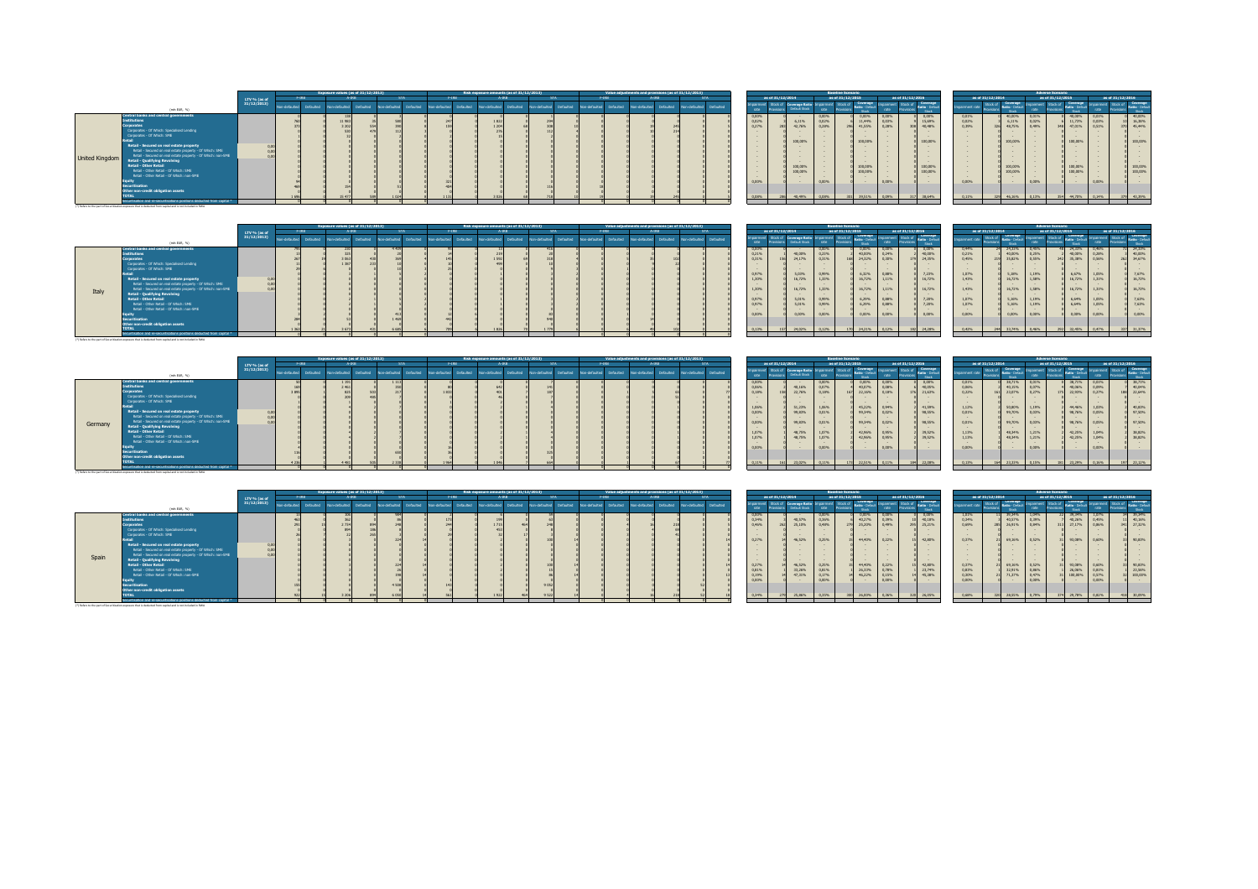|                                                                                                                                                                                                                                                                                                                                                                                                                                                                                                                                                                                                                                                                                                                                                                        |              |              |           |               | Exposure values (as of 31/12/2013) |           |              |             |           | Risk exposure amounts (as of 31/12/2013) |           |              |           |              |                  |                         | Value adjustments and provisions (as of 31/12/2013) |                                           |                  |                                                                                                 |                                           | <b>Baseline Scenario</b> |                                                                                                                                              |                                  |                       |                                                                                                                                                                                                                                              |                                                                                                                                                              |                  |                                                                                                                |                                                                                                                               | <b>Adverse Scenario</b> |                                                                                                                                                                                                                                            |                                                     |                                                                               |
|------------------------------------------------------------------------------------------------------------------------------------------------------------------------------------------------------------------------------------------------------------------------------------------------------------------------------------------------------------------------------------------------------------------------------------------------------------------------------------------------------------------------------------------------------------------------------------------------------------------------------------------------------------------------------------------------------------------------------------------------------------------------|--------------|--------------|-----------|---------------|------------------------------------|-----------|--------------|-------------|-----------|------------------------------------------|-----------|--------------|-----------|--------------|------------------|-------------------------|-----------------------------------------------------|-------------------------------------------|------------------|-------------------------------------------------------------------------------------------------|-------------------------------------------|--------------------------|----------------------------------------------------------------------------------------------------------------------------------------------|----------------------------------|-----------------------|----------------------------------------------------------------------------------------------------------------------------------------------------------------------------------------------------------------------------------------------|--------------------------------------------------------------------------------------------------------------------------------------------------------------|------------------|----------------------------------------------------------------------------------------------------------------|-------------------------------------------------------------------------------------------------------------------------------|-------------------------|--------------------------------------------------------------------------------------------------------------------------------------------------------------------------------------------------------------------------------------------|-----------------------------------------------------|-------------------------------------------------------------------------------|
|                                                                                                                                                                                                                                                                                                                                                                                                                                                                                                                                                                                                                                                                                                                                                                        | LTV % (as of |              | $F-IRB$   |               |                                    |           |              |             | $F-IRB$   |                                          |           |              |           |              | $F-IRB$          | A-IRE                   |                                                     |                                           | as of 31/12/2014 |                                                                                                 |                                           | as of 31/12/2015         |                                                                                                                                              |                                  | as of 31/12/2016      |                                                                                                                                                                                                                                              |                                                                                                                                                              | as of 31/12/2014 |                                                                                                                |                                                                                                                               | as of 31/12/2015        |                                                                                                                                                                                                                                            |                                                     | as of 31/12/2016                                                              |
| (min EUR, %)                                                                                                                                                                                                                                                                                                                                                                                                                                                                                                                                                                                                                                                                                                                                                           | 31/12/2013)  | on-defaulter | Defaulted | Non-defaulted |                                    | Defaulted | on-defaulter | o defaulter | Defaulted | n-defaulted                              | Defaulted | ion-defaulte | Defaulted | bn-defaulted | <b>Defaulted</b> | Non-defaulted Defaulted | Non-defaulted Defaulted                             | noainme<br><b>rate</b>                    |                  | ck of Coverage Ratio<br>Data il Storia                                                          |                                           | Stock of Lowering        | Stori                                                                                                                                        | no armano                        | Stock of <i>matin</i> | Stock                                                                                                                                                                                                                                        | airment rate                                                                                                                                                 |                  | Coverage<br><b>Charle</b>                                                                                      |                                                                                                                               |                         | Stock                                                                                                                                                                                                                                      |                                                     | Stock of Deverage<br>Stock                                                    |
| Central banks and central governments<br>nstitutions<br><b>Corporates</b><br>Corporates - Of Which: Specialised Lending<br>Corporates - Of Which: SME<br>Retail - Secured on real estate property<br>Retail - Secured on real estate property - Of Which: SME<br>Retail - Secured on real estate property - Of Which: non-SME<br>United Kingdom<br><b>Retail - Qualifying Revolving</b><br><b>Retail - Other Retail</b><br>Retail - Other Retail - Of Which: SME<br>Retail - Other Retail - Of Which: non-SME<br><b>Securitisation</b><br>Other non-credit obligation assets<br>Securitisation and re-securitisations positions deducted from capital *<br>(*) Refers to the part of Securitization exposure that is deducted from capital and is not included in RWA. |              |              |           |               |                                    |           |              |             |           | 1822<br>1 20                             |           |              |           |              |                  |                         |                                                     | 0,00%<br>0,02%<br>0.27%<br>0.009<br>0.08% |                  | 6,11%<br>42.76%<br>100,00%<br><b>Contract Contract Contract</b><br>100,00%<br>100,00%<br>40,49% | 0.00%<br>0.02%<br>0.28%<br>0.00%<br>0.08% |                          | 0,00% 0,00%<br>11,44%<br>41.55%<br><b>Contract Contract</b><br>100,00%<br>$\sim$<br>100,00%<br>100,00%<br><b>Contract Contract</b><br>39.51% | 0.03%<br>0.28%<br>0.00%<br>0.09% |                       | 0.00%<br>15,69%<br>40,48%<br><b>Contract Contract Contract</b><br>100,00%<br><b>Contract Contract</b><br>$\sim$<br><b>Contract Contract</b><br><b>Contract Contract</b><br>100,00%<br>100,00%<br><b>Contract Contract Contract</b><br>38,64% | 0,01%<br>0,02%<br>0.39%<br><b>Contract Contract Contract</b><br>$\sim$<br><b>Contract</b><br><b>Contract</b><br>$\sim$<br>$\sim$<br>$\sim$<br>0.00%<br>0.11% |                  | 40,00%<br>6,11%<br>48.75%<br>326<br>100,00%<br><b>Contract Contract</b><br>100,00%<br>100,00%<br>46,169<br>220 | 0.01%<br>0.02%<br>0.49%<br><b>Contract Contract</b><br><b>Contract Contract</b><br><b>Contract Contract</b><br>0.00%<br>0.13% | 348                     | 40,00%<br>11.73%<br>47.01%<br>$\sim$<br>$\sim$<br>100,00%<br><b>Contract Contract Contract</b><br>$\sim$<br>$\sim$<br>$\sim$<br>100,00%<br>100,00%<br><b>Contract Contract Contract</b><br><b>Contract Contract Contract</b><br>354 44,70% | 0,01%<br>0,03%<br>0.51%<br>$\sim$<br>0.00%<br>0,14% | 40,00%<br>16,38%<br>370 45.44%<br>100,00%<br>100,00%<br>100,00%<br>379 43,39% |

|       |                                                                                                            |              |              |           | Exposure values (as of 31/12/2013) |              |  | Risk exposure amounts (as of 31/12/2013) |           |              |           | Value adjustments and provisions (as of 31/12/2013) |  |              |           |       |                  |                                                |       | <b>Baseline Scenario</b> |                          |                             |                             |                  |                          |                          | <b>Adverse Scenario</b> |                                   |       |                                              |
|-------|------------------------------------------------------------------------------------------------------------|--------------|--------------|-----------|------------------------------------|--------------|--|------------------------------------------|-----------|--------------|-----------|-----------------------------------------------------|--|--------------|-----------|-------|------------------|------------------------------------------------|-------|--------------------------|--------------------------|-----------------------------|-----------------------------|------------------|--------------------------|--------------------------|-------------------------|-----------------------------------|-------|----------------------------------------------|
|       |                                                                                                            | LTV % (as of | F-IRB        |           | A-IRB                              |              |  |                                          |           |              |           | F-IRE                                               |  |              |           |       | as of 31/12/2014 |                                                |       | as of 31/12/2015         |                          | as of 31/12/2016            |                             | as of 31/12/2014 |                          |                          | as of 31/12/2015        |                                   |       | as of 31/12/2016                             |
|       | (min EUR, %)                                                                                               | 31/12/2013)  | nn-defaulted | Defaulted | Defaulted<br>Non-defaulted         | on-defaulted |  |                                          | Defaulted | on-defaulted | Defaulted | in-defaulted Defaulted Non-defaulted                |  | cn-defaulted | Defaulted |       |                  | The Stock of Coverage Ration<br>Default Street | rate  |                          | <b>South</b>             |                             | Coverage<br>Stock of Covera | pairment rate    | <b>Ratio - Defa</b>      |                          |                         |                                   |       | Coverage                                     |
|       | <b>Central banks and central governments</b>                                                               |              |              |           |                                    |              |  |                                          |           |              |           |                                                     |  |              |           |       | 0.00%            | $\sim$                                         | 0.00% |                          | 0.00%                    | 0.00%                       | 0.00%                       | 0,44%            | 24,33%                   | 0.45%                    |                         | 24,33% 0,46%                      |       | 24.33%                                       |
|       |                                                                                                            |              |              |           |                                    |              |  | 219                                      |           |              |           |                                                     |  |              |           | 0.21% |                  | 40,00%                                         | 0,23% |                          | 40,00%                   | 0.24%                       | 40,00%                      | 0,21%            | 40,00%                   | 0.25%                    |                         | 40,00%                            | 0.28% | 40,00%                                       |
|       | Corporates                                                                                                 |              |              |           |                                    |              |  | 1592                                     |           |              |           |                                                     |  |              |           | 0.31% |                  | 24.17%                                         | 0,31% |                          | 24.32%                   | 0.30%                       | 24,35%                      | 0,45%            | 35.82%                   | 0.55%                    | 242                     | 35,38% 0,56%                      |       | 262 34.67%                                   |
|       | Corporates - Of Which: Specialised Lending                                                                 |              |              |           |                                    |              |  |                                          |           |              |           |                                                     |  |              |           |       |                  |                                                |       |                          |                          |                             |                             | $\sim$           |                          |                          |                         |                                   |       |                                              |
|       | Corporates - Of Which: SME                                                                                 |              |              |           |                                    |              |  |                                          |           |              |           |                                                     |  |              |           |       |                  |                                                |       |                          | <b>Contract Contract</b> |                             | <b>Contract Contract</b>    | $\sim$           | $\sim$                   |                          |                         | <b>Contract Contract Contract</b> |       |                                              |
|       |                                                                                                            |              |              |           |                                    |              |  |                                          |           |              |           |                                                     |  |              |           | 0.97% |                  | 5.03%                                          | 0,99% |                          | 6,32%                    | 0.88%                       | 7,23%                       | 1,07%            | 5,18% 1,19%              |                          |                         | 6,67%                             | 1,05% | 0 7,67%                                      |
|       | Retail - Secured on real estate property                                                                   |              |              |           |                                    |              |  |                                          |           |              |           |                                                     |  |              |           |       | 1.30%            | 16,72%                                         | 1,33% |                          | 16,72% 1,11%             |                             | 16,72%                      | 1,43%            | 16,72%                   | 1.58%                    |                         | 16,72% 1,31%                      |       | 16.72%                                       |
|       | Retail - Secured on real estate property - Of Which: SME                                                   |              |              |           |                                    |              |  |                                          |           |              |           |                                                     |  |              |           |       |                  |                                                |       |                          |                          |                             |                             | $\sim$           |                          |                          |                         |                                   |       |                                              |
| Italy | Retail - Secured on real estate property - Of Which: non-SME                                               |              |              |           |                                    |              |  |                                          |           |              |           |                                                     |  |              |           |       | 1.30%            | 16,72%                                         | 1,33% |                          | 16,72% 1,11%             |                             | 16,72%                      | 1,43%            | 16,72%                   | 1.58%                    |                         | 16,72% 1,31%                      |       | 16.72%                                       |
|       | <b>Retail - Qualifying Revolving</b>                                                                       |              |              |           |                                    |              |  |                                          |           |              |           |                                                     |  |              |           |       |                  |                                                |       |                          |                          |                             |                             | $\sim$           | <b>Contract Contract</b> | <b>Contract Contract</b> |                         | <b>Contract Contract Contract</b> |       |                                              |
|       | <b>Retail - Other Retail</b>                                                                               |              |              |           |                                    |              |  |                                          |           |              |           |                                                     |  |              |           | 0.97% |                  | 5.01%                                          | 0,99% |                          | 6,29%                    | 0.88%                       | 7,20%                       | 1,07%            | 5,16% 1,19%              |                          |                         | 6,64%                             | 1.05% | 7,63%                                        |
|       | Retail - Other Retail - Of Which: SME                                                                      |              |              |           |                                    |              |  |                                          |           |              |           |                                                     |  |              |           | 0.97% |                  | 5.01%                                          | 0.99% |                          | 6,29%                    | 0.88%                       | 7,20%                       | 1,07%            | 5,16% 1,19%              |                          |                         | 6,64%                             | 1.05% | 7.63%                                        |
|       | Retail - Other Retail - Of Which: non-SME                                                                  |              |              |           |                                    |              |  |                                          |           |              |           |                                                     |  |              |           |       |                  |                                                |       |                          |                          |                             |                             | $\sim$           |                          |                          |                         |                                   |       |                                              |
|       |                                                                                                            |              |              |           |                                    |              |  |                                          |           |              |           |                                                     |  |              |           | 0.00% |                  | 0.00%                                          | 0.00% |                          | 0.00%                    | 0.00%                       | 0.00%                       | 0.00%            | 0.00%                    | 0.00%                    |                         | 0.00%                             | 0.00% | 0.00%                                        |
|       | orwitication                                                                                               |              |              |           |                                    |              |  |                                          |           |              |           |                                                     |  |              |           |       |                  |                                                |       |                          |                          |                             |                             |                  |                          |                          |                         |                                   |       |                                              |
|       | Other non-credit obligation assets                                                                         |              |              |           |                                    |              |  |                                          |           |              |           |                                                     |  |              |           |       |                  |                                                |       |                          |                          |                             |                             |                  |                          |                          |                         |                                   |       |                                              |
|       |                                                                                                            |              |              |           |                                    |              |  | <b>ALCOHOL:</b>                          |           |              |           |                                                     |  |              |           |       | 0.13%            | 157 24,02% 0.12%                               |       |                          |                          | 170 24.21% 0.12% 182 24.28% |                             | 0.42%            |                          |                          |                         |                                   |       | 244 33.74% 0.46% 292 32.45% 0.47% 337 31.37% |
|       | ecuritisation and re-securitisations positions deducted from capital *                                     |              |              |           |                                    |              |  |                                          |           |              |           |                                                     |  |              |           |       |                  |                                                |       |                          |                          |                             |                             |                  |                          |                          |                         |                                   |       |                                              |
|       | (*) Defect to the cast of Canuddication exposure that is deducted from capital and in out included in DAIA |              |              |           |                                    |              |  |                                          |           |              |           |                                                     |  |              |           |       |                  |                                                |       |                          |                          |                             |                             |                  |                          |                          |                         |                                   |       |                                              |

| as of 31/12/2014<br>F-TRR<br>as of 31/12/2014<br>as of 31/12/2015<br>as of 31/12/2016<br>as of 31/12/2016<br>as of 31/12/2015<br>LTV % (as of<br>Stock of Coverage<br>Coverage<br><b>Coverage</b><br><b>Coverage</b><br>31/12/2013)<br>Stock of<br>mpairment<br>Stock of Coverage Ratio<br>d Defaulted Non-defaulted Defaulted Non-defaulted Defaulted<br>Non-defaulted<br>hofuctured Defaulted<br>Defaulted Non-defaulted Defaulted<br>Non-defaulted<br>- Non-defaulted<br>Defaulted<br>Definition of<br>on-defaulte<br>n-defaulti<br>nairment rate<br>Default Stock<br>(min EUR, %)<br><b>Stock</b><br><b>Street</b><br><b>Central banks and central governments</b><br>38,71%<br>0,00% 0,00%<br>38,71% 0,01%<br>0.00%<br>0.00%<br>0,00%<br>0,01%<br>38,71%<br>0.01%<br>40,07% 0,08%<br>40,05%<br>0,06%<br>40,06% 0,09%<br>0.06%<br>40,15%<br>0.07%<br>0,07%<br>40.16%<br>0.22%<br>167 22.16% 0.18%<br>21,63%<br>188 22.649<br>0.18%<br>22,76%<br>0.18%<br>23.07%<br>0.27%<br>22,93% 0.27%<br>orporates<br>150<br>176<br>187<br>Corporates - Of Which: Soecialised Lending<br>$\sim$<br>Corporates - Of Which: SME<br>$\sim$<br>$\sim$<br>45.22% 0.94%<br>1,06%<br>41,59%<br>1,12%<br>50,80%<br>1.19%<br>51,23%<br>1.06%<br>44,46% 1,03%<br>Retail - Secured on real estate property<br>99.34% 0.02%<br>98,55%<br>99,70%<br>0.00%<br>0.01%<br>0.03%<br>0,01%<br>98,76% 0,05%<br>99.83%<br>Retail - Secured on real estate property - Of Which: SME<br>Retail - Secured on real estate property - Of Which: non-SME<br>99.34% 0.02%<br>98,55%<br>0.01%<br>99,70% 0,03%<br>0.00%<br>0.01%<br>98,76% 0.05%<br>99.83%<br>Germany<br><b>Retail - Qualifying Revolving</b><br><b>Contract Contract</b><br><b>Retail - Other Retail</b><br>42,96% 0.95%<br>39,52%<br>1.07%<br>1,13%<br>48,34%<br>1.21%<br>1,07%<br>42,25% 1,04%<br>48,75%<br>Retail - Other Retail - Of Which: SME<br>39.52%<br>1.07%<br>42,96% 0,95%<br>1.13%<br>1,07%<br>48.34%<br>42,25%<br>48,75%<br>1.21%<br>1.04%<br>Retail - Other Retail - Of Which: non-SME<br><b>Contract Contract</b><br>0.00%<br>0.00%<br>0.00%<br>0.00%<br>0.00%<br>0.00%<br><b>Securitisation</b><br>Other non-credit obligation assets<br>0.11%<br>0.13%<br>0.11%<br>0.11%<br>23, 20%<br>1.954<br>1.045<br>0.16%<br>172<br>184 |  |                                                                         |  | mosure values (as of 31/12/2013) |  |  | Risk exposure amounts (as of 31/12/2013) |  |  | Value adjustments and provisions (as of 31/12/2013) |  |  |  | <b>Baseline Scenario</b> |  |  |  | <b>Adverse Scenario</b> |  |                                                          |
|--------------------------------------------------------------------------------------------------------------------------------------------------------------------------------------------------------------------------------------------------------------------------------------------------------------------------------------------------------------------------------------------------------------------------------------------------------------------------------------------------------------------------------------------------------------------------------------------------------------------------------------------------------------------------------------------------------------------------------------------------------------------------------------------------------------------------------------------------------------------------------------------------------------------------------------------------------------------------------------------------------------------------------------------------------------------------------------------------------------------------------------------------------------------------------------------------------------------------------------------------------------------------------------------------------------------------------------------------------------------------------------------------------------------------------------------------------------------------------------------------------------------------------------------------------------------------------------------------------------------------------------------------------------------------------------------------------------------------------------------------------------------------------------------------------------------------------------------------------------------------------------------------------------------------------------------------------------------------------------------------------------------------------------------------------------------------------------------------------------------------------------------------------------------------------------------------------------------------------------------------------------------------|--|-------------------------------------------------------------------------|--|----------------------------------|--|--|------------------------------------------|--|--|-----------------------------------------------------|--|--|--|--------------------------|--|--|--|-------------------------|--|----------------------------------------------------------|
|                                                                                                                                                                                                                                                                                                                                                                                                                                                                                                                                                                                                                                                                                                                                                                                                                                                                                                                                                                                                                                                                                                                                                                                                                                                                                                                                                                                                                                                                                                                                                                                                                                                                                                                                                                                                                                                                                                                                                                                                                                                                                                                                                                                                                                                                          |  |                                                                         |  |                                  |  |  |                                          |  |  |                                                     |  |  |  |                          |  |  |  |                         |  |                                                          |
|                                                                                                                                                                                                                                                                                                                                                                                                                                                                                                                                                                                                                                                                                                                                                                                                                                                                                                                                                                                                                                                                                                                                                                                                                                                                                                                                                                                                                                                                                                                                                                                                                                                                                                                                                                                                                                                                                                                                                                                                                                                                                                                                                                                                                                                                          |  |                                                                         |  |                                  |  |  |                                          |  |  |                                                     |  |  |  |                          |  |  |  |                         |  |                                                          |
|                                                                                                                                                                                                                                                                                                                                                                                                                                                                                                                                                                                                                                                                                                                                                                                                                                                                                                                                                                                                                                                                                                                                                                                                                                                                                                                                                                                                                                                                                                                                                                                                                                                                                                                                                                                                                                                                                                                                                                                                                                                                                                                                                                                                                                                                          |  | Securitisation and re-securitisations positions deducted from capital * |  |                                  |  |  |                                          |  |  |                                                     |  |  |  |                          |  |  |  |                         |  | 40,04%<br>40,83%<br>97,50%<br>97,50%<br>38,82%<br>38,82% |

|      |                        |                                                   |       | <b>Baseline Scenario</b>      |                                      |                           |                        |                                      |
|------|------------------------|---------------------------------------------------|-------|-------------------------------|--------------------------------------|---------------------------|------------------------|--------------------------------------|
|      | as of 31/12/2014       |                                                   |       | as of 31/12/2015              |                                      |                           | as of 31/12/2016       |                                      |
| ment | Stock of<br>Provisions | Coverage Ratio Impairment<br><b>Default Stock</b> | rate  | Stock of<br><b>Provisions</b> | Coverage<br>Ratio - Default<br>Stock | <b>Impairment</b><br>rate | Stock of<br>Provisions | Coverage<br>Ratio - Default<br>Stock |
| R6   |                        |                                                   | 0.00% |                               | 0.00%                                | 0.00%                     |                        | 0.00%                                |
| 86   |                        | 40.16%                                            | 0.07% |                               | 40.07%                               | 0.08%                     |                        | 40,05%                               |
|      | 158                    | 22.76%                                            | 0.18% | 167                           | 22.16%                               | 0.18%                     | 176                    | 21.63%                               |
|      |                        |                                                   |       |                               |                                      |                           |                        |                                      |
|      |                        |                                                   |       |                               |                                      |                           |                        |                                      |
| A6.  |                        | 51.23%                                            | 1.06% |                               | 45.22%                               | 0.94%                     |                        | 41.59%                               |
| R6   |                        | 99.83%                                            | 0.01% |                               | 99.34%                               | 0.02%                     |                        | 98.55%                               |
|      |                        |                                                   |       |                               |                                      |                           |                        |                                      |
| R6   |                        | 99.83%                                            | 0.01% |                               | 99.34%                               | 0.02%                     |                        | 98.55%                               |
|      |                        |                                                   |       |                               |                                      |                           |                        |                                      |
| s.   |                        | 48.75%                                            | 1.07% |                               | 42.96%                               | 0.95%                     |                        | 39.52%                               |
| 46   |                        | 48.75%                                            | 1.07% |                               | 42.96%                               | 0.95%                     |                        | 39.52%                               |
|      |                        |                                                   |       |                               |                                      |                           |                        |                                      |
| R6   |                        |                                                   | 0.00% |                               |                                      | 0.00%                     |                        |                                      |
|      |                        |                                                   |       |                               |                                      |                           |                        |                                      |
|      |                        |                                                   |       |                               |                                      |                           |                        |                                      |
| 46.  | 161                    | 23.02%                                            | 0.11% | 173                           | 22.51%                               | 0.11%                     | 184                    | 22.08%                               |
|      |                        |                                                   |       |                               |                                      |                           |                        |                                      |

| dauited | .<br>rate | <b><i>PERSONAL PROPERTY</i></b><br>Provisions | <b>Second Four Advisor Address to the Second</b><br><b>Default Stock</b> | rate  | ----<br>Provisions | Ratio - Default<br>Stock | rate  | ----<br><b>Provisions</b> | <b>Ratio - Default</b><br><b>Stock</b> | Impairment rate |  |
|---------|-----------|-----------------------------------------------|--------------------------------------------------------------------------|-------|--------------------|--------------------------|-------|---------------------------|----------------------------------------|-----------------|--|
|         | 0.00%     |                                               |                                                                          | 0.00% |                    | 0.00%                    | 0.00% |                           | 0.00%                                  | 0.01%           |  |
|         | 0.06%     |                                               | 40.16%                                                                   | 0.07% |                    | 40.07%                   | 0.08% | ۰                         | 40.05%                                 | 0.06%           |  |
| 77      | 0.18%     | 158                                           | 22.76%                                                                   | 0.18% | 167                | 22.16%                   | 0.18% | 176                       | 21.63%                                 | 0.22%           |  |
|         |           |                                               |                                                                          |       |                    |                          |       |                           |                                        |                 |  |
|         |           |                                               |                                                                          |       |                    |                          |       |                           |                                        |                 |  |
|         | 1.06%     |                                               | 51.23%                                                                   | 1.06% |                    | 45.22%                   | 0.94% |                           | 41.59%                                 | 1.12%           |  |
|         | 0.00%     |                                               | 99.83%                                                                   | 0.01% |                    | 99.34%                   | 0.02% |                           | 98.55%                                 | 0.01%           |  |
|         |           |                                               |                                                                          |       |                    |                          |       |                           |                                        |                 |  |
|         | 0.00%     |                                               | 99.83%                                                                   | 0.01% |                    | 99.34%                   | 0.02% |                           | 98.55%                                 | 0.01%           |  |
|         |           |                                               |                                                                          |       |                    |                          |       |                           |                                        |                 |  |
|         | 1.07%     |                                               | 48.75%                                                                   | 1.07% |                    | 42.96%                   | 0.95% |                           | 39.52%                                 | 1.13%           |  |
|         | 1.07%     |                                               | 48.75%                                                                   | 1.07% |                    | 42.96%                   | 0.95% |                           | 39.52%                                 | 1.13%           |  |
|         |           |                                               |                                                                          |       |                    |                          |       |                           |                                        |                 |  |
|         | 0.00%     |                                               |                                                                          | 0.00% |                    |                          | 0.00% |                           |                                        | 0.00%           |  |
|         |           |                                               |                                                                          |       |                    |                          |       |                           |                                        |                 |  |
|         |           |                                               |                                                                          |       |                    |                          |       |                           |                                        |                 |  |
| 77      | 0.11%     | 161                                           | 23.02%                                                                   | 0.11% | 173                | 22.51%                   | 0.11% | 184                       | 22.08%                                 | 0.13%           |  |
|         |           |                                               |                                                                          |       |                    |                          |       |                           |                                        |                 |  |
|         |           |                                               |                                                                          |       |                    |                          |       |                           |                                        |                 |  |

|                                                                   |              |              | xposure values (as of 31/12/2013). |            |              |           |              |           | Risk exposure amounts (as of 31/12/2013) |           |               |           |      | Value adjustments and provisions (as of 31/12/2013) |       |                                                                         |       |                   |                         |       | <b>Baseline Scenario</b>              |                  |       |                            |               |                  |                  | <b>Adverse Scenario</b> |                        |       |                  |  |
|-------------------------------------------------------------------|--------------|--------------|------------------------------------|------------|--------------|-----------|--------------|-----------|------------------------------------------|-----------|---------------|-----------|------|-----------------------------------------------------|-------|-------------------------------------------------------------------------|-------|-------------------|-------------------------|-------|---------------------------------------|------------------|-------|----------------------------|---------------|------------------|------------------|-------------------------|------------------------|-------|------------------|--|
|                                                                   | LTV % (as of | F-IRB        |                                    | <b>ART</b> |              |           | F-IRB        |           |                                          |           |               |           | FIRR |                                                     | A-IRB |                                                                         |       | as of 31/12/2014  |                         |       | as of 31/12/2015                      |                  |       | as of 31/12/2016           |               | as of 31/12/2014 |                  |                         | as of 31/12/2015       |       | as of 31/12/2016 |  |
| (min EUR, %)                                                      | 31/12/2013   | bodustavo-no | Defaulted Non-defaulted            | Defaulted  | on-defaulted | Defaulted | on-defaulted | Defaulted | hedistandal                              | Defaulted | Non-defaulted | Defaulted |      |                                                     |       | Non-defaulted Defaulted Non-defaulted Defaulted Non-defaulted Defaulted |       |                   | Stock of Coverage Ratio |       | pairment Stock of Coverage Impairment |                  |       | Stock of Coverage<br>Stock | pairment rate |                  | Stock            |                         | <b>Stock</b>           |       | Coverage         |  |
| al banks and central governments                                  |              |              |                                    |            |              |           |              |           |                                          |           |               |           |      |                                                     |       |                                                                         | 0.00% |                   |                         | 0.00% |                                       | 0.00%            | 0.00% | 0.00%                      | 1.01%         |                  | 11 39.34% 1.04%  |                         | 39,34%                 | 1.07% | 34 39.34%        |  |
|                                                                   |              |              |                                    |            |              |           |              |           |                                          |           |               |           |      |                                                     |       |                                                                         | 0,34% |                   | 40.57%                  | 0,36% |                                       | 40,27% 0,39%     |       | 10 40,18%                  | 0,34%         |                  | 40,57% 0,39%     |                         | 40,26%                 | 0.45% | 11 40,16%        |  |
|                                                                   |              |              |                                    |            |              |           |              |           |                                          |           |               |           |      |                                                     |       |                                                                         | 0.46% | 262               | 25.10%                  | 0.48% |                                       | 279 25,20% 0,49% |       | 295 25,21%                 | 0.69%         |                  | 285 26,91% 0,84% |                         | 313 27,17%             | 0.86% | 341 27.32%       |  |
| porates - Of Which: Specialised Lending                           |              |              |                                    |            |              |           |              |           |                                          |           |               |           |      |                                                     |       |                                                                         |       |                   |                         |       |                                       |                  |       |                            |               |                  |                  |                         |                        |       |                  |  |
| roorates - Of Which: SME                                          |              |              |                                    |            |              |           |              |           |                                          |           |               |           |      |                                                     |       |                                                                         |       |                   |                         |       |                                       |                  |       |                            | $\sim$        |                  |                  |                         |                        |       |                  |  |
|                                                                   |              |              |                                    |            |              |           |              |           |                                          |           |               |           |      |                                                     |       |                                                                         | 0.27% |                   | 46,52%                  | 0.25% |                                       | 44.40% 0.22%     |       | 15 42.80%                  | 0.37%         |                  | 21 69,16% 0,52%  |                         | 93.08%                 | 0,60% | 33 90.83%        |  |
| tail - Secured on real estate property                            |              |              |                                    |            |              |           |              |           |                                          |           |               |           |      |                                                     |       |                                                                         |       |                   |                         |       |                                       |                  |       |                            |               |                  |                  |                         |                        |       |                  |  |
| Retail - Secured on real estate property - Of Which: SME          |              |              |                                    |            |              |           |              |           |                                          |           |               |           |      |                                                     |       |                                                                         |       |                   |                         |       |                                       |                  |       |                            |               |                  |                  |                         |                        |       |                  |  |
| Retail - Secured on real estate property - Of Which: non-SME      |              |              |                                    |            |              |           |              |           |                                          |           |               |           |      |                                                     |       |                                                                         |       |                   |                         |       |                                       |                  |       |                            |               |                  |                  |                         |                        |       |                  |  |
| tail - Qualifying Revolving                                       |              |              |                                    |            |              |           |              |           |                                          |           |               |           |      |                                                     |       |                                                                         |       |                   |                         |       |                                       |                  |       |                            | $\sim$        |                  |                  |                         |                        |       |                  |  |
| tail - Other Retail                                               |              |              |                                    |            |              |           |              |           |                                          |           |               |           |      |                                                     |       |                                                                         | 0,27% |                   | 46,52%                  | 0,25% |                                       | 44,40% 0,22%     |       | 15 42,80%                  | 0,37%         |                  | 21 69,16% 0,52%  |                         | 93,08%                 | 0.60% | 90,83%           |  |
| Retail - Other Retail - Of Which: SME                             |              |              |                                    |            |              |           |              |           |                                          |           |               |           |      |                                                     |       |                                                                         | 0.81% |                   | 33,26%                  | 0,81% |                                       | 26,33%           | 0,78% | 23,74%                     | 0.83%         |                  | 32,91%           | 0,86%                   | 26,06%                 | 0.81% | 23,56%           |  |
| Retail - Other Retail - Of Which: non-SME                         |              |              |                                    |            |              |           |              |           |                                          |           |               |           |      |                                                     |       |                                                                         | 0,19% |                   | 47.31%                  | 0.17% |                                       | 46,22% 0,15%     |       | 14 45,38%                  | 0,30%         |                  | 21 71,37% 0,47%  |                         | 100,00%                | 0,57% | 32 100,00%       |  |
|                                                                   |              |              |                                    |            |              |           |              |           |                                          |           |               |           |      |                                                     |       |                                                                         |       |                   |                         | 0.00% |                                       |                  | 0.00% |                            | 0.00%         |                  |                  | 0.00%                   |                        | 0.00% |                  |  |
| itisation                                                         |              |              |                                    |            |              |           |              |           |                                          |           | 9 0 5 2       |           |      |                                                     |       |                                                                         |       |                   |                         |       |                                       |                  |       |                            |               |                  |                  |                         |                        |       |                  |  |
| non-credit obligation assets                                      |              |              |                                    |            |              |           |              |           |                                          |           |               |           |      |                                                     |       |                                                                         |       |                   |                         |       |                                       |                  |       |                            |               |                  |                  |                         |                        |       |                  |  |
|                                                                   |              |              |                                    |            |              |           |              |           |                                          |           | A FOR         |           |      |                                                     |       |                                                                         | 0.345 | <b>CONTRACTOR</b> | <b>SE ACAL</b>          | 0.25% | <b>SANT</b>                           | THE WORLD        | 0.36% | 320 26.05%                 | 0.6936        |                  | 320 28 55% 0.29% |                         | 29, 28%<br><b>STAR</b> | 0.82% | 418 30,09%       |  |
| lisation and re-securitisations positions deducted from capital * |              |              |                                    |            |              |           |              |           |                                          |           |               |           |      |                                                     |       |                                                                         |       |                   |                         |       |                                       |                  |       |                            |               |                  |                  |                         |                        |       |                  |  |
|                                                                   |              |              |                                    |            |              |           |              |           |                                          |           |               |           |      |                                                     |       |                                                                         |       |                   |                         |       |                                       |                  |       |                            |               |                  |                  |                         |                        |       |                  |  |

|       |                                                                                                                                                                                                                                                                                                                                                                                                                                                         |              |               |       | txposure values (as of 31/12/2013). |            |                         |         |                       |                    | Risk exposure amounts (as of 31/12/2013) |                                            |              | Value adjustments and provisions (as of 31/12/2013)       |  |                                                                        |                  |                                                                 |                                                                      | <b>Baseline Scenario</b>                     |                                                                                                       |                                            |                                                         |                                                                                                            |                                                        |                                                                                       | <b>Adverse Scenario</b>                    |                                                                                                                      |       |                                 |                                      |
|-------|---------------------------------------------------------------------------------------------------------------------------------------------------------------------------------------------------------------------------------------------------------------------------------------------------------------------------------------------------------------------------------------------------------------------------------------------------------|--------------|---------------|-------|-------------------------------------|------------|-------------------------|---------|-----------------------|--------------------|------------------------------------------|--------------------------------------------|--------------|-----------------------------------------------------------|--|------------------------------------------------------------------------|------------------|-----------------------------------------------------------------|----------------------------------------------------------------------|----------------------------------------------|-------------------------------------------------------------------------------------------------------|--------------------------------------------|---------------------------------------------------------|------------------------------------------------------------------------------------------------------------|--------------------------------------------------------|---------------------------------------------------------------------------------------|--------------------------------------------|----------------------------------------------------------------------------------------------------------------------|-------|---------------------------------|--------------------------------------|
|       |                                                                                                                                                                                                                                                                                                                                                                                                                                                         | LTV % (as of |               | F-IRB |                                     | <b>IRB</b> |                         | $F-IRB$ |                       |                    |                                          |                                            |              |                                                           |  |                                                                        | as of 31/12/2014 |                                                                 |                                                                      | as of 31/12/2015                             |                                                                                                       | as of 31/12/2016                           |                                                         |                                                                                                            | as of 31/12/2014                                       |                                                                                       | as of 31/12/2015                           |                                                                                                                      |       | as of 31/12/2016                |                                      |
|       | (min EUR, %)                                                                                                                                                                                                                                                                                                                                                                                                                                            | 31/12/2013)  | hedustetaufed |       | Defaulted Non-defaulted Defaulted   |            | inn-defaulted Defaulted |         | podefaulted Defaulted | <b>Martin Paul</b> |                                          | Non-defaulted                              | to defaulted | Defaulted Non-defaulted Defaulted Non-defaulted Defaulted |  | moainment                                                              |                  | 1 Stock of Coverage Ratio                                       |                                                                      | <b>Coverage</b>                              | Impairment                                                                                            | <b>Stock of Coverage</b>                   |                                                         | nairment rate                                                                                              | Coverage                                               | mnairman                                                                              |                                            |                                                                                                                      |       | Stock of Datin                  |                                      |
| Spain | Central banks and central governments<br>Corporates - Of Which: Specialised Lending<br>Corporates - Of Which: SME<br>Retail - Secured on real estate property<br>Retail - Secured on real estate property - Of Which: SME<br>Retail - Secured on real estate property - Of Which: non-SME<br><b>Retail - Qualifying Revolving</b><br><b>Retail - Other Retail</b><br>Retail - Other Retail - Of Which: SME<br>Retail - Other Retail - Of Which: non-SME |              |               |       |                                     |            |                         |         |                       |                    |                                          |                                            |              |                                                           |  | 0,00%<br>0,34%<br>0.46%<br>0,27%<br>$0,27%$<br>0,81%<br>0,19%<br>0.00% |                  | 40,57%<br>25.10%<br>262<br>46,52%<br>46,52%<br>33,26%<br>47,31% | 0,00%<br>0,36%<br>0.48%<br>0.25%<br>0,25%<br>0,81%<br>0,17%<br>0.00% | 279 25.20% 0.49%<br><b>Contract Contract</b> | 0.00% 0.00%<br>40.27% 0.39%<br>44.40% 0.22%<br>44,40% 0,22%<br>26,33% 0,78%<br>46,22% 0,15%<br>0.0096 | 95 25.21%                                  | 0.00%<br>40,18%<br>42,80%<br>42.80%<br>23,74%<br>45.38% | 1,01%<br>0,34%<br>0.69%<br>$\sim$<br>0.37%<br><b>Contract Contract</b><br>0,37%<br>0,83%<br>0,30%<br>0.00% | 11 39.34% 1.04%<br>285 26.91% 0.84%<br><b>Contract</b> | 40.57% 0.39%<br>69,16% 0,52%<br>69,16% 0,52%<br>32,91% 0,86%<br>71.37% 0.47%<br>0.00% |                                            | 22 39.34% 1.07%<br>40,26% 0,45%<br>313 27.17% 0.86%<br>93,08% 0.60%<br>93,08% 0,60%<br>26,06% 0,81%<br>100,00% 0.57% | 0.00% | 39.34%<br>341 27,32%<br>100,00% | 40,16%<br>90.83%<br>90.83%<br>23,56% |
|       | <b>Securitisation</b><br>Other non-credit obligation assets<br><b>Execute</b>                                                                                                                                                                                                                                                                                                                                                                           |              |               |       |                                     |            |                         |         |                       |                    |                                          | <b>Contract Contract Contract Contract</b> |              |                                                           |  | <b>Contract Contract Contract Contract Contract</b>                    |                  | <b>Contract Contract Contract Contract</b>                      |                                                                      | <b>Contract Contract Contract</b>            | $-$                                                                                                   | <b>Contract Contract Contract Contract</b> | <b>CONTRACTOR</b>                                       | <b>CONTRACTOR</b>                                                                                          |                                                        | the season of the season of                                                           | <b>Contract Contract Contract Contract</b> |                                                                                                                      |       |                                 |                                      |

**TOTAL**

(\*) Refers to the part of Securitization exposure that is deducted from capital and is not included in RWA

(\*) Refers to the part of Securitization exposure that is deducted from capital and is not included in RWA

Securitisation and re-securitisations positions deducted from capital \*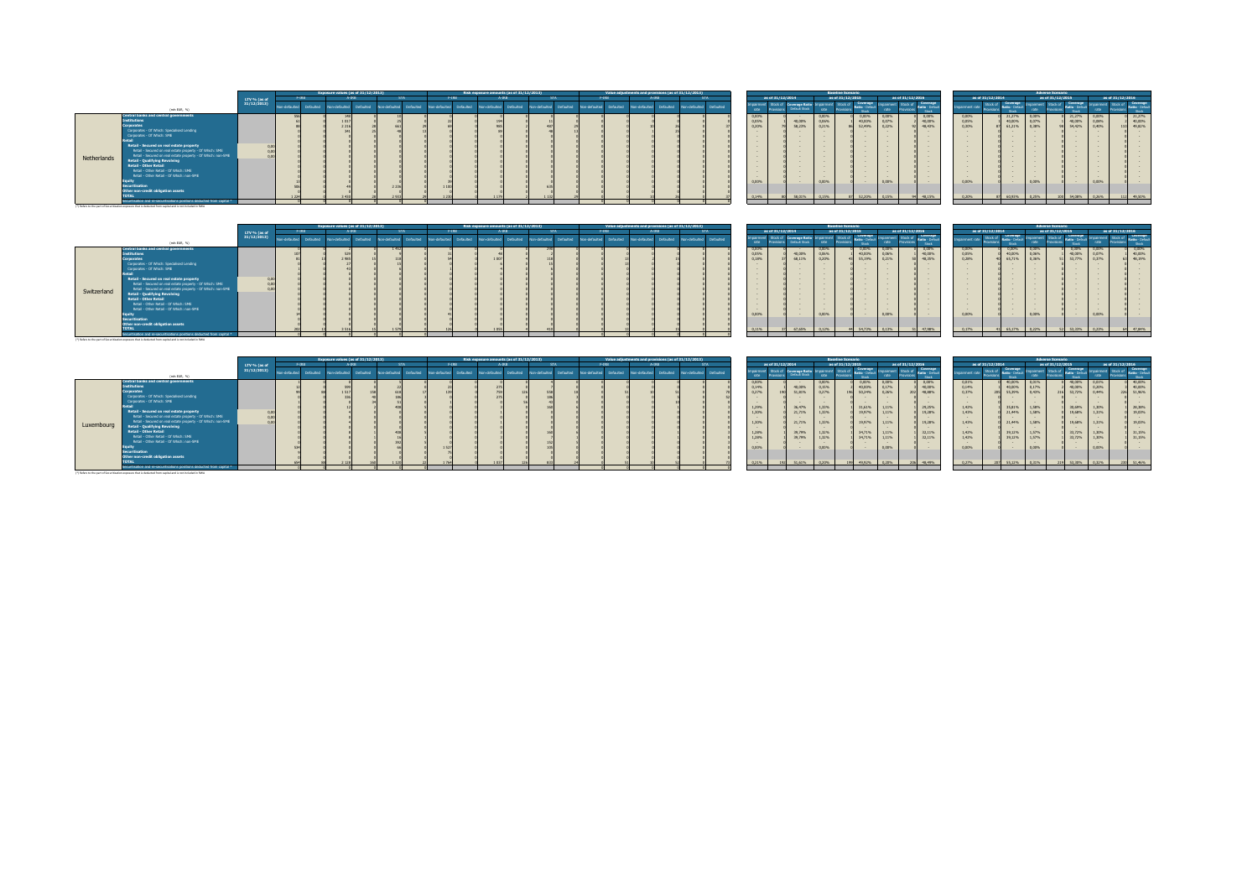|                                                                                                                                                                                                                                                                                                                                                                                                                                                                                                                                                                            |              |             |           | Exposure values (as of 31/12/2013) |                  |                                 |             |                  | Risk exposure amounts (as of 31/12/2013) |           |                 |           |                |              | Value adjustments and provisions (as of 31/12/2013) |                         |                                           |                  |                                                                                                                                                                                                                                                                                                                      |                                                                                                                                                                  | <b>Baseline Scenario</b>                     |                                                    |                                            |                                                                 |                                                                                                                 |                                                                                                                  |                                                                                                                                                                                           | <b>Adverse Scenario</b>                     |                                                    |                                           |                                                                                                                                                                                                                                                                    |
|----------------------------------------------------------------------------------------------------------------------------------------------------------------------------------------------------------------------------------------------------------------------------------------------------------------------------------------------------------------------------------------------------------------------------------------------------------------------------------------------------------------------------------------------------------------------------|--------------|-------------|-----------|------------------------------------|------------------|---------------------------------|-------------|------------------|------------------------------------------|-----------|-----------------|-----------|----------------|--------------|-----------------------------------------------------|-------------------------|-------------------------------------------|------------------|----------------------------------------------------------------------------------------------------------------------------------------------------------------------------------------------------------------------------------------------------------------------------------------------------------------------|------------------------------------------------------------------------------------------------------------------------------------------------------------------|----------------------------------------------|----------------------------------------------------|--------------------------------------------|-----------------------------------------------------------------|-----------------------------------------------------------------------------------------------------------------|------------------------------------------------------------------------------------------------------------------|-------------------------------------------------------------------------------------------------------------------------------------------------------------------------------------------|---------------------------------------------|----------------------------------------------------|-------------------------------------------|--------------------------------------------------------------------------------------------------------------------------------------------------------------------------------------------------------------------------------------------------------------------|
|                                                                                                                                                                                                                                                                                                                                                                                                                                                                                                                                                                            | LTV % (as of |             | F-19R     |                                    |                  | <b>CTA</b>                      | F-IRR.      |                  |                                          |           |                 |           |                | <b>F-TRR</b> | $A-IBR$                                             |                         |                                           | as of 31/12/2014 |                                                                                                                                                                                                                                                                                                                      |                                                                                                                                                                  | as of 31/12/2015                             |                                                    |                                            | as of 31/12/2016                                                |                                                                                                                 | as of 31/12/2014                                                                                                 |                                                                                                                                                                                           | as of 31/12/2015                            |                                                    | as of 31/12/2016                          |                                                                                                                                                                                                                                                                    |
| (min EUR, %)                                                                                                                                                                                                                                                                                                                                                                                                                                                                                                                                                               | 31/12/2013)  | heducter or | Defaulted | herbidan en                        | <b>Defaulted</b> | n-defaulted<br><b>Defaulted</b> | n-defaulted | Defaulted        | badincholor                              | Defaulted | on-defaulted    | Defaulted | on-defaulted   | Defaulted    | Incidents includes and                              | Non-defaulted Defaulted | rate                                      |                  | roorana Datir<br>Default Stock                                                                                                                                                                                                                                                                                       | rate                                                                                                                                                             |                                              | Coverage<br>Ratio - Difas<br><b>Stock</b>          | rate                                       | Coverage<br>mainment Stock of Ratio - Default<br>Stock          | nairment rate                                                                                                   | Coverage<br>Stock of<br>Ratio - Defa<br><b>Street</b>                                                            | sairmen<br>rate                                                                                                                                                                           | Stock of                                    | Coverage<br>atio - Defa<br><b>Story</b>            |                                           | <b>Stock</b>                                                                                                                                                                                                                                                       |
| Central banks and central governments<br><b>Institutions</b><br><b>Corporates</b><br>Corporates - Of Which: Soecialised Lending<br>Corporates - Of Which: SME<br>Retail - Secured on real estate property<br>Retail - Secured on real estate property - Of Which: SME<br>Retail - Secured on real estate property - Of Which: non-SME<br>Netherlands<br><b>Retail - Qualifying Revolving</b><br><b>Retail - Other Retail</b><br>Retail - Other Retail - Of Which: SME<br>Retail - Other Retail - Of Which: non-SME<br>Securitisation<br>Other non-credit obligation assets |              |             |           | 221                                |                  | 223                             |             |                  |                                          |           |                 |           |                |              |                                                     |                         | 0,00%<br>0,05%<br>0.20%<br>0.00%<br>0.14% |                  | $\sim$<br>40,00%<br>58,23%<br><b>Contract Contract Contract</b><br>$\sim$<br>$\sim$<br><b>Contract</b><br><b>Contract Contract Contract</b><br>$\sim$<br><b>Contract Contract Contract</b><br><b>Contract Contract Contract</b><br><b>Contract Contract Contract</b><br>$\sim$<br><b>Contract Contract</b><br>59.019 | 0.00%<br>0.06%<br>0.21%<br><b>Service</b><br><b>Service</b><br><b>Service</b><br>$\sim$<br><b>Service</b><br><b>Service</b><br><b>Service</b><br>$\sim$<br>0.00% |                                              | 0.00%<br>40.00%<br>57,49%                          | 0,00%<br>0.07%<br>0.22%<br>0.00%<br>0.1594 | 0,00%<br>40,00%<br>48,43%<br><b>Contract Contract</b><br>48,15% | 0,00%<br>0,05%<br>0.30%<br><b><i><u>Participal</u></i></b><br><b><i><u>Participal</u></i></b><br>0.00%<br>0.20% | 21.27%<br>40,00%<br>61.21%<br><b>Service</b><br><b>Service</b><br>$\sim$<br>$\sim$<br>$\sim$<br>$\sim$<br>60,93% | 0.00%<br>0.07%<br>0.38%<br><b>Security</b><br>$\sim$<br><b>Contract Contract</b><br>$\sim$<br><b>Security</b><br>$\sim$<br><b>Service</b><br>$\sim$<br>$\sim$<br>$\sim$<br>0.00%<br>0.25% |                                             | 21,27%<br>40,00%<br>54,42%<br>54 GRSS              | 0,00%<br>0.08%<br>0.40%<br>0.00%<br>0.26% | 21,27%<br>40,00%<br>110 49,82%<br><b>Contract Contract</b><br><b>Contract Contract</b><br><b>Contract Contract</b><br>$\sim$<br>$\sim$<br>$\sim$<br><b>Contract Contract</b><br><b>Contract Contract</b><br>$\sim$<br>$\sim$<br><b>Contract Contract</b><br>49,50% |
| Securitisation and re-securitisations positions deducted from capital *<br>(*) Refers to the part of Securitization exposure that is deducted from capital and is not included in RWA                                                                                                                                                                                                                                                                                                                                                                                      |              |             |           |                                    |                  |                                 |             |                  |                                          |           |                 |           |                |              |                                                     |                         |                                           |                  |                                                                                                                                                                                                                                                                                                                      |                                                                                                                                                                  |                                              |                                                    |                                            |                                                                 |                                                                                                                 |                                                                                                                  |                                                                                                                                                                                           |                                             |                                                    |                                           |                                                                                                                                                                                                                                                                    |
|                                                                                                                                                                                                                                                                                                                                                                                                                                                                                                                                                                            | LTV % (as of |             | F-TRR     | Exposure values (as of 31/12/2013) |                  |                                 | F-IRB       |                  | Risk exposure amounts (as of 31/12/2013) |           |                 |           |                | F-TRR.       | Value adjustments and provisions (as of 31/12/2013) |                         |                                           | as of 31/12/2014 |                                                                                                                                                                                                                                                                                                                      |                                                                                                                                                                  | <b>Baseline Scenario</b><br>as of 31/12/2015 |                                                    |                                            | as of 31/12/2016                                                |                                                                                                                 | as of 31/12/2014                                                                                                 |                                                                                                                                                                                           | <b>Adverse Scenario</b><br>as of 31/12/2015 |                                                    | as of 31/12/2016                          |                                                                                                                                                                                                                                                                    |
| (min EUR, %)<br>Central banks and central oovernments                                                                                                                                                                                                                                                                                                                                                                                                                                                                                                                      | 31/12/2013)  | hofindebio  | Defaulted | Non-defaulted                      | Defaulted        | in-defaulted<br>Defaulted       | hofurthen   | <b>Defaulted</b> | hedistand in                             | Defaulted | battlindan only | Defaulted | conversion not | Defaulted    | Non-defaulted Defaulted Non-defaulted Defaulted     |                         | airment<br>rate<br>0,00%                  | Stock of         | Coverage Ratio<br><b>Default Stock</b><br>$\sim$                                                                                                                                                                                                                                                                     | pairmen<br>rate<br>0.00%                                                                                                                                         | Shock of                                     | Coverage<br>Catio - Defa<br><b>Street</b><br>0,00% | moairment Stock of<br>rate<br>0,00%        | Coverage<br><b>Stock</b><br>0,00%                               | pairment rate<br>0,00%                                                                                          | Coverage<br>Stock of<br>Ratio - Defaul<br><b>Story</b><br>0,00%                                                  | npairment<br>rate<br>0,00%                                                                                                                                                                | Stock of                                    | Coverage<br>atio - Defau<br><b>Starte</b><br>0,00% | Stock of<br>0,00%                         | Coverage<br>Stock<br>$0,00\%$                                                                                                                                                                                                                                      |
| <b>Institutions</b><br>Comorsto                                                                                                                                                                                                                                                                                                                                                                                                                                                                                                                                            |              |             |           | DOM:                               |                  |                                 |             |                  | a conti                                  |           |                 |           |                |              |                                                     |                         | 0,05%<br>0.1001                           |                  | 40,00%<br>COLLEGE                                                                                                                                                                                                                                                                                                    | 0.06%<br>0.288                                                                                                                                                   |                                              | 40,00%<br>FF LON.                                  | 0,06%<br>0.3181                            | 40,00%<br><b>AR TITAL</b>                                       | 0,05%<br>0.2021                                                                                                 | 40,00%<br>CE TANK                                                                                                | 0,06%<br>o prec-                                                                                                                                                                          |                                             | 40,00%<br><b>CONTRACTOR</b>                        | 0,07%<br>o more                           | 40,00%<br><b>AR ARAY</b>                                                                                                                                                                                                                                           |

| Switzerland | roorates<br>Corporates - Of Which: Specialised Lending<br>Corporates - Of Which: SME<br>letai<br><b>Retail - Secured on real estate property</b><br>Retail - Secured on real estate property - Of Which: SME<br>Retail - Secured on real estate property - Of Which: non-SME<br><b>Retail - Qualifying Revolving</b><br><b>Retail - Other Retail</b><br>Retail - Other Retail - Of Which: SME<br>Retail - Other Retail - Of Which: non-SME<br>Equity<br><b>Securitisation</b><br>Other non-credit obligation assets<br><b>TOTAL</b><br>ecuritisation and re-securitisations positions deducted from capital<br>(*) Refers to the part of Securitization exposure that is deducted from capital and is not included in RWA. | 0.0<br>0.00<br>0.01 |                       |                                           |     |                        |             |           |                                          |            |            |               |           |               |                                                     |                         | 0.18%<br><b>Security</b><br>$\sim$<br>$\sim$<br>$\sim$<br>$\sim$<br>$\sim$<br>$\sim$<br>$\sim$<br>$\sim$<br>$\sim$<br>0.00%<br>0.11% |                  | 68,11%<br>67,65%                                                                                         | 0,20%<br>0.00%<br>0.12%                                                                | 43<br>55,19%<br>54,73%                                                                              | 0,21%<br>0.00%<br>0.13%                                                                 | 48.35%<br>47,98%                                                                             | 0,28%<br>$\sim$<br>$\sim$<br><b>Contract Contract</b><br><b>Contract Contract</b><br><b>Contract Contract</b><br>$\sim$<br><b>Contract Contract</b><br><b>Contract Contract</b><br><b>Contract Contract</b><br>$\sim$<br>0.00%<br>0.17% | 65,71%<br>$\sim$<br>$\sim$<br><b>Contract Contract</b><br>$\sim$<br>$\sim$<br>$\sim$<br><b>Contract Contract</b><br>$\sim$<br>$\sim$<br>$\sim$<br>65.17% | 0,36%<br><b>Contract Contract</b><br><b>Contract Contract</b><br><b>Contract Contract</b><br>0.00%<br>0.22% |                         | 53,77%<br>53.33%                                                                                 | 0,37%<br>0.00%<br>0.23%                                                                                                                                           | 63 48.19%<br>47,84%                                                                            |
|-------------|----------------------------------------------------------------------------------------------------------------------------------------------------------------------------------------------------------------------------------------------------------------------------------------------------------------------------------------------------------------------------------------------------------------------------------------------------------------------------------------------------------------------------------------------------------------------------------------------------------------------------------------------------------------------------------------------------------------------------|---------------------|-----------------------|-------------------------------------------|-----|------------------------|-------------|-----------|------------------------------------------|------------|------------|---------------|-----------|---------------|-----------------------------------------------------|-------------------------|--------------------------------------------------------------------------------------------------------------------------------------|------------------|----------------------------------------------------------------------------------------------------------|----------------------------------------------------------------------------------------|-----------------------------------------------------------------------------------------------------|-----------------------------------------------------------------------------------------|----------------------------------------------------------------------------------------------|-----------------------------------------------------------------------------------------------------------------------------------------------------------------------------------------------------------------------------------------|----------------------------------------------------------------------------------------------------------------------------------------------------------|-------------------------------------------------------------------------------------------------------------|-------------------------|--------------------------------------------------------------------------------------------------|-------------------------------------------------------------------------------------------------------------------------------------------------------------------|------------------------------------------------------------------------------------------------|
|             |                                                                                                                                                                                                                                                                                                                                                                                                                                                                                                                                                                                                                                                                                                                            |                     |                       | <b>Exposure values (as of 31/12/2013)</b> |     |                        |             |           | Risk exposure amounts (as of 31/12/2013) |            |            |               |           |               | Value adjustments and provisions (as of 31/12/2013) |                         |                                                                                                                                      |                  |                                                                                                          |                                                                                        | <b>Baseline Scenario</b>                                                                            |                                                                                         |                                                                                              |                                                                                                                                                                                                                                         |                                                                                                                                                          |                                                                                                             | <b>Adverse Scenario</b> |                                                                                                  |                                                                                                                                                                   |                                                                                                |
|             |                                                                                                                                                                                                                                                                                                                                                                                                                                                                                                                                                                                                                                                                                                                            | LTV % (as of        | $F-IRB$               | $4-19R$                                   |     | <b>STA</b>             |             |           | $4-1RR$                                  |            | <b>STA</b> | F-IRR.        |           | $A-IBB$       |                                                     | <b>STA</b>              |                                                                                                                                      | as of 31/12/2014 |                                                                                                          |                                                                                        | as of 31/12/2015                                                                                    |                                                                                         | as of 31/12/2016                                                                             | as of 31/12/2014                                                                                                                                                                                                                        |                                                                                                                                                          |                                                                                                             | as of 31/12/2015        |                                                                                                  |                                                                                                                                                                   | as of 31/12/2016                                                                               |
|             | (min EUR, %)                                                                                                                                                                                                                                                                                                                                                                                                                                                                                                                                                                                                                                                                                                               | 31/12/2013)         | n-defaulted Defaulted | Non-defaulted Defaulted                   |     | on-defaulted Defaulted | n-defaulted | Defaulted | Indetailed Defauted                      | batturated | Defaulted  | Non-defaulted | Defaulted | bottusfab-nol | Defaulted                                           | Non-defaulted Defaulted | airment<br>rate                                                                                                                      |                  | Stock of Coverage Ratio<br>Default Stock                                                                 | pairment<br>rate.                                                                      | Stock of Coverage<br>Provisions<br><b>Street</b>                                                    | rate                                                                                    | Impairment Stock of Coverage<br>Stock                                                        | pairment rate                                                                                                                                                                                                                           | Coverage<br>Ratio - Default<br>Stock of<br>vision<br><b>Standard Company</b>                                                                             | pairment<br>rate                                                                                            | Stock of                | Coverage<br>Ratio - Defau<br><b>Stock</b>                                                        | imort<br>rate                                                                                                                                                     | Stock of <b>Coverage</b><br>Stock                                                              |
| Luxembourg  | <b>Central banks and central governments</b><br><b>Institutions</b><br>orporates<br>Corporates - Of Which: Specialised Lending<br>Corporates - Of Which: SME<br>listol<br>Retail - Secured on real estate property<br>Retail - Secured on real estate property - Of Which: SME<br>Retail - Secured on real estate property - Of Which: non-SME<br><b>Retail - Qualifying Revolving</b><br><b>Retail - Other Retail</b><br>Retail - Other Retail - Of Which: SME<br>Retail - Other Retail - Of Which: non-SME<br>quity<br>Securitisation<br>Other non-credit obligation assets<br><b>OTAL</b><br>Securitication and re-securitications positions deducted from canital !                                                    | 0.0<br>0.00         |                       |                                           | 158 |                        | 157         |           | 759                                      |            |            |               |           |               |                                                     |                         | 0,00%<br>0.14%<br>0.27%<br>$\sim$<br>$\sim$<br>1.29%<br>1,30%<br>1.30%<br>1.28%<br>1.28%<br>$\sim$<br>0.00%<br>0.21%                 | tor              | 40,00%<br>51.81%<br><b>Contract Contract</b><br>36,47%<br>21,71%<br>21,71%<br>39,79%<br>39,79%<br>51,61% | 0,00%<br>0.15%<br>0.27%<br>1.33%<br>1,33%<br>1,33%<br>1.32%<br>1,32%<br>0.00%<br>0.20% | 0,00%<br>40,00%<br>196<br>50,24%<br>31,61%<br>19.97%<br>19,97%<br>34,71%<br>34,71%<br>49.92%<br>100 | 0,00%<br>0.17%<br>0.26%<br>1.11%<br>1.11%<br>1.11%<br>1.11%<br>1.11%<br>0.00%<br>0.2096 | 0.00%<br>40.00%<br>48,88%<br>202<br>29,25%<br>19,28%<br>19,28%<br>32.11%<br>32.11%<br>48,49% | 0,01%<br>0,14%<br>0,37%<br><b>Contract Contract</b><br><b>Contract</b><br>1,42%<br>1,43%<br>$\sim$<br>1,43%<br>$\sim$<br>1,42%<br>1,42%<br>$\sim$<br>0.00%<br>0.27%                                                                     | 40,00%<br>40,00%<br>55,39%<br><b>Contract Contract</b><br>35,81%<br>21,44%<br>21,44%<br>39,12%<br>39,12%                                                 | 0.01%<br>0.17%<br>0.43%<br>$\sim$<br>1.58%<br>1,58%<br>1.58%<br>1,57%<br>1,57%<br>0.00%<br>55.12% 0.31%     | 216<br>219              | 40,00%<br>40,00%<br>53,72%<br>$\sim$<br>30,69%<br>19,68%<br>19,68%<br>33,72%<br>33,72%<br>53,30% | 0,01%<br>0,20%<br>0.44%<br><b>Contract Contract</b><br>1.30%<br>1.31%<br>1,31%<br>$\sim$<br>1.30%<br>1.30%<br><b>Contract Contract Contract</b><br>0.00%<br>0.32% | 40,00%<br>40,00%<br>226 51.96%<br>28,38%<br>19.03%<br>19,03%<br>31,15%<br>31,15%<br>230 51,46% |

(\*) Refers to the part of Securitization exposure that is deducted from capital and is not included in RWA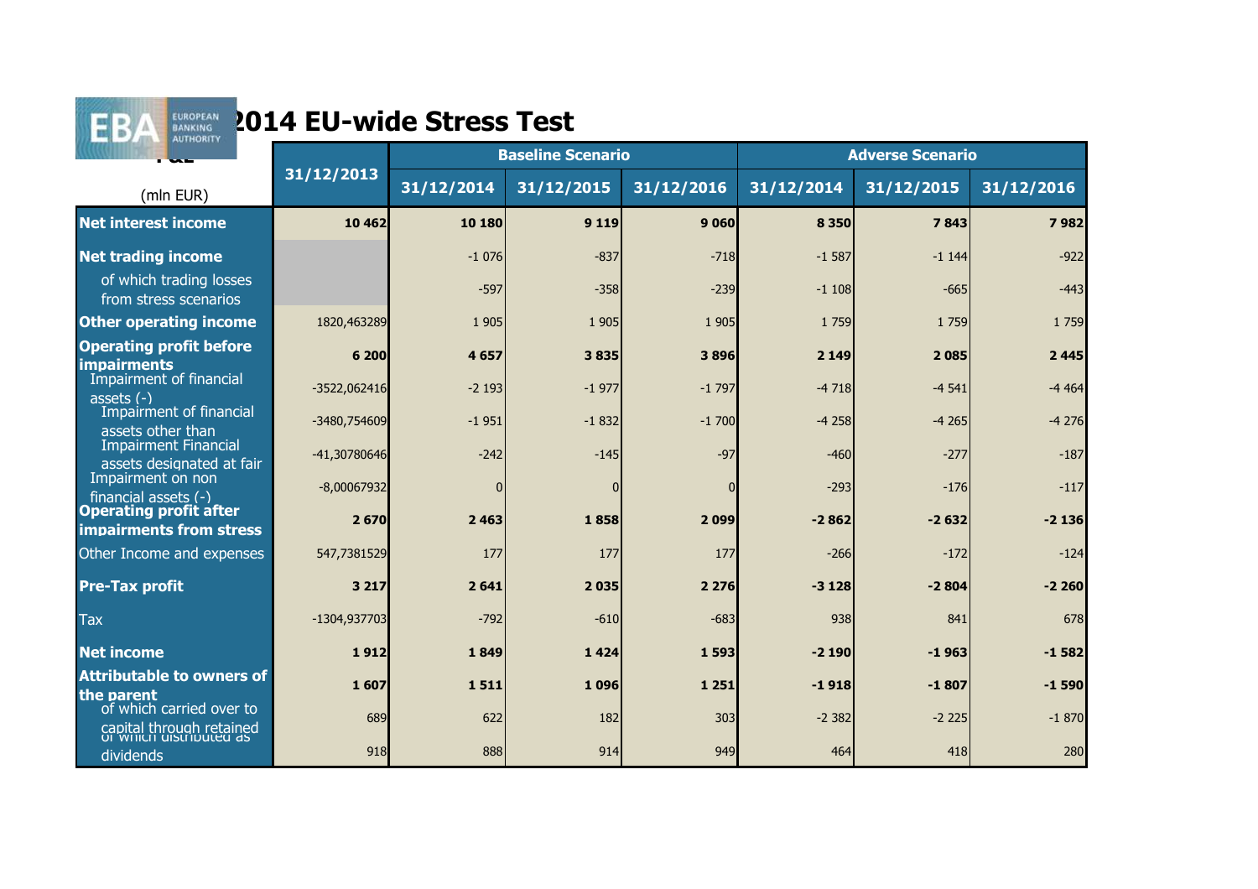

|                                                                   |                |            | <b>Baseline Scenario</b> |            |            | <b>Adverse Scenario</b> |            |
|-------------------------------------------------------------------|----------------|------------|--------------------------|------------|------------|-------------------------|------------|
| (mln EUR)                                                         | 31/12/2013     | 31/12/2014 | 31/12/2015               | 31/12/2016 | 31/12/2014 | 31/12/2015              | 31/12/2016 |
| <b>Net interest income</b>                                        | 10 4 62        | 10 180     | 9 1 1 9                  | 9060       | 8 3 5 0    | 7843                    | 7982       |
| <b>Net trading income</b>                                         |                | $-1076$    | $-837$                   | $-718$     | $-1587$    | $-1144$                 | $-922$     |
| of which trading losses<br>from stress scenarios                  |                | $-597$     | $-358$                   | $-239$     | $-1108$    | $-665$                  | $-443$     |
| <b>Other operating income</b>                                     | 1820,463289    | 1 9 0 5    | 1 9 0 5                  | 1 9 0 5    | 1 7 5 9    | 1 7 5 9                 | 1 7 5 9    |
| <b>Operating profit before</b><br><b>impairments</b>              | 6 200          | 4657       | 3835                     | 3896       | 2 1 4 9    | 2085                    | 2 4 4 5    |
| Impairment of financial<br>assets $(-)$                           | $-3522,062416$ | $-2193$    | $-1977$                  | $-1797$    | $-4718$    | $-4541$                 | $-4464$    |
| Impairment of financial<br>assets other than                      | -3480,754609   | $-1951$    | $-1832$                  | $-1700$    | $-4258$    | $-4265$                 | $-4276$    |
| <b>Impairment Financial</b><br>assets designated at fair          | -41,30780646   | $-242$     | $-145$                   | $-97$      | $-460$     | $-277$                  | $-187$     |
| Impairment on non<br>financial assets $(-)$                       | $-8,00067932$  | $\Omega$   | $\overline{0}$           |            | $-293$     | $-176$                  | $-117$     |
| <b>Operating profit after</b><br>impairments from stress          | 2 670          | 2 4 6 3    | 1858                     | 2099       | $-2862$    | $-2632$                 | $-2136$    |
| Other Income and expenses                                         | 547,7381529    | 177        | 177                      | 177        | $-266$     | $-172$                  | $-124$     |
| <b>Pre-Tax profit</b>                                             | 3 2 1 7        | 2641       | 2035                     | 2 2 7 6    | $-3128$    | $-2804$                 | $-2260$    |
| <b>Tax</b>                                                        | -1304,937703   | $-792$     | $-610$                   | $-683$     | 938        | 841                     | 678        |
| <b>Net income</b>                                                 | 1912           | 1849       | 1424                     | 1 5 9 3    | $-2190$    | $-1963$                 | $-1582$    |
| <b>Attributable to owners of</b><br>the parent                    | 1607           | 1511       | 1096                     | 1 2 5 1    | $-1918$    | $-1807$                 | $-1590$    |
| of which carried over to                                          | 689            | 622        | 182                      | 303        | $-2382$    | $-2225$                 | $-1870$    |
| capital through retained<br>or writch distributed as<br>dividends | 918            | 888        | 914                      | 949        | 464        | 418                     | 280        |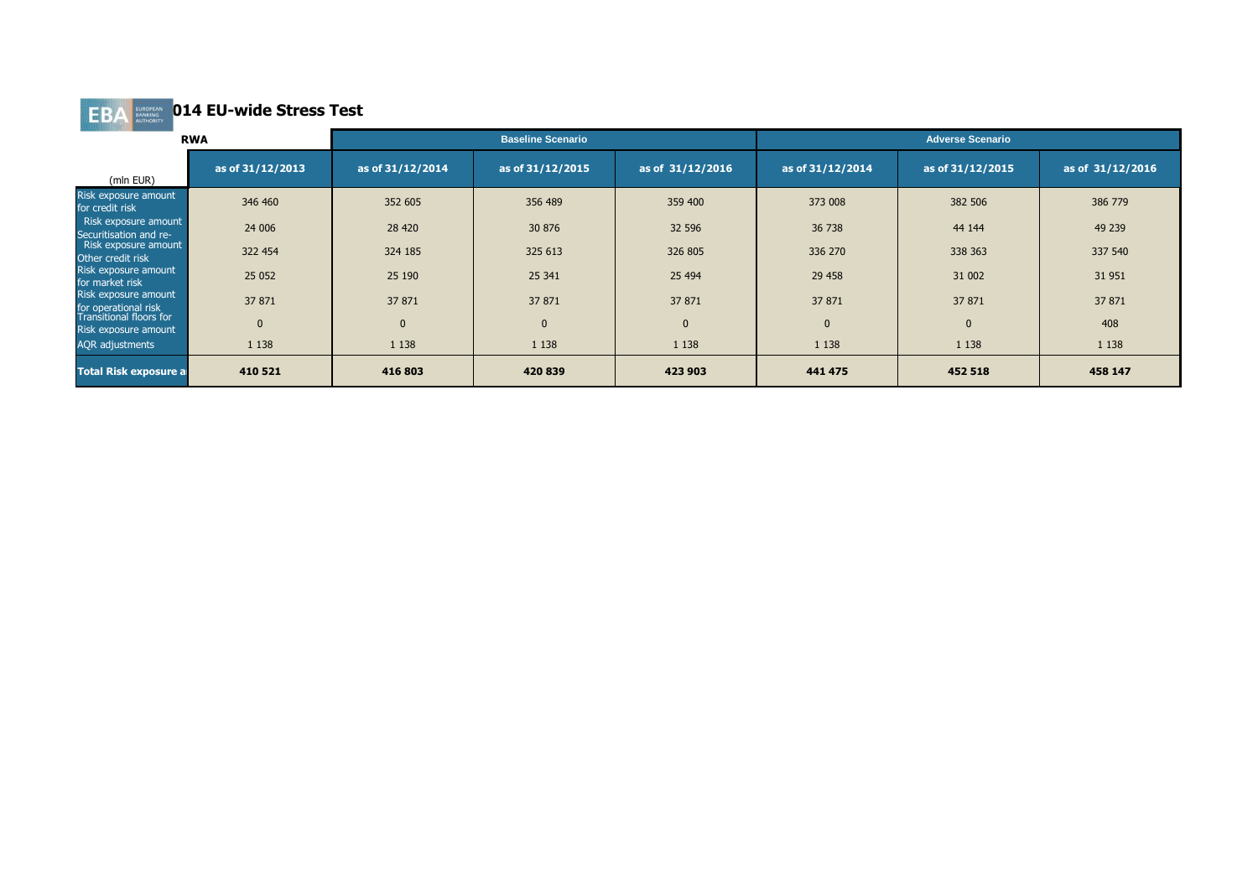|                                                        | <b>RWA</b>       |                  | <b>Baseline Scenario</b> |                  |                  | <b>Adverse Scenario</b> |                  |
|--------------------------------------------------------|------------------|------------------|--------------------------|------------------|------------------|-------------------------|------------------|
| (mln EUR)                                              | as of 31/12/2013 | as of 31/12/2014 | as of 31/12/2015         | as of 31/12/2016 | as of 31/12/2014 | as of 31/12/2015        | as of 31/12/2016 |
| Risk exposure amount<br>for credit risk                | 346 460          | 352 605          | 356 489                  | 359 400          | 373 008          | 382 506                 | 386 779          |
| Risk exposure amount<br>Securitisation and re-         | 24 006           | 28 4 20          | 30 876                   | 32 596           | 36 738           | 44 144                  | 49 239           |
| Risk exposure amount<br>Other credit risk              | 322 454          | 324 185          | 325 613                  | 326 805          | 336 270          | 338 363                 | 337 540          |
| Risk exposure amount<br>for market risk                | 25 0 52          | 25 190           | 25 341                   | 25 4 94          | 29 458           | 31 002                  | 31 951           |
| Risk exposure amount<br>for operational risk           | 37 871           | 37 871           | 37 871                   | 37 871           | 37 871           | 37 871                  | 37 871           |
| <b>Transitional floors for</b><br>Risk exposure amount | $\mathbf 0$      | $\mathbf{0}$     | $\Omega$                 | $\Omega$         |                  | $\mathbf{0}$            | 408              |
| <b>AQR</b> adjustments                                 | 1 1 3 8          | 1 1 3 8          | 1 1 3 8                  | 1 1 3 8          | 1 1 3 8          | 1 1 3 8                 | 1 1 3 8          |
| <b>Total Risk exposure al</b>                          | 410 521          | 416 803          | 420 839                  | 423 903          | 441 475          | 452 518                 | 458 147          |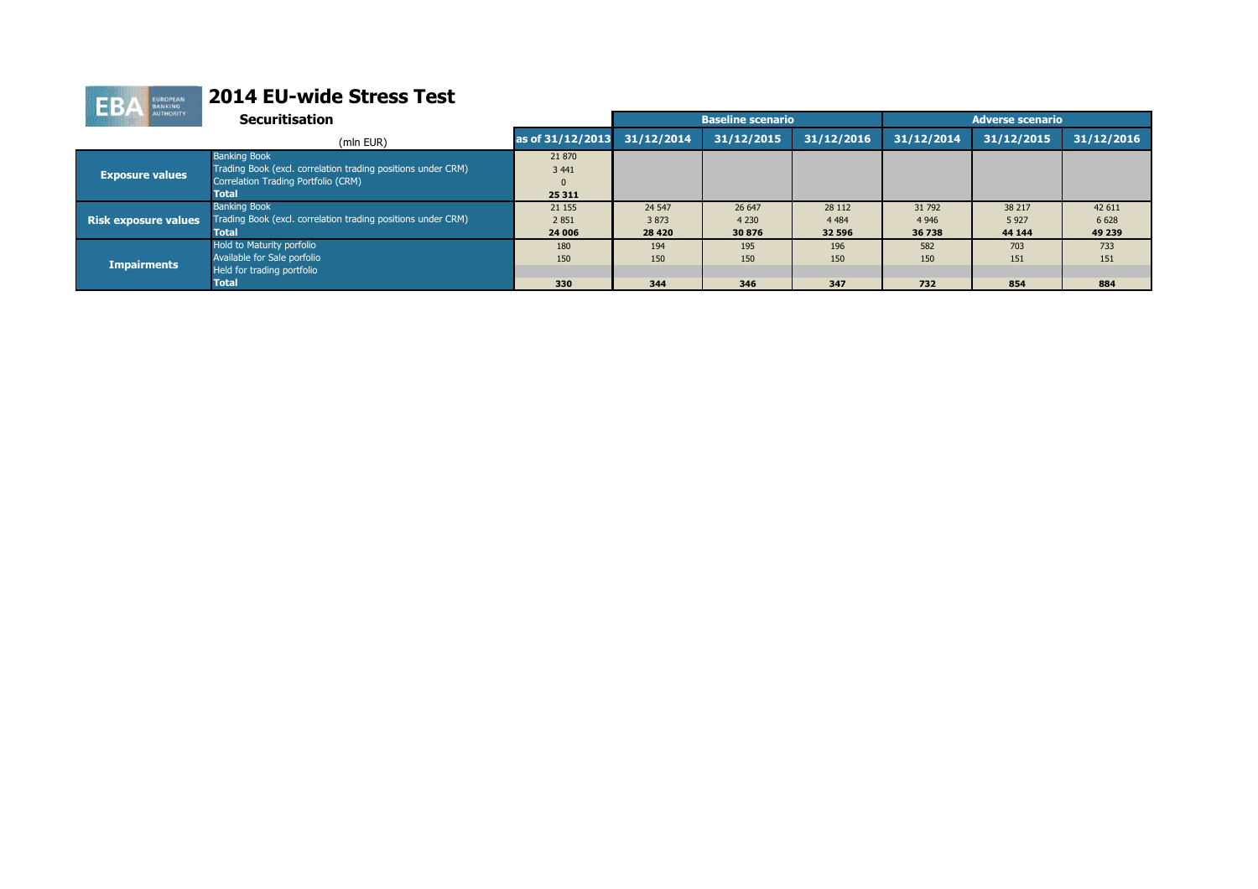| <b>BANKING</b>              |                                                              |                  |            |                          |            |            |                         |            |
|-----------------------------|--------------------------------------------------------------|------------------|------------|--------------------------|------------|------------|-------------------------|------------|
| <b>AUTHORITY</b>            | <b>Securitisation</b>                                        |                  |            | <b>Baseline scenario</b> |            |            | <b>Adverse scenario</b> |            |
|                             | (mln EUR)                                                    | as of 31/12/2013 | 31/12/2014 | 31/12/2015               | 31/12/2016 | 31/12/2014 | 31/12/2015              | 31/12/2016 |
|                             | <b>Banking Book</b>                                          | 21 870           |            |                          |            |            |                         |            |
|                             | Trading Book (excl. correlation trading positions under CRM) | 3 4 4 1          |            |                          |            |            |                         |            |
| <b>Exposure values</b>      | Correlation Trading Portfolio (CRM)                          |                  |            |                          |            |            |                         |            |
|                             | <b>Total</b>                                                 | 25 311           |            |                          |            |            |                         |            |
|                             | <b>Banking Book</b>                                          | 21 155           | 24 5 47    | 26 647                   | 28 112     | 31 792     | 38 217                  | 42 611     |
| <b>Risk exposure values</b> | Trading Book (excl. correlation trading positions under CRM) | 2851             | 3873       | 4 2 3 0                  | 4 4 8 4    | 4 9 4 6    | 5927                    | 6 6 28     |
|                             | <b>Total</b>                                                 | 24 006           | 28 4 20    | 30876                    | 32 596     | 36 738     | 44 144                  | 49 239     |
|                             | Hold to Maturity porfolio                                    | 180              | 194        | 195                      | 196        | 582        | 703                     | 733        |
| <b>Impairments</b>          | Available for Sale porfolio                                  | 150              | 150        | 150                      | 150        | 150        | 151                     | 151        |
|                             | Held for trading portfolio                                   |                  |            |                          |            |            |                         |            |
|                             | <b>Total</b>                                                 | 330              | 344        | 346                      | 347        | 732        | 854                     | 884        |
|                             |                                                              |                  |            |                          |            |            |                         |            |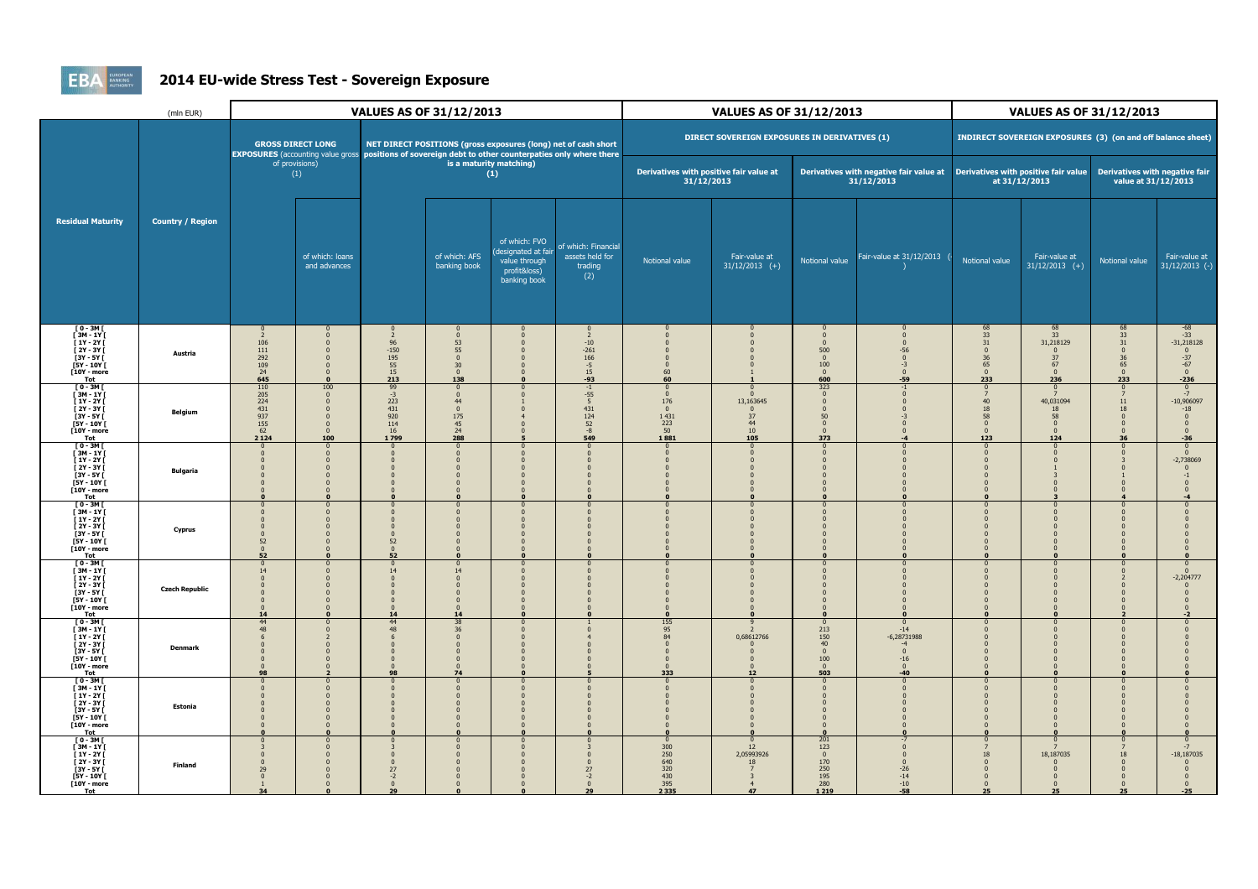

## **2014 EU-wide Stress Test - Sovereign Exposure**

|                                                                                                                                           | (mln EUR)               | VALUES AS OF 31/12/2013                                                                        |                                                                                                    |                                                                          | <b>VALUES AS OF 31/12/2013</b>                                                           |                                                                                                                                                                           |                                                          |                                                                                 | <b>VALUES AS OF 31/12/2013</b>                |                                                                   |                                                                                             |                                                                                                |                                                             |                                                                                              |                                                                                                       |
|-------------------------------------------------------------------------------------------------------------------------------------------|-------------------------|------------------------------------------------------------------------------------------------|----------------------------------------------------------------------------------------------------|--------------------------------------------------------------------------|------------------------------------------------------------------------------------------|---------------------------------------------------------------------------------------------------------------------------------------------------------------------------|----------------------------------------------------------|---------------------------------------------------------------------------------|-----------------------------------------------|-------------------------------------------------------------------|---------------------------------------------------------------------------------------------|------------------------------------------------------------------------------------------------|-------------------------------------------------------------|----------------------------------------------------------------------------------------------|-------------------------------------------------------------------------------------------------------|
|                                                                                                                                           |                         |                                                                                                | <b>GROSS DIRECT LONG</b>                                                                           |                                                                          |                                                                                          | NET DIRECT POSITIONS (gross exposures (long) net of cash short<br>EXPOSURES (accounting value gross   positions of sovereign debt to other counterpaties only where there |                                                          |                                                                                 | DIRECT SOVEREIGN EXPOSURES IN DERIVATIVES (1) |                                                                   |                                                                                             |                                                                                                | INDIRECT SOVEREIGN EXPOSURES (3) (on and off balance sheet) |                                                                                              |                                                                                                       |
|                                                                                                                                           |                         |                                                                                                | of provisions)<br>(1)                                                                              |                                                                          |                                                                                          | is a maturity matching)<br>(1)                                                                                                                                            |                                                          | Derivatives with positive fair value at<br>31/12/2013                           |                                               |                                                                   | Derivatives with negative fair value at  Derivatives with positive fair value<br>31/12/2013 |                                                                                                | at 31/12/2013                                               | Derivatives with negative fair<br>value at 31/12/2013                                        |                                                                                                       |
| <b>Residual Maturity</b>                                                                                                                  | <b>Country / Region</b> |                                                                                                | of which: loans<br>and advances                                                                    |                                                                          | of which: AFS<br>banking book                                                            | of which: FVO<br>(designated at fair<br>value through<br>profit&loss)<br>banking book                                                                                     | of which: Financial<br>assets held for<br>trading<br>(2) | Notional value                                                                  | Fair-value at<br>$31/12/2013$ (+)             | Notional value                                                    | Fair-value at 31/12/2013                                                                    | Notional value                                                                                 | Fair-value at<br>$31/12/2013$ (+)                           | Notional value                                                                               | Fair-value at<br>$31/12/2013$ (-)                                                                     |
| $\begin{bmatrix} 0 & -3M \\ 3M & -1Y \end{bmatrix}$<br>$[1Y - 2Y]$<br>[ 2Y - 3Y [<br>$[3Y - 5Y]$<br>$[5Y - 10Y]$<br>$[10Y - more]$<br>Tot | Austria                 | $\mathbf{0}$<br>$\overline{z}$<br>106<br>$111\,$<br>292<br>109<br>24<br>645                    | 0<br>$\Omega$<br>$\Omega$<br>$\sqrt{ }$<br>$\Omega$<br>$\Omega$<br>$\mathbf{o}$                    | $\overline{2}$<br>$96\,$<br>$-150$<br>195<br>$\frac{55}{15}$<br>213      | $\Omega$<br>53<br>55<br>$\mathbf 0$<br>30 <sup>°</sup><br>$\bf{0}$<br>138                |                                                                                                                                                                           | 2<br>$-10$<br>$-261$<br>166<br>$-5$<br>15<br>-93         | 60<br>60                                                                        |                                               | n<br>$\Omega$<br>500<br>$\pmb{0}$<br>100<br>$\mathbf{0}$<br>600   | $\Omega$<br>$\Omega$<br>$-56$<br>$\mathbf{0}$<br>$-3$<br>$\mathbf{0}$<br>-59                | $\begin{array}{c} 68 \\ 33 \\ 31 \end{array}$<br>$\Omega$<br>36<br>65<br>$\overline{0}$<br>233 | 68<br>33<br>31,218129<br>37<br>67<br>$\mathbf{0}$<br>236    | $\begin{array}{r} 68 \\ 33 \\ 31 \\ 0 \end{array}$<br>$\frac{36}{65}$<br>$\mathbf{0}$<br>233 | $-68$<br>$-33$<br>$-31,218128$<br>$-37$<br>$-67$<br>$\mathbf{0}$<br>$-236$                            |
| $[0-3M]$<br>[3M - 1Y [<br>[ 1Y - 2Y [<br>$[2Y - 3Y]$<br>$3Y - 5Y$<br>$[5Y - 10Y]$<br>[10Y - more<br>Tot                                   | Belgium                 | $\begin{array}{r} 110 \\ 205 \\ 224 \end{array}$<br>431<br>937<br>$\frac{155}{62}$<br>$2\,124$ | 100<br>$\mathbf{0}$<br>$\mathbf{0}$<br>$\Omega$<br>$\mathbf{0}$<br>$\Omega$<br>$\mathbf{0}$<br>100 | 99<br>$-3$<br>223<br>431<br>920<br>114<br>16<br>1799                     | $\Omega$<br>$\Omega$<br>44<br>$\mathbf{0}$<br>175<br>$\frac{45}{24}$<br>288              |                                                                                                                                                                           | $-1$<br>$-55$<br>5<br>431<br>124<br>52<br>$-8$<br>549    | $\Omega$<br>$\mathbf{0}$<br>176<br>$\mathbf{0}$<br>1 4 3 1<br>223<br>50<br>1881 | 13,163645<br>37<br>44<br>10<br>105            | 323<br>$\mathbf{0}$<br>$50\,$<br>$\mathbf{0}$<br>$\Omega$<br>373  | $\Omega$                                                                                    | $\Omega$<br>7<br>40<br>18<br>58<br>$\overline{0}$<br>$\Omega$<br>123                           | 40,031094<br>18<br>58<br>$\Omega$<br>$\Omega$<br>124        | $11\,$<br>18<br>$\mathbf{0}$<br>$\mathbf{0}$<br>$\mathbf{0}$<br>36                           | $\Omega$<br>$-7$<br>$-10,906097$<br>$\mbox{-}18$<br>$\mathbf{0}$<br>$\mathbf{0}$<br>$\sqrt{ }$<br>-36 |
| $[0-3M]$<br>[3M - 1Y [<br>$[1Y - 2Y]$<br>$[2Y - 3Y]$<br>$[3Y - 5Y]$<br>[5Y - 10Y [<br>[10Y - more<br>Tot                                  | <b>Bulgaria</b>         |                                                                                                | $\mathbf{0}$<br>$\Omega$<br>$\sqrt{ }$<br>$\sqrt{ }$                                               | $\mathbf{0}$                                                             | $\Omega$                                                                                 |                                                                                                                                                                           |                                                          |                                                                                 |                                               |                                                                   |                                                                                             | $\bf{0}$<br>$\mathbf{0}$<br>n<br>n<br>$\Omega$<br>$\mathbf{0}$                                 | $\Omega$                                                    |                                                                                              | $\mathbf 0$<br>$\mathbf{0}$<br>$-2,738069$<br>$\Omega$<br>$\Omega$                                    |
| $[0-3M]$<br>$[3M - 1Y]$<br>$[1Y - 2Y]$<br>[ 2Y - 3Y [<br>$[3Y - 5Y]$<br>$[5Y - 10Y]$<br>[10Y - more<br>Tot                                | Cyprus                  | 52<br>$\Omega$<br>52                                                                           | $\Omega$<br>$\Omega$<br>$\sqrt{ }$<br>$\mathbf{0}$                                                 | n<br>52<br>$\mathbf{0}$<br>52                                            | n                                                                                        |                                                                                                                                                                           |                                                          |                                                                                 |                                               |                                                                   |                                                                                             | $\Omega$<br>n<br>$\Omega$<br>$\mathbf{0}$                                                      |                                                             |                                                                                              |                                                                                                       |
| $[0-3M]$<br>$[3M - 1Y]$<br>$[1Y - 2Y]$<br>[ 2Y - 3Y [<br>$[3Y - 5Y]$<br>$[5Y - 10Y]$<br>$[10Y - more]$<br>Tot                             | <b>Czech Republic</b>   | 14<br>$\Omega$<br>$\Omega$<br>14                                                               | $\Omega$<br>$\Omega$<br>$\Omega$<br>$\sqrt{ }$<br>$\Omega$                                         | $\Omega$<br>14<br>$\Omega$<br>$\Omega$<br>$\mathbf{0}$<br>$\Omega$<br>14 | $\Omega$<br>14<br>$\Omega$<br>$\Omega$<br>$\mathbf{0}$<br>$\mathbf{0}$<br>$\Omega$<br>14 | $\Omega$<br>$\Omega$                                                                                                                                                      |                                                          |                                                                                 |                                               |                                                                   |                                                                                             | $\Omega$<br>$\Omega$<br>$\Omega$                                                               |                                                             |                                                                                              | $-2,204777$                                                                                           |
| $[0-3M]$<br>$[3M - 1Y]$<br>$[1Y - 2Y]$<br>[ 2Y - 3Y [<br><b>[3Y - 5Y I]</b><br>$[5Y - 10Y]$<br>[10Y - more<br>Tot                         | <b>Denmark</b>          | 44<br>48<br>$\Omega$<br>$\Omega$<br>98                                                         | $\sqrt{ }$<br>$\Omega$<br>O<br>$\Omega$<br>$\Omega$                                                | 44<br>48<br>$\mathbf{0}$<br>$\Omega$<br>$\mathbf{0}$<br>$\Omega$<br>98   | 38<br>$36\,$<br>$\mathbf{0}$<br>$\pmb{0}$<br>$\Omega$<br>$\mathbf{0}$<br>$\Omega$<br>74  | $\Omega$<br>$\mathbf{0}$                                                                                                                                                  |                                                          | 155<br>95<br>84<br>$\Omega$<br>$\Omega$<br>333                                  | 0,68612766<br>12                              | 213<br>150<br>40<br>$\Omega$<br>100<br>$\Omega$<br>503            | $-14$<br>$-6,28731988$<br>$\mathbf{0}$<br>$-16$<br>$\Omega$<br>$-40$                        | $\Omega$<br>$\Omega$<br>$\Omega$<br>$\sqrt{ }$<br>$\mathbf{0}$                                 | $\Omega$                                                    |                                                                                              |                                                                                                       |
| $[0-3M]$<br>$[3M - 1Y]$<br>$[1Y - 2Y]$<br>$\overline{1}$ 2Y - 3Y $\overline{1}$<br>[3Y - 5Y [<br>[5Y - 10Y [<br>[10Y - more<br>Tot        | Estonia                 | $\Omega$                                                                                       | п<br>$\Omega$<br>$\Omega$                                                                          |                                                                          | $\Omega$                                                                                 | $\Omega$                                                                                                                                                                  |                                                          |                                                                                 |                                               |                                                                   |                                                                                             | $\mathbf{0}$                                                                                   | $\Omega$                                                    |                                                                                              |                                                                                                       |
| $[0-3M]$<br>$[3M - 1Y]$<br>$\frac{1}{2}$ 1Y - 2Y $\frac{1}{2}$<br>$[2Y - 3Y]$<br>[3Y - 5Y [<br>$[5Y - 10Y]$<br>[10Y - more<br>Tot         | Finland                 | $\Omega$<br>29<br>34                                                                           | $\bf{0}$<br>$\Omega$<br>$\sqrt{ }$                                                                 | $\Omega$<br>$\Omega$<br>27<br>$-2$<br>$\mathbf{0}$<br>29                 | - 0<br>$\Omega$<br>$\mathbf{0}$                                                          |                                                                                                                                                                           | 27<br>$-2$<br>29                                         | $\mathbf{0}$<br>300<br>$\frac{250}{640}$<br>320<br>430<br>395<br>2 3 3 5        | 12<br>2,05993926<br>18<br>47                  | 201<br>123<br>$\mathbf{0}$<br>170<br>250<br>195<br>280<br>1 2 1 9 | $\Omega$<br>$-26$<br>$-14$<br>$-10$<br>$-58$                                                | $\mathbf{0}$<br>18<br>$\sqrt{ }$<br>$\Omega$<br>$\mathbf{0}$<br>$\overline{0}$<br>25           | 18,187035<br>$\mathbf{0}$<br>25                             | 18<br>$\Omega$<br>$\Omega$<br>$\mathbf{0}$<br>$\mathbf{0}$<br>25                             | $-18,187035$<br>$\mathbf{0}$<br>$-25$                                                                 |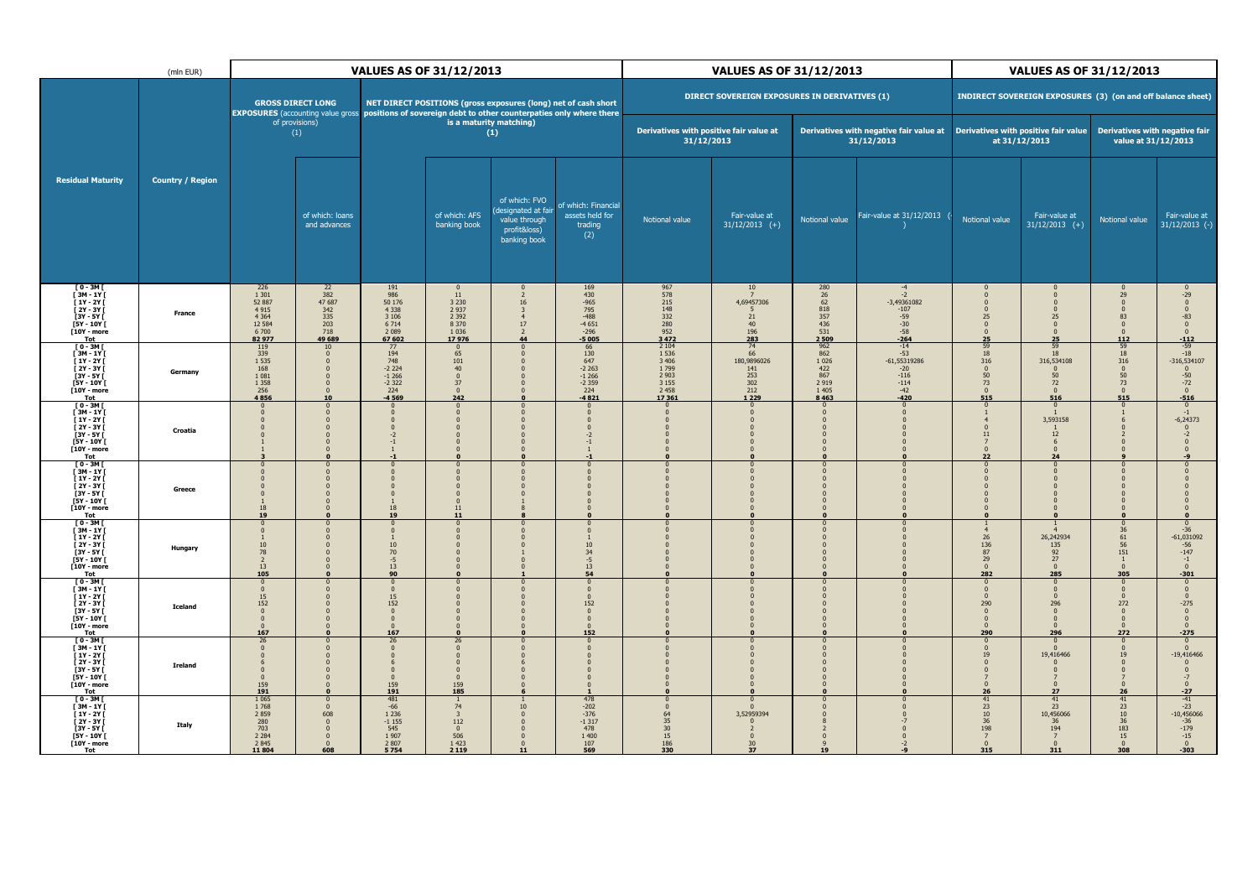|                                                                                                                                          | <b>VALUES AS OF 31/12/2013</b><br>(mln EUR) |                                                                                        |                                                                                                                                     |                                                                                                      |                                                                                           |                                                                                      | <b>VALUES AS OF 31/12/2013</b>                                                   |                                                                                               |                                                                | <b>VALUES AS OF 31/12/2013</b>                               |                                                                                  |                                                                |                                                             |                                                                                                             |                                                                                          |
|------------------------------------------------------------------------------------------------------------------------------------------|---------------------------------------------|----------------------------------------------------------------------------------------|-------------------------------------------------------------------------------------------------------------------------------------|------------------------------------------------------------------------------------------------------|-------------------------------------------------------------------------------------------|--------------------------------------------------------------------------------------|----------------------------------------------------------------------------------|-----------------------------------------------------------------------------------------------|----------------------------------------------------------------|--------------------------------------------------------------|----------------------------------------------------------------------------------|----------------------------------------------------------------|-------------------------------------------------------------|-------------------------------------------------------------------------------------------------------------|------------------------------------------------------------------------------------------|
|                                                                                                                                          |                                             |                                                                                        | <b>GROSS DIRECT LONG</b><br>EXPOSURES (accounting value gross   positions of sovereign debt to other counterpaties only where there |                                                                                                      | NET DIRECT POSITIONS (gross exposures (long) net of cash short                            |                                                                                      |                                                                                  |                                                                                               | DIRECT SOVEREIGN EXPOSURES IN DERIVATIVES (1)                  |                                                              |                                                                                  |                                                                | INDIRECT SOVEREIGN EXPOSURES (3) (on and off balance sheet) |                                                                                                             |                                                                                          |
|                                                                                                                                          |                                             |                                                                                        | of provisions)<br>(1)                                                                                                               |                                                                                                      |                                                                                           | is a maturity matching)<br>(1)                                                       |                                                                                  | Derivatives with positive fair value at<br>31/12/2013                                         |                                                                |                                                              | Derivatives with negative fair value at<br>31/12/2013                            |                                                                | Derivatives with positive fair value<br>at 31/12/2013       | Derivatives with negative fair<br>value at 31/12/2013                                                       |                                                                                          |
| <b>Residual Maturity</b>                                                                                                                 | <b>Country / Region</b>                     |                                                                                        | of which: loans<br>and advances                                                                                                     |                                                                                                      | of which: AFS<br>banking book                                                             | of which: FVO<br>designated at fair<br>value through<br>profit&loss)<br>banking book | of which: Financia<br>assets held for<br>trading<br>(2)                          | Notional value                                                                                | Fair-value at<br>$31/12/2013$ (+)                              | Notional value                                               | Fair-value at 31/12/2013                                                         | Notional value                                                 | Fair-value at<br>$31/12/2013$ (+)                           | Notional value                                                                                              | Fair-value at<br>$31/12/2013$ (-)                                                        |
| $[0 - 3M]$<br>$[3M - 1Y]$<br>$11Y - 2YI$<br>[ 2Y - 3Y I<br>[3Y - 5Y [<br>[5Y - 10Y [<br>[10Y - more<br>Tot                               | France                                      | 226<br>1 3 0 1<br>52 887<br>$4915$<br>$4364$<br>12 5 84<br>6 700<br>82977              | $\frac{22}{382}$<br>47 687<br>$\begin{array}{r} 342 \\ 335 \\ 203 \end{array}$<br>718<br>49 689                                     | 191<br>986<br>50 176<br>4 3 3 8<br>3 1 0 6<br>6 7 14<br>$\frac{2089}{67602}$                         | 11<br>3 230<br>2 937<br>2 392<br>8 3 7 0<br>1036<br>17976                                 | 16<br>$\overline{a}$<br>$17\,$<br>44                                                 | 169<br>430<br>-965<br>795<br>-488<br>-4651<br>$-296$<br>-5005                    | 967<br>578<br>215<br>248<br>332<br>280<br>952<br>3472                                         | 10<br>4,69457306<br>21<br>40<br>196<br>283                     | 280<br>26<br>62<br>62<br>818<br>357<br>436<br>531<br>2509    | $-2$<br>$-3.49361082$<br>$-107$<br>$-59$<br>$-30$<br>$-58$<br>$-264$             | 25<br>$\Omega$<br>$\Omega$<br>25                               | $\Omega$<br>25<br>$\Omega$<br>$\Omega$<br>25                | $\frac{29}{0}$<br>$\mathbf{0}$<br>83<br>$\pmb{0}$<br>$\mathbf{0}$<br>112                                    | $-29$<br>0<br>$\Omega$<br>$-83$<br>$\pmb{0}$<br>$\mathbf{0}$<br>$-112$                   |
| $[0-3M]$<br>$[3M - 1Y]$<br>$[1Y - 2Y]$<br>[ 2Y - 3Y [<br>[3Y - 5Y [<br>[5Y - 10Y [<br>$[10Y - more]$<br>Tot                              | Germany                                     | 119<br>339<br>1 5 3 5<br>168<br>1 0 8 1<br>1 3 5 8<br>256<br>4856                      | 10<br>$\Omega$<br>$\Omega$<br>$\mathbf{0}$<br>$\Omega$<br>$\overline{0}$<br>$\mathbf{0}$<br>10                                      | $\begin{array}{c} 77 \\ 194 \\ 748 \\ -2224 \end{array}$<br>$-1266$<br>$-2322$<br>224<br>$-4569$     | $\frac{0}{65}$<br>101<br>40<br>$\pmb{0}$<br>37<br>$\mathbf{0}$<br>242                     |                                                                                      | $\frac{66}{130}$<br>$647$<br>-2 263<br>$-1266$<br>$-2359$<br>$\frac{224}{-4821}$ | 2 1 0 4<br>1 5 3 6<br>3 4 0 6<br>1799<br>2 9 0 3<br>3 1 5 5<br>2 4 5 8<br>17 361              | 74<br>66<br>180,9896026<br>141<br>253<br>302<br>212<br>1 2 2 9 | 962<br>862<br>1 026<br>422<br>867<br>2919<br>1 4 0 5<br>8463 | $-14$<br>$-53$<br>$-61,55319286$<br>$-20$<br>$-116$<br>$-114$<br>$-42$<br>$-420$ | 59<br>18<br>316<br>$\Omega$<br>50<br>73<br>$\mathbf{0}$<br>515 | 59<br>18<br>316,534108<br>50<br>72<br>516                   | $\begin{array}{c} 59 \\ 18 \\ 316 \end{array}$<br>$\bf{0}$<br>$\frac{50}{73}$<br>$\mathbf 0$<br>515         | $-59$<br>$-18$<br>$-316,534107$<br>$\bf{0}$<br>$-50$<br>$-72$<br>$\mathbf 0$<br>$-516$   |
| $[0-3M]$<br>[ 3M - 1Y ]<br>[ 1Y - 2Y ]<br>[ 2Y - 3Y [<br>$[3Y - 5Y]$<br>$[5Y - 10Y]$<br>[10Y - more<br>Tot                               | Croatia                                     |                                                                                        | $\Omega$<br>$\Omega$<br>$\mathbf{0}$<br>$\Omega$<br>$\mathbf{0}$                                                                    | $\Omega$<br>$\mathbf{0}$<br>$-2$<br>$-1$<br>-1                                                       | $\Omega$<br>$\Omega$<br>$\Omega$<br>$\Omega$                                              |                                                                                      | $-1$                                                                             |                                                                                               |                                                                |                                                              |                                                                                  | $\Omega$<br>11<br>22                                           | 3,593158<br>$12\,$<br>24                                    |                                                                                                             | $\Omega$<br>$-6,24373$                                                                   |
| [ 0 - 3M [<br>[3M - 1Y [<br>$[1Y - 2Y]$<br>$\overline{1}$ 2Y - 3Y $\overline{1}$<br>$[3Y - 5Y]$<br>$[5Y - 10Y]$<br>$[10Y - more]$<br>Tot | Greece                                      | $\overline{0}$<br>18<br>19                                                             | $\mathbf{0}$<br>$\Omega$<br>$\Omega$<br>$\sqrt{2}$                                                                                  | $\overline{0}$<br>$\mathbf{0}$<br>$\mathbf{0}$<br>$\bf{0}$<br>$\overline{1}$<br>18<br>19             | $\mathbf{0}$<br>$\Omega$<br>$\Omega$<br>$\Omega$<br>11<br>11                              |                                                                                      |                                                                                  |                                                                                               |                                                                | $\Omega$<br>$\Omega$                                         |                                                                                  |                                                                |                                                             | $\Omega$                                                                                                    |                                                                                          |
| $[0 - 3M]$<br>$[3M - 1Y]$<br>$[1Y - 2Y]$<br>[ 2Y - 3Y [<br>[3Y - 5Y [<br>[5Y - 10Y [<br>[10Y - more<br><b>Tot</b>                        | Hungary                                     | $\mathbf{0}$<br>10<br>78<br>$\overline{2}$<br>13<br>105                                | $\mathbf{0}$<br>$\Omega$<br>$\Omega$<br>$\overline{0}$<br>$\mathbf{0}$<br>$\Omega$                                                  | $\mathbf{0}$<br>-1<br>$\frac{10}{70}$<br>$-5$<br>13<br>90                                            | $\mathbf{0}$<br>$\Omega$<br>$\Omega$<br>$\Omega$<br>$\Omega$                              |                                                                                      | 10<br>$34 - 5$<br>13<br>54                                                       |                                                                                               |                                                                | $\overline{0}$<br>n<br>$\Omega$<br>$\Omega$                  |                                                                                  | 26<br>136<br>87<br>29<br>$\Omega$<br>282                       | 26,242934<br>135<br>$\frac{92}{27}$<br>$\Omega$<br>285      | $\mathbf{0}$<br>$\begin{array}{r} 36 \\ 61 \\ 56 \\ 151 \end{array}$<br>$\mathbf{1}$<br>$\mathbf{0}$<br>305 | $-36$<br>$-61,031092$<br>$-56$<br>$-147$<br>$-1$<br>$\Omega$<br>$-301$                   |
| $[0-3M]$<br>$[3M - 1Y]$<br>$11Y - 2YI$<br>[ 2Y - 3Y I<br>[3Y - 5Y [<br>$[5Y - 10Y]$<br>[10Y - more<br>Tot                                | <b>Iceland</b>                              | $\bf{0}$<br>$\overline{0}$<br>15<br>152<br>$\Omega$<br>$\mathbf{0}$<br>$\Omega$<br>167 | $\Omega$<br>$\overline{0}$<br>$\Omega$<br>$\Omega$<br>$\Omega$<br>$\mathbf{0}$<br>$\Omega$                                          | - 0<br>$\overline{0}$<br>$\frac{15}{152}$<br>$\mathbf 0$<br>$\overline{0}$<br>$\Omega$<br>167        | $\Omega$<br>$\mathbf{0}$<br>n<br>$\Omega$<br>$\Omega$<br>$\Omega$                         |                                                                                      | $\Omega$<br>152<br>$\Omega$<br>$\Omega$<br>152                                   |                                                                                               |                                                                | $\Omega$<br>$\Omega$<br>$\mathbf{0}$<br>$\Omega$             |                                                                                  | $\Omega$<br>290<br>$\Omega$<br>$\Omega$<br>$\Omega$<br>290     | $\Omega$<br>n<br>296<br>$\Omega$<br>$\Omega$<br>296         | $\mathbf{0}$<br>$\Omega$<br>272<br>$\mathbf{0}$<br>$\pmb{0}$<br>$\mathbf{0}$<br>272                         | $\mathbf{0}$<br>$\Omega$<br>$-275$<br>$\Omega$<br>$\mathbf{0}$<br>$\mathbf{0}$<br>$-275$ |
| $[0-3M]$<br>$[3M - 1Y]$<br>$[1Y - 2Y]$<br>[ 2Y - 3Y [<br>[3Y - 5Y [<br>[5Y - 10Y]<br>[10Y - more<br>Tot                                  | <b>Ireland</b>                              | 26<br>$\Omega$<br>$\Omega$<br>$\Omega$<br>$\mathbf{0}$<br>159<br>191                   | $\Omega$<br>$\Omega$<br>$\Omega$<br>$\Omega$<br>$\mathbf{0}$<br>$\mathbf{0}$<br>$\Omega$                                            | 26<br>$\mathbf{0}$<br>$\sqrt{2}$<br>$\overline{\mathbf{0}}$<br>$\overline{\mathbf{0}}$<br>159<br>191 | 26<br>$\Omega$<br>$\Omega$<br>$\Omega$<br>$\mathbf{0}$<br>$\mathbf{0}$<br>159<br>185      |                                                                                      |                                                                                  |                                                                                               |                                                                | $\Omega$                                                     |                                                                                  | n<br>19<br>26                                                  | 19,416466<br>27                                             | $\mathbf{0}$<br>$19\,$<br>$\mathbf 0$<br>$\mathbf 0$<br>$\mathbf{0}$<br>26                                  | $\Omega$<br>$-19,416466$<br>$\mathbf{0}$                                                 |
| $[0 - 3M]$<br>[ 3M - 1Y [<br>$[1Y - 2Y]$<br>[ 2Y - 3Y [<br>[3Y - 5Y [<br>$[5Y - 10Y]$<br>[10Y - more<br>Tot                              | Italy                                       | 1 0 6 5<br>1768<br>2859<br>280<br>703<br>2 2 8 4<br>2 8 4 5<br>11804                   | $\mathbf{0}$<br>$\overline{0}$<br>608<br>$\mathbf{0}$<br>$\bf 0$<br>$\mathbf{0}$<br>$\mathbf{0}$<br>608                             | $^{481}_{-66}$<br>1 2 3 6<br>$-1155$<br>545<br>1 9 0 7<br>2 807<br>5754                              | $\overline{1}$<br>74<br>$\overline{3}$<br>112<br>$\overline{0}$<br>506<br>1423<br>2 1 1 9 | 10<br>$\mathbf{0}$<br>11                                                             | $\frac{478}{-202}$<br>$-376$<br>$-1317$<br>478<br>1 400<br>107<br>569            | $\mathbf{0}$<br>$\Omega$<br>64<br>35<br>$\begin{array}{c} 30 \\ 15 \\ 186 \end{array}$<br>330 | 3,52959394<br>$\mathbf{0}$<br>30 <sup>2</sup><br>37            | $\Omega$<br>19                                               |                                                                                  | 41<br>23<br>10<br>36<br>198<br>$\Omega$<br>315                 | 41<br>23<br>10,456066<br>36<br>194<br>$\mathbf{0}$<br>311   | 41<br>$\substack{23 \\ 10}$<br>$\frac{36}{183}$<br>$\frac{15}{0}$<br>308                                    | $-27$<br>$-41$<br>$-23$<br>$-10,456066$<br>$-36$<br>$-179$<br>$-15$<br>0<br>$-303$       |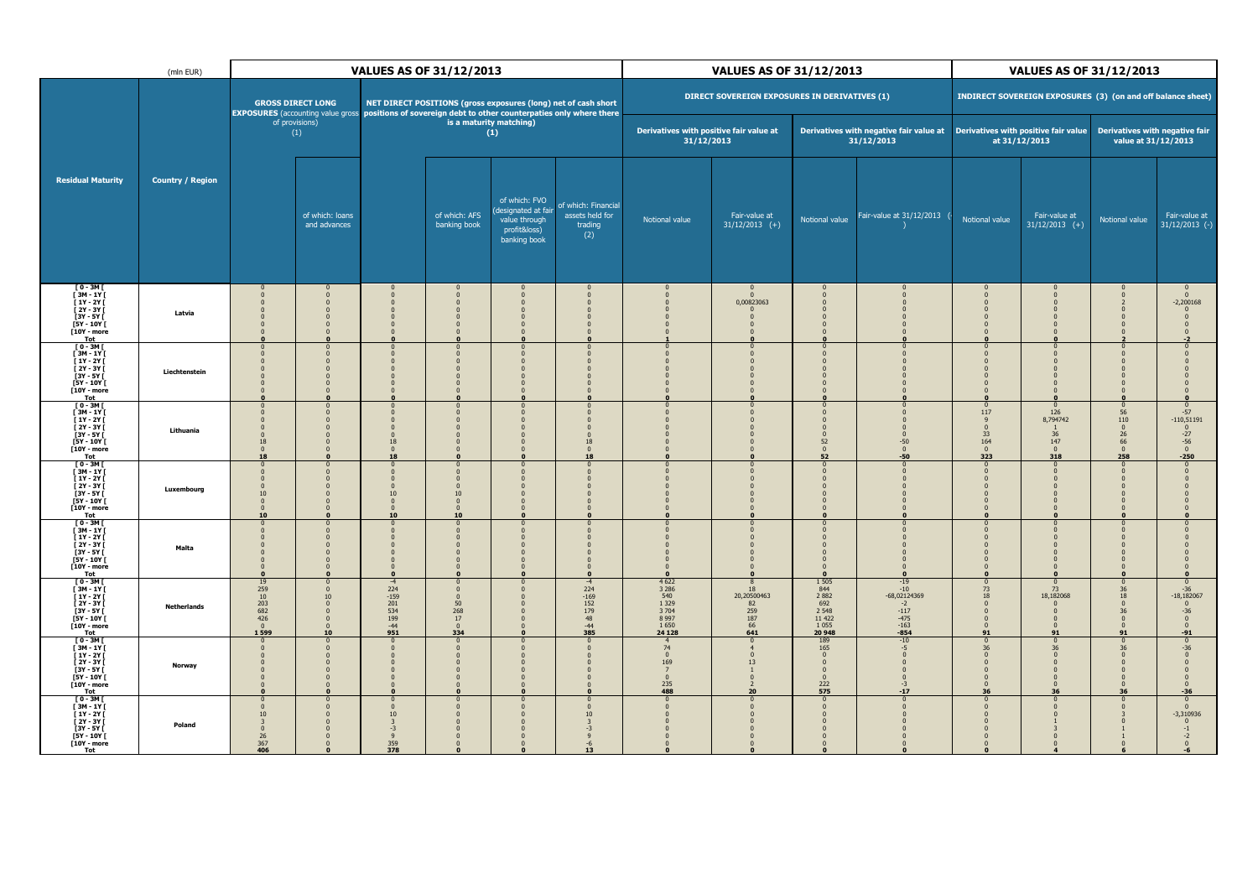|                                                                                                                                       | (mln EUR)               |                                                                 | <b>VALUES AS OF 31/12/2013</b>                                                                       |                                                                                                  |                                                                                   |                                                                                      |                                                                                                                                                                         |                                                                              | <b>VALUES AS OF 31/12/2013</b>                     |                                                                                      |                                                                                |                                                                               | <b>VALUES AS OF 31/12/2013</b>                                   |                                                                                                    |                                                                                 |  |
|---------------------------------------------------------------------------------------------------------------------------------------|-------------------------|-----------------------------------------------------------------|------------------------------------------------------------------------------------------------------|--------------------------------------------------------------------------------------------------|-----------------------------------------------------------------------------------|--------------------------------------------------------------------------------------|-------------------------------------------------------------------------------------------------------------------------------------------------------------------------|------------------------------------------------------------------------------|----------------------------------------------------|--------------------------------------------------------------------------------------|--------------------------------------------------------------------------------|-------------------------------------------------------------------------------|------------------------------------------------------------------|----------------------------------------------------------------------------------------------------|---------------------------------------------------------------------------------|--|
|                                                                                                                                       |                         |                                                                 | <b>GROSS DIRECT LONG</b>                                                                             |                                                                                                  |                                                                                   |                                                                                      | NET DIRECT POSITIONS (gross exposures (long) net of cash short<br>EXPOSURES (accounting value gross positions of sovereign debt to other counterpaties only where there |                                                                              | DIRECT SOVEREIGN EXPOSURES IN DERIVATIVES (1)      |                                                                                      |                                                                                |                                                                               | INDIRECT SOVEREIGN EXPOSURES (3) (on and off balance sheet)      |                                                                                                    |                                                                                 |  |
|                                                                                                                                       |                         |                                                                 | of provisions)<br>(1)                                                                                |                                                                                                  |                                                                                   | is a maturity matching)<br>(1)                                                       |                                                                                                                                                                         | Derivatives with positive fair value at<br>31/12/2013                        |                                                    |                                                                                      | Derivatives with negative fair value at<br>31/12/2013                          |                                                                               | Derivatives with positive fair value<br>at 31/12/2013            | Derivatives with negative fair                                                                     | value at 31/12/2013                                                             |  |
| <b>Residual Maturity</b>                                                                                                              | <b>Country / Region</b> |                                                                 | of which: loans<br>and advances                                                                      |                                                                                                  | of which: AFS<br>banking book                                                     | of which: FVO<br>designated at fair<br>value through<br>profit&loss)<br>banking book | of which: Financia<br>assets held for<br>trading<br>(2)                                                                                                                 | Notional value                                                               | Fair-value at<br>$31/12/2013$ (+)                  | Notional value                                                                       | Fair-value at 31/12/2013                                                       | Notional value                                                                | Fair-value at<br>$31/12/2013$ (+)                                | Notional value                                                                                     | Fair-value at<br>$31/12/2013$ (-)                                               |  |
| $[0-3M]$<br>$\begin{bmatrix} 3M - 1Y \\ 1Y - 2Y \end{bmatrix}$<br>[ 2Y - 3Y [<br>[3Y - 5Y [<br>[5Y - 10Y [<br>$[10Y - more]$<br>Tot   | Latvia                  |                                                                 |                                                                                                      | $\Omega$                                                                                         | $\Omega$<br>$\Omega$<br>$\Omega$                                                  |                                                                                      |                                                                                                                                                                         |                                                                              | 0,00823063                                         | $\Omega$                                                                             |                                                                                | $\Omega$                                                                      |                                                                  |                                                                                                    | $\Omega$<br>$-2,200168$                                                         |  |
| $[0-3M]$<br>$[3M - 1Y]$<br>[ 1Y - 2Y [<br>[ 2Y - 3Y [<br>[3Y - 5Y [<br>$[5Y - 10Y]$<br>[10Y - more<br>Tot                             | Liechtenstein           | $\Omega$                                                        | $\Omega$<br>$\Omega$                                                                                 | $\Omega$<br>$\Omega$<br>$\Omega$<br>$\Omega$                                                     | $\Omega$<br>$\Omega$                                                              | $\Omega$                                                                             |                                                                                                                                                                         | $\Omega$                                                                     |                                                    | $\Omega$<br>$\Omega$                                                                 |                                                                                | $\Omega$<br>$\Omega$                                                          |                                                                  | $\Omega$                                                                                           |                                                                                 |  |
| $[0-3M]$<br>[ 3M - 1Y [<br>$[1Y - 2Y]$<br>$\overline{[}2Y-3Y\overline{[}$<br>$[3Y - 5Y]$<br>$[5Y - 10Y]$<br>[10Y - more<br>Tot        | Lithuania               | 18<br>$\Omega$<br>18                                            | $\Omega$                                                                                             | $\overline{0}$<br>18<br>$\sqrt{2}$<br>18                                                         | $\Omega$<br>$\Omega$                                                              |                                                                                      | 18<br>18                                                                                                                                                                |                                                                              |                                                    | $\Omega$<br>$\Omega$<br>$\Omega$<br>$\Omega$<br>52<br>$\Omega$<br>52                 | $-50$<br>$\Omega$<br>$-50$                                                     | $\Omega$<br>117<br>$\mathbf{0}$<br>33<br>164<br>$\Omega$<br>323               | 126<br>8,794742<br>36<br>147<br>$\Omega$<br>318                  | $\Omega$<br>$\frac{56}{110}$<br>$\mathbf 0$<br>$\begin{array}{c} 26 \\ 66 \\ 0 \end{array}$<br>258 | $-57$<br>$-110,51191$<br>$\overline{0}$<br>$-27$<br>$-56$<br>0<br>$-250$        |  |
| [ 0 - 3M [<br>[3M - 1Y [<br>$[1Y - 2Y]$<br>$\overline{1}$ 2Y - 3Y $\overline{1}$<br>$[3Y - 5Y]$<br>$[5Y - 10Y]$<br>[10Y - more<br>Tot | Luxembourg              | $\Omega$<br>10<br>$\Omega$<br>$\Omega$<br>10                    | $\Omega$<br>$\Omega$<br>$\Omega$<br>n                                                                | $\mathbf{0}$<br>$10\,$<br>$\bf{0}$<br>$\overline{\mathbf{0}}$<br>10                              | $\Omega$<br>$\mathbf{0}$<br>10<br>$\Omega$<br>$\overline{0}$<br>10                | $\Omega$                                                                             |                                                                                                                                                                         |                                                                              |                                                    | $\Omega$<br>n                                                                        |                                                                                | n                                                                             |                                                                  |                                                                                                    |                                                                                 |  |
| $[0-3M]$<br>$[3M - 1Y]$<br>$[1Y - 2Y]$<br>$[2Y - 3Y]$<br>[3Y - 5Y ]<br>[5Y - 10Y [<br>[10Y - more<br>Tot                              | Malta                   | $\Omega$                                                        | $\mathbf{0}$<br>$\Omega$<br>$\Omega$<br>$\mathbf{0}$                                                 | $\mathbf{0}$<br>$\overline{0}$<br>$\Omega$<br>$\Omega$                                           | $\mathbf 0$<br>$\mathbf{0}$<br>$\Omega$<br>$\Omega$<br>$\mathbf{0}$               |                                                                                      |                                                                                                                                                                         | $\Omega$                                                                     |                                                    | $\Omega$<br>$\Omega$                                                                 |                                                                                | $\Omega$<br>$\Omega$                                                          |                                                                  |                                                                                                    |                                                                                 |  |
| $[0-3M]$<br>$[3M - 1Y]$<br>$11Y - 2Y$<br>$[2Y - 3Y]$<br>[3Y - 5Y [<br>$[5Y - 10Y]$<br>[10Y - more<br>Tot                              | <b>Netherlands</b>      | 19<br>259<br>10<br>203<br>682<br>426<br>$\mathbf{0}$<br>1 5 9 9 | $\mathbf{0}$<br>$\Omega$<br>10<br>$\mathbf{0}$<br>$\mathbf{0}$<br>$\mathbf{0}$<br>$\mathbf{0}$<br>10 | $-4$<br>224<br>-159<br>201<br>534<br>199<br>$-44$<br>951                                         | $\bf{0}$<br>$\Omega$<br>$\Omega$<br>$\frac{50}{268}$<br>17<br>$\mathbf{0}$<br>334 | $\mathbf{0}$                                                                         | $-4$<br>$224 - 169$<br>152<br>179<br>48<br>$-44$<br>385                                                                                                                 | 4 6 22<br>3 2 8 6<br>540<br>1 3 2 9<br>3 7 0 4<br>8 9 9 7<br>1650<br>24 1 28 | 18<br>20,20500463<br>82<br>259<br>187<br>66<br>641 | 1 5 0 5<br>844<br>2882<br>692<br>2 5 4 8<br>11 422<br>1055<br>20 948                 | $-19$<br>$-10$<br>-68,02124369<br>$-2$<br>$-117$<br>$-475$<br>$-163$<br>$-854$ | 73<br>18<br>$\Omega$<br>$\Omega$<br>$\overline{\mathbf{0}}$<br>$\Omega$<br>91 | 73<br>18,182068<br>$\Omega$<br>91                                | $\frac{36}{18}$<br>$\mathbf{0}$<br>36<br>$\mathbf{0}$<br>91                                        | $-36$<br>$-18,182067$<br>$\overline{0}$<br>$-36$<br>$\bf{0}$<br>$\Omega$<br>-91 |  |
| $[0-3M]$<br>$[3M - 1Y]$<br>$[1Y - 2Y]$<br>[ 2Y - 3Y [<br>[3Y - 5Y [<br>$[5Y - 10Y]$<br>[10Y - more<br>Tot                             | Norway                  | $\Omega$                                                        | $\Omega$<br>$\Omega$<br>$\Omega$                                                                     | $\sqrt{2}$<br>$\Omega$<br>$\Omega$<br>$\mathbf{0}$<br>$\overline{0}$<br>$\mathbf{0}$<br>$\Omega$ | $\Omega$<br>$\Omega$<br>$\Omega$<br>$\Omega$<br>$\Omega$<br>$\mathbf{0}$          |                                                                                      |                                                                                                                                                                         | 74<br>$\Omega$<br>169<br>7<br>$\mathbf 0$<br>235<br>488                      | 13<br>20                                           | 189<br>165<br>$\Omega$<br>$\mathbf{0}$<br>$\mathbf{0}$<br>$\mathbf{0}$<br>222<br>575 | $-10$<br>$-5$<br>$-3$<br>$-17$                                                 | 36<br>$\Omega$<br>$\Omega$<br>$\Omega$<br>36                                  | 36<br>$\Omega$<br>$\mathbf{0}$<br>$\Omega$<br>$\mathbf{0}$<br>36 | 36<br>36                                                                                           | $-36$<br>$-36$                                                                  |  |
| $[0-3M]$<br>[ 3M - 1Y [<br>$[1Y - 2Y]$<br>[ 2Y - 3Y [<br>$[3Y - 5Y]$<br>$[5Y - 10Y]$<br>[10Y - more<br>Tot                            | Poland                  | $\mathbf{0}$<br>$\Omega$<br>10<br>26<br>367<br>406              | $\Omega$                                                                                             | $\mathbf{0}$<br>$\Omega$<br>10<br>$-3$<br>9<br>359<br>378                                        | $\sqrt{ }$                                                                        | $\Omega$                                                                             | 10                                                                                                                                                                      | $\Omega$<br>$\Omega$                                                         |                                                    | $\Omega$<br>$\Omega$                                                                 |                                                                                | $\Omega$<br>$\Omega$                                                          |                                                                  |                                                                                                    | $\Omega$<br>$\Omega$<br>$-3,310936$                                             |  |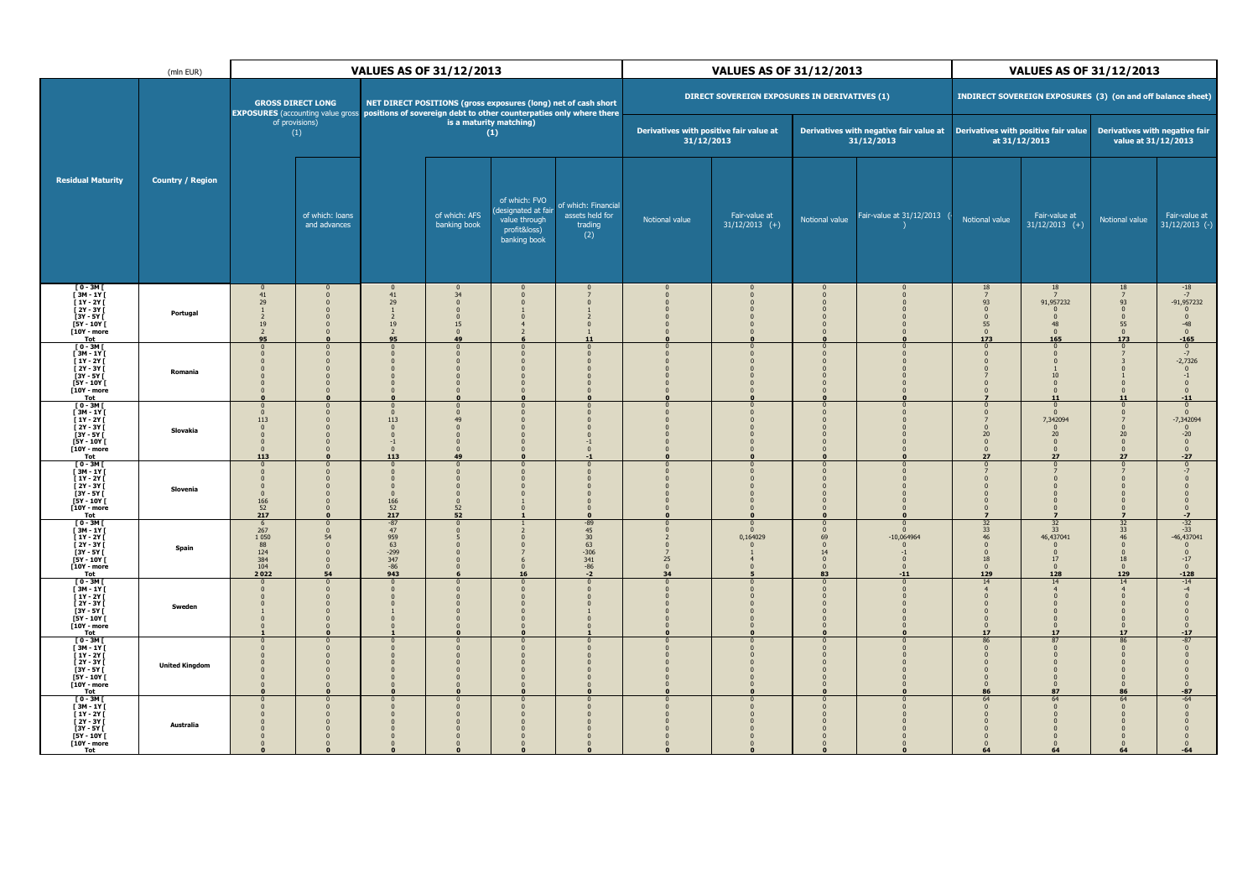|                                                                                                                                      | VALUES AS OF 31/12/2013<br>(mln EUR) |                                                                                  |                                                                              |                                                                                |                                                                    | <b>VALUES AS OF 31/12/2013</b>                                                        |                                                                                                                                                                         |                          |                                                       | <b>VALUES AS OF 31/12/2013</b>                             |                                                           |                                                                                              |                                                                                                                   |                                                                |                                                                                        |
|--------------------------------------------------------------------------------------------------------------------------------------|--------------------------------------|----------------------------------------------------------------------------------|------------------------------------------------------------------------------|--------------------------------------------------------------------------------|--------------------------------------------------------------------|---------------------------------------------------------------------------------------|-------------------------------------------------------------------------------------------------------------------------------------------------------------------------|--------------------------|-------------------------------------------------------|------------------------------------------------------------|-----------------------------------------------------------|----------------------------------------------------------------------------------------------|-------------------------------------------------------------------------------------------------------------------|----------------------------------------------------------------|----------------------------------------------------------------------------------------|
|                                                                                                                                      |                                      |                                                                                  | <b>GROSS DIRECT LONG</b>                                                     |                                                                                |                                                                    |                                                                                       | NET DIRECT POSITIONS (gross exposures (long) net of cash short<br>EXPOSURES (accounting value gross positions of sovereign debt to other counterpaties only where there |                          | DIRECT SOVEREIGN EXPOSURES IN DERIVATIVES (1)         |                                                            |                                                           |                                                                                              | INDIRECT SOVEREIGN EXPOSURES (3) (on and off balance sheet)                                                       |                                                                |                                                                                        |
|                                                                                                                                      |                                      |                                                                                  | of provisions)<br>(1)                                                        |                                                                                |                                                                    | is a maturity matching)<br>(1)                                                        |                                                                                                                                                                         |                          | Derivatives with positive fair value at<br>31/12/2013 |                                                            | Derivatives with negative fair value at<br>31/12/2013     |                                                                                              | Derivatives with positive fair value<br>at 31/12/2013                                                             | Derivatives with negative fair<br>value at 31/12/2013          |                                                                                        |
| <b>Residual Maturity</b>                                                                                                             | <b>Country / Region</b>              |                                                                                  | of which: loans<br>and advances                                              |                                                                                | of which: AFS<br>banking book                                      | of which: FVO<br>(designated at fair<br>value through<br>profit&loss)<br>banking book | of which: Financia<br>assets held for<br>trading<br>(2)                                                                                                                 | Notional value           | Fair-value at<br>$31/12/2013$ (+)                     | Notional value                                             | Fair-value at 31/12/2013                                  | Notional value                                                                               | Fair-value at<br>$31/12/2013$ (+)                                                                                 | Notional value                                                 | Fair-value at<br>$31/12/2013$ (-)                                                      |
| [ 0 - 3M [<br>[ 3M - 1Y [<br>[ 1Y - 2Y [<br>[ 2Y - 3Y ]<br>[3Y - 5Y [<br>[5Y - 10Y [<br>[10Y - more<br>Tot                           | Portugal                             | 41<br>29<br>$\overline{\phantom{a}}$<br>19<br>95                                 |                                                                              | 41<br>29<br>$\overline{z}$<br>19<br>95                                         | 34<br>$\Omega$<br>$\Omega$<br>$\Omega$<br>15<br>$\mathbf{0}$<br>49 |                                                                                       | 11                                                                                                                                                                      |                          |                                                       |                                                            |                                                           | 18<br>$\overline{7}$<br>93<br>$\Omega$<br>$\Omega$<br>55<br>$\overline{0}$<br>173            | 18<br>91,957232<br>$\Omega$<br>48<br>$\Omega$<br>165                                                              | 18<br>93<br>$\Omega$<br>$\Omega$<br>55<br>$\mathbf{0}$<br>173  | $-18$<br>$-7$<br>$-91,957232$<br>$\mathbf 0$<br>$-48$<br>$\mathbf{0}$<br>$-165$        |
| [ 0 - 3M [<br>[ 3M - 1Y [<br>[ 1Y - 2Y [<br>[ 2Y - 3Y [<br>[3Y - 5Y [<br>[5Y - 10Y [<br>$[10Y - more]$<br>Tot                        | Romania                              | - 0                                                                              | $\Omega$                                                                     | $\Omega$                                                                       | $\Omega$                                                           |                                                                                       | $\Omega$<br>$\Omega$                                                                                                                                                    | $\Omega$                 | $\Omega$                                              | $\Omega$                                                   |                                                           | $\Omega$<br>$\Omega$<br>$\Omega$                                                             | $\Omega$<br>$\Omega$<br>$\Omega$<br>10<br>$\overline{0}$<br>11                                                    | $\Omega$                                                       | $\frac{0}{-7}$<br>$-2,7326$<br>$-11$                                                   |
| $[0-3M]$<br>[3M - 1Y [<br>$[1Y - 2Y]$<br>[ 2Y - 3Y [<br>$[3Y - 5Y]$<br>$[5Y - 10Y]$<br>$[10Y - moreTot$                              | Slovakia                             | $\Omega$<br>113<br>113                                                           |                                                                              | $\Omega$<br>$113\,$<br>$\mathbf{0}$<br>$\mathbf{0}$<br>$-1$<br>$\Omega$<br>113 | $\Omega$<br>$\Omega$<br>49<br>$\Omega$<br>49                       |                                                                                       | $\Omega$<br>$\Omega$                                                                                                                                                    |                          |                                                       | $\Omega$                                                   |                                                           | $\Omega$<br>$\Omega$<br>$\mathbf{0}$<br>20<br>$\mathbf{0}$<br>$\mathbf{0}$<br>27             | $\Omega$<br>7,342094<br>20<br>$\overline{0}$<br>$\overline{0}$<br>27                                              | $\mathbf{0}$<br>20 <sub>2</sub><br>$\Omega$<br>$\Omega$<br>27  | $\Omega$<br>$-7,342094$<br>$\pmb{0}$<br>$-20$<br>$\mathbf{0}$<br>$\mathbf{0}$<br>$-27$ |
| $[0 - 3M]$<br>$[3M - 1Y]$<br>$[1Y - 2Y]$<br>$\overline{1}$ 2Y - 3Y $\overline{1}$<br>$3Y - 5Y$<br>$[5Y - 10Y]$<br>$[10Y - moreTot$   | Slovenia                             | 166<br>$\frac{52}{217}$                                                          | n                                                                            | $\Omega$<br>$\bf{0}$<br>166<br>$\frac{52}{217}$                                | $\Omega$<br>$\frac{52}{52}$                                        |                                                                                       | $\Omega$<br>$\Omega$<br>$\Omega$                                                                                                                                        |                          |                                                       |                                                            |                                                           | $\Omega$                                                                                     | $\Omega$<br>$\Omega$                                                                                              |                                                                | $-7$                                                                                   |
| $\begin{bmatrix} 0 & -3M \\ 3M & -1Y \end{bmatrix}$<br>$[1Y - 2Y]$<br>i 2Y - 3Y İ<br>[3Y - 5Y [<br>[5Y - 10Y [<br>[10Y - more<br>Tot | Spain                                | 267<br>1 0 5 0<br>88<br>124<br>384<br>$\begin{array}{c} 104 \\ 2022 \end{array}$ | $\mathbf{0}$<br>54<br>$\Omega$<br>$\Omega$<br>$\mathbf{0}$<br>$\frac{0}{54}$ | $-87$<br>47<br>$959$<br>$63$<br>$-299$<br>$347$<br>$-86$<br>943                |                                                                    |                                                                                       | $-89$<br>45<br>30<br>63<br>530<br>341<br>$-86$<br>-2                                                                                                                    | $25\,$<br>$\Omega$<br>34 | 0,164029                                              | $\mathbf{0}$<br>69<br>14<br>$\mathbf{0}$<br>$\Omega$<br>83 | $-10,064964$<br>$-1$<br>$\mathbf{0}$<br>$\Omega$<br>$-11$ | 32<br>33<br>46<br>$\mathbf{0}$<br>$\Omega$<br>18<br>$\mathbf{0}$<br>129                      | 32<br>33<br>46,437041<br>$\Omega$<br>17<br>$\Omega$<br>128                                                        | 32<br>$\frac{33}{46}$<br>$\Omega$<br>18<br>$\mathbf{0}$<br>129 | $-32$<br>$-33$<br>$-46,437041$<br>$\Omega$<br>$-17$<br>$\bf{0}$<br>$-128$              |
| $[0-3M]$<br>$[3M-1Y]$<br>$\left[1Y - 2Y\right]$<br>[ 2Y - 3Y [<br>[3Y - 5Y [<br>[5Y - 10Y [<br>[10Y - more<br>Tot                    | Sweden                               |                                                                                  | $\Omega$                                                                     | $\Omega$                                                                       |                                                                    |                                                                                       | $\mathbf{0}$<br>$\Omega$                                                                                                                                                |                          | $\Omega$                                              |                                                            |                                                           | 14<br>$\overline{4}$<br>$\Omega$<br>$\Omega$<br>$\Omega$<br>$\overline{0}$<br>$\Omega$<br>17 | 14<br>$\overline{4}$<br>$\Omega$<br>$\overline{0}$<br>$\overline{\mathbf{0}}$<br>$\overline{0}$<br>$\Omega$<br>17 | $\Omega$                                                       | $-14$<br>$-17$                                                                         |
| $[0-3M]$<br>$[3M - 1Y]$<br>[ 1Y - 2Y [<br>[ 2Y - 3Y [<br>[3Y - 5Y [<br>[5Y - 10Y [<br>[10Y - more<br>Tot                             | <b>United Kingdom</b>                |                                                                                  | n                                                                            | n                                                                              |                                                                    |                                                                                       | $\Omega$                                                                                                                                                                |                          |                                                       |                                                            |                                                           | 86<br>$\Omega$<br>$\mathbf{0}$<br>86                                                         | 87<br>$\Omega$<br>$\mathbf{0}$<br>$\Omega$<br>$\overline{0}$<br>87                                                | 86                                                             | $-87$                                                                                  |
| $[0-3M]$<br>[3M - 1Y [<br>$[1Y - 2Y]$<br>[ 2Y - 3Y [<br>$[3Y - 5Y]$<br>$[5Y - 10Y]$<br>[10Y - more<br>Tot                            | Australia                            |                                                                                  |                                                                              |                                                                                |                                                                    |                                                                                       | $\Omega$                                                                                                                                                                |                          |                                                       |                                                            |                                                           | 64<br>$\Omega$<br>$\mathbf{0}$<br>64                                                         | 64<br>$\Omega$<br>$\overline{0}$<br>64                                                                            | 64<br>64                                                       | $-64$                                                                                  |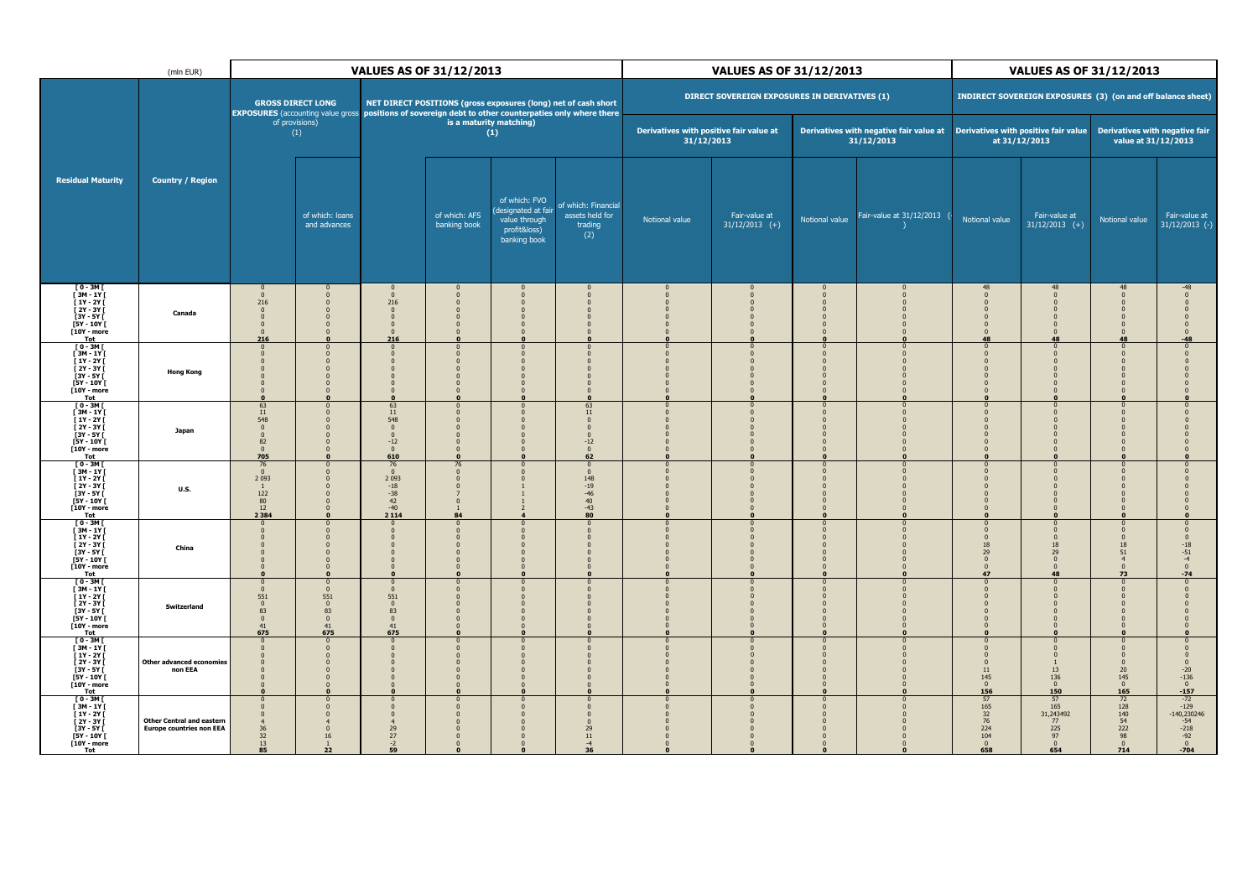|                                                                                                                                       | (mln EUR)                                                           | <b>VALUES AS OF 31/12/2013</b>                                                   |                                                                                                           |                                                                                                                              |                                       |                                                                                       |                                                                                                                                                                         | <b>VALUES AS OF 31/12/2013</b>                        |                                               |                                  | <b>VALUES AS OF 31/12/2013</b>                        |                                                            |                                                                  |                                                                                                         |                                                                                      |
|---------------------------------------------------------------------------------------------------------------------------------------|---------------------------------------------------------------------|----------------------------------------------------------------------------------|-----------------------------------------------------------------------------------------------------------|------------------------------------------------------------------------------------------------------------------------------|---------------------------------------|---------------------------------------------------------------------------------------|-------------------------------------------------------------------------------------------------------------------------------------------------------------------------|-------------------------------------------------------|-----------------------------------------------|----------------------------------|-------------------------------------------------------|------------------------------------------------------------|------------------------------------------------------------------|---------------------------------------------------------------------------------------------------------|--------------------------------------------------------------------------------------|
|                                                                                                                                       |                                                                     |                                                                                  | <b>GROSS DIRECT LONG</b>                                                                                  |                                                                                                                              |                                       |                                                                                       | NET DIRECT POSITIONS (gross exposures (long) net of cash short<br>EXPOSURES (accounting value gross positions of sovereign debt to other counterpaties only where there |                                                       | DIRECT SOVEREIGN EXPOSURES IN DERIVATIVES (1) |                                  |                                                       |                                                            | INDIRECT SOVEREIGN EXPOSURES (3) (on and off balance sheet)      |                                                                                                         |                                                                                      |
|                                                                                                                                       |                                                                     |                                                                                  | of provisions)<br>(1)                                                                                     |                                                                                                                              |                                       | is a maturity matching)<br>(1)                                                        |                                                                                                                                                                         | Derivatives with positive fair value at<br>31/12/2013 |                                               |                                  | Derivatives with negative fair value at<br>31/12/2013 |                                                            | Derivatives with positive fair value<br>at 31/12/2013            | Derivatives with negative fair<br>value at 31/12/2013                                                   |                                                                                      |
| <b>Residual Maturity</b>                                                                                                              | <b>Country / Region</b>                                             |                                                                                  | of which: loans<br>and advances                                                                           |                                                                                                                              | of which: AFS<br>banking book         | of which: FVO<br>(designated at fair<br>value through<br>profit&loss)<br>banking book | of which: Financia<br>assets held for<br>trading<br>(2)                                                                                                                 | Notional value                                        | Fair-value at<br>$31/12/2013$ (+)             | Notional value                   | Fair-value at 31/12/2013                              | Notional value                                             | Fair-value at<br>$31/12/2013$ (+)                                | Notional value                                                                                          | Fair-value at<br>$31/12/2013$ (-)                                                    |
| [ 0 - 3M [<br>[ 3M - 1Y [<br>[ 1Y - 2Y [<br>[ 2Y - 3Y [<br>[3Y - 5Y [<br>[5Y - 10Y [<br>$[10Y - more]$<br>Tot                         | Canada                                                              | $\Omega$<br>216<br>$\Omega$<br>$\Omega$<br>216                                   |                                                                                                           | $\Omega$<br>216<br>$\Omega$<br>$\mathbf{0}$<br>$\mathbf{0}$<br>216                                                           | $\Omega$<br>$\Omega$                  |                                                                                       |                                                                                                                                                                         |                                                       |                                               |                                  |                                                       | 48<br>48                                                   | 48                                                               | 48                                                                                                      |                                                                                      |
| $\begin{bmatrix} 0 & -3M \\ 3M & -1Y \end{bmatrix}$<br>$[1Y - 2Y]$<br>[ 2Y - 3Y [<br>[3Y - 5Y [<br>$[5Y - 10Y]$<br>[10Y - more<br>Tot | <b>Hong Kong</b>                                                    | $\mathbf{0}$<br>$\Omega$                                                         | $\Omega$<br>$\Omega$                                                                                      | $\mathbf{0}$<br>$\sqrt{2}$<br>$\Omega$                                                                                       | $\Omega$                              | $\Omega$                                                                              |                                                                                                                                                                         | $\Omega$                                              |                                               | $\Omega$<br>$\Omega$             |                                                       | 0                                                          |                                                                  | $\Omega$                                                                                                |                                                                                      |
| $[0 - 3M]$<br>$[3M - 1Y]$<br>$[1Y - 2Y]$<br>$\overline{[}2Y-3Y\overline{[}$<br>$[3Y - 5Y]$<br>$[5Y - 10Y]$<br>[10Y - more<br>Tot      | Japan                                                               | 63<br>$11\,$<br>548<br>82<br>$\Omega$<br>705                                     |                                                                                                           | 63<br>$11\,$<br>548<br>$\mathbf{0}$<br>$\mathbf{0}$<br>$-12$<br>$\sqrt{2}$<br>610                                            |                                       |                                                                                       | 63<br>$11\,$<br>- 0<br>$-12$<br>$\Omega$<br>62                                                                                                                          |                                                       |                                               | $\Omega$                         |                                                       |                                                            |                                                                  |                                                                                                         |                                                                                      |
| [0-3M]<br>$[3M - 1Y]$<br>$[1Y - 2Y]$<br>$[2Y - 3Y]$<br>$[3Y - 5Y]$<br>$[5Y - 10Y]$<br>[10Y - more<br>Tot                              | <b>U.S.</b>                                                         | 76<br>2 0 9 3<br>122<br>80<br>12<br>2 3 8 4                                      | $\Omega$<br>n                                                                                             | $76\,$<br>$\mathbf{0}$<br>2 0 9 3<br>$-18$<br>$-38$<br>$42$<br>$\begin{array}{r} -40 \\ \textbf{2} \textbf{114} \end{array}$ | 76<br>n<br>$\Omega$<br>84             |                                                                                       | $\mathbf{0}$<br>148<br>$-19$<br>$-46$<br>40<br>$-43$<br>80                                                                                                              |                                                       |                                               | n                                |                                                       |                                                            |                                                                  |                                                                                                         |                                                                                      |
| $[0-3M]$<br>$[3M - 1Y]$<br>$[1Y - 2Y]$<br>i 2Y - 3Y i<br>[3Y - 5Y [<br>[5Y - 10Y [<br>$[10Y - more]$<br>Tot                           | China                                                               |                                                                                  | $\Omega$<br>$\Omega$                                                                                      | $\mathbf{0}$<br>$\Omega$<br>$\sqrt{2}$                                                                                       | $\Omega$<br>$\Omega$<br>$\Omega$      |                                                                                       |                                                                                                                                                                         |                                                       |                                               | $\Omega$<br>$\Omega$<br>$\Omega$ |                                                       | - 0<br>18<br>29<br>$\Omega$<br>$\Omega$<br>47              | $\mathbf{0}$<br>18<br>29<br>$\Omega$<br>$\Omega$<br>48           | $\Omega$<br>$\mathbf{0}$<br>18<br>51<br>$\overline{4}$<br>$\Omega$<br>73                                | $-18$<br>$-51$<br>$-4$<br>$\Omega$<br>$-70$                                          |
| $[0 - 3M]$<br>$[3M - 1Y]$<br>$\left[1Y - 2Y\right]$<br>[ 2Y - 3Y [<br>[3Y - 5Y [<br>[5Y - 10Y [<br>[10Y - more<br>Tot                 | Switzerland                                                         | $\bf{0}$<br>$\Omega$<br>551<br>$\overline{0}$<br>83<br>$\mathbf{0}$<br>41<br>675 | $\mathbf{0}$<br>$\Omega$<br>551<br>$\begin{smallmatrix}0\0\83\end{smallmatrix}$<br>$\pmb{0}$<br>41<br>675 | $\mathbf{u}$<br>$\sqrt{2}$<br>551<br>$\begin{smallmatrix} 0\\83 \end{smallmatrix}$<br>$\overline{0}$<br>41<br>675            | n<br>$\Omega$<br>$\Omega$<br>$\Omega$ |                                                                                       |                                                                                                                                                                         |                                                       |                                               | $\Omega$                         |                                                       |                                                            |                                                                  | $\Omega$<br>$\Omega$                                                                                    |                                                                                      |
| [ 0 - 3M [<br>[ 3M - 1Y [<br>$[1Y - 2Y]$<br>[ 2Y - 3Y [<br>[3Y - 5Y [<br>$[5Y - 10Y]$<br>[10Y - more<br>Tot                           | Other advanced econ<br>mie<br>non EEA                               |                                                                                  | $\Omega$<br>$\Omega$<br>$\bf{0}$                                                                          | $\Omega$<br>$\mathbf{0}$                                                                                                     | $\Omega$                              |                                                                                       |                                                                                                                                                                         |                                                       |                                               |                                  |                                                       | $11\,$<br>145<br>$\Omega$<br>156                           | 13<br>136<br>$\Omega$<br>150                                     | $\Omega$<br>$\Omega$<br>$\mathbf{0}$<br>$\begin{array}{c} 20 \\ 145 \end{array}$<br>$\mathbf{0}$<br>165 | $\mathbf{0}$<br>$-20$<br>-136<br>$\mathbf{0}$                                        |
| $[0-3M]$<br>[3M - 1Y [<br>$[1Y - 2Y]$<br>[ 2Y - 3Y [<br>$[3Y - 5Y]$<br>$[5Y - 10Y]$<br>$[10Y - more]$<br>Tot                          | <b>Other Central and eastern</b><br><b>Europe countries non EEA</b> | $\Omega$<br>36<br>32<br>13<br>85                                                 | $\Omega$<br>$\mathbf{0}$<br>16<br>$\mathbf{1}$<br>22                                                      | $\Omega$<br>29<br>27<br>$-2$<br>59                                                                                           | $\Omega$                              |                                                                                       | 29<br>$11\,$<br>$-4$                                                                                                                                                    |                                                       |                                               | $\Omega$                         |                                                       | 57<br>165<br>32<br>76<br>224<br>104<br>$\mathbf{0}$<br>658 | 57<br>165<br>31,243492<br>77<br>225<br>97<br>$\mathbf{0}$<br>654 | 72<br>$128$<br>$140$<br>$54$<br>$222$<br>$^{\rm 98}_{\rm 0}$<br>714                                     | $-157$<br>-72<br>-129<br>-140,230246<br>$-54$<br>$-218$<br>$\frac{-92}{0}$<br>$-704$ |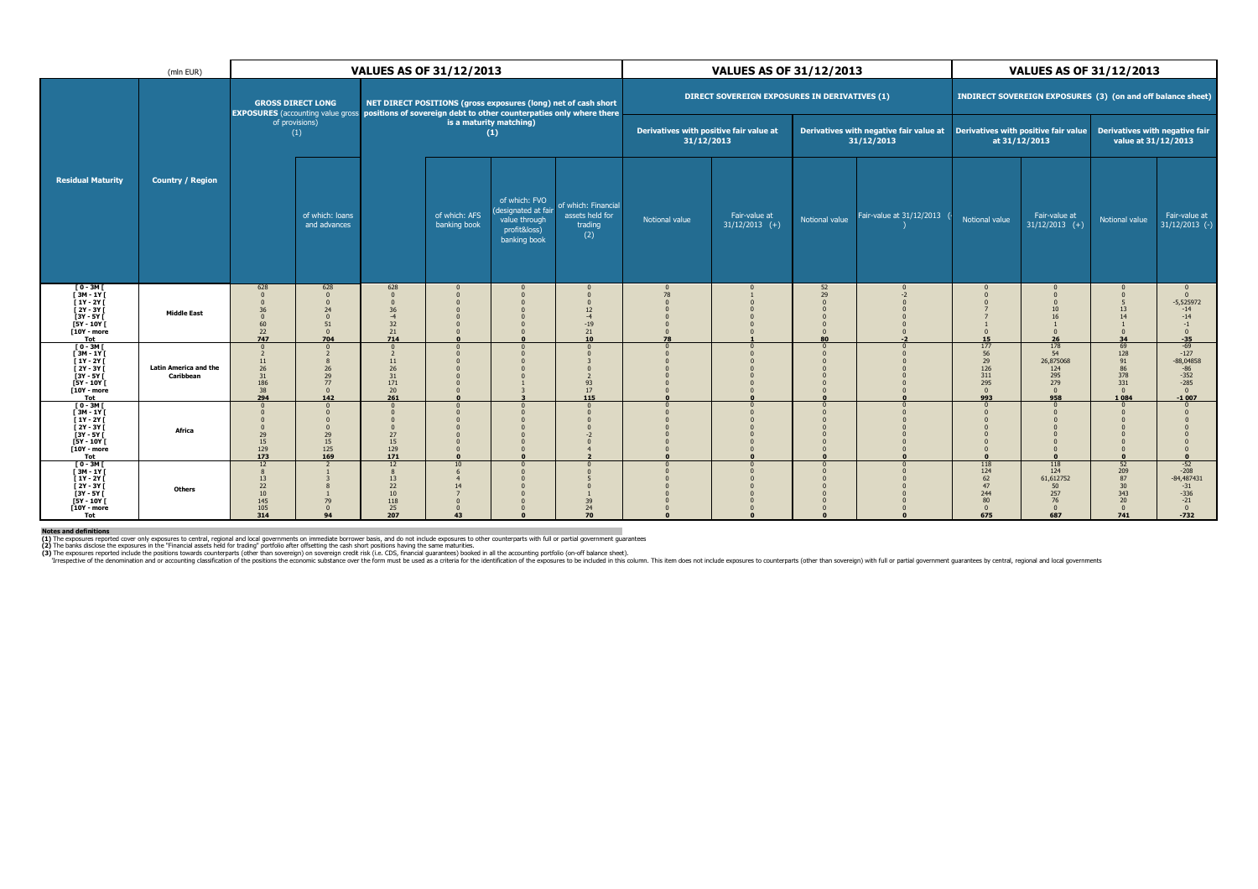| (mln EUR)                                                                                                                       |                                           |                                                                             |                                                                                |                                                                                 | <b>VALUES AS OF 31/12/2013</b>                                                                                                        |                                                                                       |                                                          |                                                       | <b>VALUES AS OF 31/12/2013</b>                |                                                    |                                                                                                                             | <b>VALUES AS OF 31/12/2013</b>                              |                                                                |                                                                                        |                                                                                            |
|---------------------------------------------------------------------------------------------------------------------------------|-------------------------------------------|-----------------------------------------------------------------------------|--------------------------------------------------------------------------------|---------------------------------------------------------------------------------|---------------------------------------------------------------------------------------------------------------------------------------|---------------------------------------------------------------------------------------|----------------------------------------------------------|-------------------------------------------------------|-----------------------------------------------|----------------------------------------------------|-----------------------------------------------------------------------------------------------------------------------------|-------------------------------------------------------------|----------------------------------------------------------------|----------------------------------------------------------------------------------------|--------------------------------------------------------------------------------------------|
|                                                                                                                                 |                                           |                                                                             | <b>GROSS DIRECT LONG</b><br><b>EXPOSURES</b> (accounting value gross)          |                                                                                 | NET DIRECT POSITIONS (gross exposures (long) net of cash short<br>positions of sovereign debt to other counterpaties only where there |                                                                                       |                                                          |                                                       | DIRECT SOVEREIGN EXPOSURES IN DERIVATIVES (1) |                                                    |                                                                                                                             |                                                             | INDIRECT SOVEREIGN EXPOSURES (3) (on and off balance sheet)    |                                                                                        |                                                                                            |
|                                                                                                                                 |                                           |                                                                             | of provisions)<br>(1)                                                          |                                                                                 | is a maturity matching)                                                                                                               | (1)                                                                                   |                                                          | Derivatives with positive fair value at<br>31/12/2013 |                                               |                                                    | Derivatives with negative fair value at  Derivatives with positive fair value  Derivatives with negative fair<br>31/12/2013 |                                                             | at 31/12/2013                                                  | value at 31/12/2013                                                                    |                                                                                            |
| <b>Residual Maturity</b>                                                                                                        | <b>Country / Region</b>                   |                                                                             | of which: loans<br>and advances                                                |                                                                                 | of which: AFS<br>banking book                                                                                                         | of which: FVO<br>(designated at fair<br>value through<br>profit&loss)<br>banking book | of which: Financial<br>assets held for<br>trading<br>(2) | Notional value                                        | Fair-value at<br>$31/12/2013$ (+)             | Notional value                                     | Fair-value at 31/12/2013                                                                                                    | Notional value                                              | Fair-value at<br>$31/12/2013$ (+)                              | Notional value                                                                         | Fair-value at<br>$31/12/2013$ (-)                                                          |
| [ 0 - 3M [<br>[ 3M - 1Y [<br>[ 1Y - 2Y [<br>$\overline{[}2Y-3Y\overline{[}$<br>$[3Y - 5Y]$<br>$[5Y - 10Y]$<br>$[10Y - moreTot]$ | <b>Middle East</b>                        | 628<br>$\Omega$<br>$\Omega$<br>36<br>$\Omega$<br>60<br>22<br>747            | 628<br>$\mathbf{0}$<br>$\Omega$<br>24<br>$\Omega$<br>51<br>$\mathbf{0}$<br>704 | 628<br>$\Omega$<br>$\Omega$<br>$36$<br>$-4$<br>32<br>$\frac{21}{714}$           |                                                                                                                                       |                                                                                       | $\Omega$<br>12<br>$-4$<br>$-19$<br>$\mathbf{^{21}_{10}}$ | $\mathsf{C}$<br>78<br>$\Omega$<br>78                  |                                               | 52<br>29<br>$\Omega$<br>$\Omega$<br>$\Omega$<br>80 | $-2$                                                                                                                        | $\Omega$<br>$\Omega$<br>15                                  | 10<br>16<br>$\Omega$<br>26                                     | -5<br>13<br>14<br>$\Omega$<br>34                                                       | $\mathbf{0}$<br>$\mathbf{0}$<br>$-5,525972$<br>$-14$<br>$-14$<br>$-1$<br>$\Omega$<br>$-35$ |
| $[0-3M]$<br>$[3M-1Y]$<br>[ 1Y - 2Y [<br>$\overline{[}2Y-3Y\overline{[}$<br>$[3Y - 5Y]$<br>$[5Y - 10Y]$<br>$[10Y - moreTot$      | <b>Latin America and the</b><br>Caribbean | $\Omega$<br>$\overline{2}$<br>$11\,$<br>26<br>31<br>186<br>$\frac{38}{294}$ | $\Omega$<br>$\overline{2}$<br>8<br>26<br>29<br>77<br>$\mathbf{0}$<br>142       | $\Omega$<br>$\overline{2}$<br>$11\,$<br>$26\,$<br>31<br>171<br>$\frac{20}{261}$ | $\mathbf{r}$                                                                                                                          |                                                                                       | $\Omega$<br>93<br>$17\,$<br>115                          |                                                       |                                               | $\Omega$<br>$\Omega$<br>$\Omega$                   |                                                                                                                             | 177<br>56<br>29<br>126<br>311<br>295<br>$\mathbf{0}$<br>993 | 178<br>54<br>26,875068<br>124<br>295<br>279<br>$\Omega$<br>958 | 69<br>128<br>$\begin{array}{c} 91 \\ 86 \end{array}$<br>378<br>331<br>$\Omega$<br>1084 | $-69$<br>$-127$<br>$-88,04858$<br>$-86$<br>$-352$<br>$-285$<br>$\mathbf{0}$<br>$-1007$     |
| $[0-3M]$<br>[3M - 1Y]<br>[1Y - 2Y]<br>$\overline{[}2Y-3Y\overline{[}$<br>$[3Y - 5Y]$<br>$[5Y - 10Y]$<br>$[10Y - moreTot$        | Africa                                    | $\Omega$<br>$\Omega$<br>29<br>15<br>129<br>173                              | $\Omega$<br>29<br>15<br>125<br>169                                             | $\Omega$<br>$\Omega$<br>$27\,$<br>15<br>$\frac{129}{171}$                       | $\Omega$                                                                                                                              |                                                                                       | $\Omega$                                                 |                                                       |                                               | $\Omega$                                           |                                                                                                                             | $\Omega$                                                    |                                                                |                                                                                        |                                                                                            |
| $[0-3M]$<br>$[3M-1Y]$<br>[ 1Y - 2Y [<br>[ 2Y - 3Y [<br>$3Y - 5Y$<br>[5Y - 10Y [<br>[10Y - more<br>Tot                           | Others                                    | 12<br>8<br>13<br>22<br>10<br>145<br>105<br>314                              | $\overline{\phantom{a}}$<br>79<br>$\mathbf{0}$<br>94                           | 12<br>8<br>13<br>22<br>$10\,$<br>118<br>$\frac{25}{207}$                        | 10<br>14<br>$\Omega$<br>43                                                                                                            |                                                                                       | 39<br>$\frac{24}{70}$                                    |                                                       |                                               | $\Omega$<br>$\Omega$                               |                                                                                                                             | 118<br>124<br>62<br>47<br>244<br>80<br>$\Omega$<br>675      | 118<br>124<br>61,612752<br>50<br>257<br>76<br>$\Omega$<br>687  | 52<br>$\frac{209}{87}$<br>30<br>343<br>20<br>$\Omega$<br>741                           | $-52$<br>$-208$<br>$-84,487431$<br>$-31$<br>$-336$<br>$-21$<br>$\mathbf{0}$<br>$-732$      |

Notes and definitions<br>(1) The exposures reported cover only exposures to central, regional and local governments on immediate borrower basis, and do not include exposures to other counterparts with full or partial governme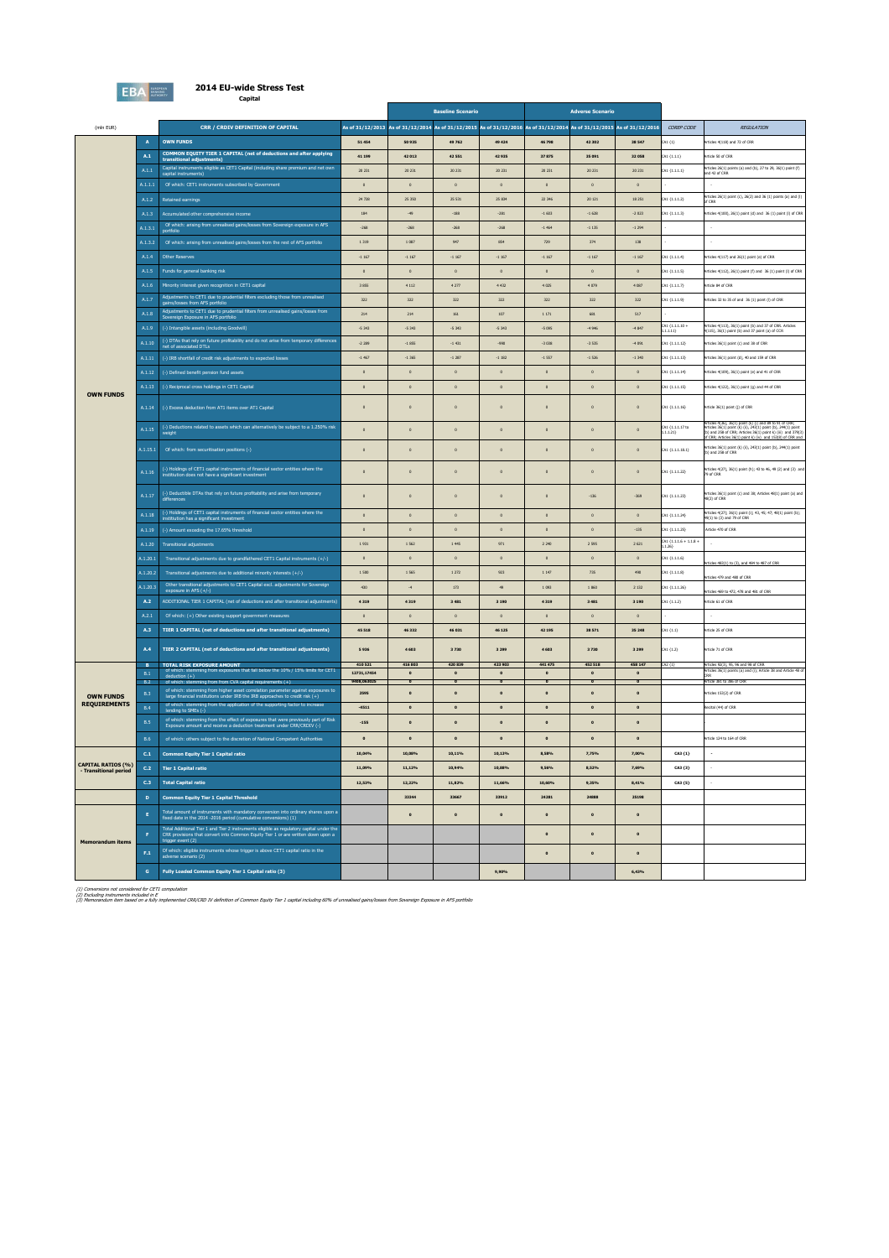

### **2014 EU-wide Stress Test Capital**

|                                         |                         |                                                                                                                                                                                                                                                        | <b>Baseline Scenario</b>                                                                                               |                    | <b>Adverse Scenario</b>    |                    |                   |                        |                   |                                   |                                                                                                                                                                                                                                         |
|-----------------------------------------|-------------------------|--------------------------------------------------------------------------------------------------------------------------------------------------------------------------------------------------------------------------------------------------------|------------------------------------------------------------------------------------------------------------------------|--------------------|----------------------------|--------------------|-------------------|------------------------|-------------------|-----------------------------------|-----------------------------------------------------------------------------------------------------------------------------------------------------------------------------------------------------------------------------------------|
| (mln EUR)                               |                         | CRR / CRDIV DEFINITION OF CAPITAL                                                                                                                                                                                                                      | As of 31/12/2013 As of 31/12/2014 As of 31/12/2015 As of 31/12/2016 As of 31/12/2014 As of 31/12/2015 As of 31/12/2016 |                    |                            |                    |                   |                        |                   | COREP CODE                        | <b>REGULATION</b>                                                                                                                                                                                                                       |
|                                         | $\mathbf{A}$            | <b>OWN FUNDS</b>                                                                                                                                                                                                                                       | 51454                                                                                                                  | 50 935             | 49 762                     | 49424              | 46 798            | 42 30 2                | 38 547            | A1 $(1)$                          | ticles 4(118) and 72 of CRR                                                                                                                                                                                                             |
|                                         | A.1                     | COMMON EQUITY TIER 1 CAPITAL (net of deductions and after applying<br>transitional adjustments)                                                                                                                                                        | 41 199                                                                                                                 | 42 013             | 42 551                     | 42935              | 37875             | 35 0 91                | 32058             | A1 (1.1.1)                        | <b>Inticle 50 of CRR</b>                                                                                                                                                                                                                |
|                                         | $\text{A.1.1}$          | Capital instruments eligible as CET1 Capital (including share premium and net own                                                                                                                                                                      | 20 23 1                                                                                                                | 20 231             | 20 23 1                    | 20 231             | 20 231            | 20 231                 | 20 231            | 541 (1.1.1.1)                     | Articles 26(1) points (a) and (b), 27 to 29, 36(1) point (f)<br>and 42 of CRR                                                                                                                                                           |
|                                         | A.1.1.1                 | Of which: CET1 instruments subscribed by Government                                                                                                                                                                                                    | $\circ$                                                                                                                | $\overline{a}$     | $\circ$                    | $\circ$            | $\circ$           | $\circ$                | $\overline{a}$    |                                   |                                                                                                                                                                                                                                         |
|                                         | A.1.2                   | Retained earnings                                                                                                                                                                                                                                      | 24 728                                                                                                                 | 25 350             | 25 5 31                    | 25 8 34            | 22 346            | 20 121                 | 18 25 1           | A1 (1.1.1.2)                      | Articles 26(1) point (c), 26(2) and 36 (1) points (a) and (f)<br>of CRR                                                                                                                                                                 |
|                                         | A.1.3                   | Accumulated other comprehensive income                                                                                                                                                                                                                 | 184                                                                                                                    | $\cdot$ 49         | $-188$                     | $-281$             | $-1603$           | $-1628$                | $-2023$           | A1 (1.1.1.3)                      | kiticles 4(100), 26(1) point (d) and 36 (1) point (l) of CRR                                                                                                                                                                            |
|                                         | A.1.3.1                 | Of which: arising from unrealised gains/losses from Sovereign exposure in AFS                                                                                                                                                                          | $-268$                                                                                                                 | $-268$             | $-268$                     | $-268$             | $-1464$           | $-1135$                | $-1294$           |                                   |                                                                                                                                                                                                                                         |
|                                         | A.1.3.2                 | Of which: arising from unrealised gains/losses from the rest of AFS portfolio                                                                                                                                                                          | 1 3 1 9                                                                                                                | 1 087              | 947                        | 854                | 729               | 374                    | 138               |                                   |                                                                                                                                                                                                                                         |
|                                         | A.1.4                   | <b>Other Reserves</b>                                                                                                                                                                                                                                  | $-1167$                                                                                                                | $-1167$            | $-1167$                    | $-1167$            | $-1167$           | $-1167$                | $-1167$           | (A1 (1.1.1.4)                     | rticles 4(117) and 26(1) point (e) of CRR                                                                                                                                                                                               |
|                                         | A.1.5                   | Funds for general banking risk                                                                                                                                                                                                                         | $\circ$                                                                                                                | $\circ$            | $\circ$                    | $\circ$            | $\circ$           | $\,$ 0 $\,$            | $\circ$           | A1 (1.1.1.5)                      | rticles 4(112), 26(1) point (f) and 36 (1) point (l) of CRR                                                                                                                                                                             |
|                                         | A.1.6                   | Minority interest given recognition in CET1 capital                                                                                                                                                                                                    | 3 8 5 5                                                                                                                | 4112               | 4277                       | 4 432              | 4 0 2 5           | 4 0 7 9                | 4 087             | A1 (1.1.1.7)                      | Inticle 84 of CRR                                                                                                                                                                                                                       |
|                                         | A.1.7                   | Adjustments to CET1 due to prudential filters excluding those from unrealised                                                                                                                                                                          | 322                                                                                                                    | 322                | 322                        | 322                | 322               | 322                    | 322               | A1 (1.1.1.9)                      | icles 32 to 35 of and 36 (1) point (1) of CRR                                                                                                                                                                                           |
|                                         | A.1.8                   | Adjustments to CET1 due to prudential filters from unrealised gains/losses from<br>Sovereign Exposure in AFS portfolio                                                                                                                                 | 214                                                                                                                    | 214                | 161                        | 107                | 1 1 7 1           | 681                    | 517               |                                   |                                                                                                                                                                                                                                         |
|                                         | A.1.9                   | (-) Intangible assets (including Goodwill)                                                                                                                                                                                                             | $-5343$                                                                                                                | $-5343$            | $-5343$                    | $-5343$            | $-5095$           | $-4946$                | $-4847$           | A1 (1.1.1.10 +<br>.1.1.11)        | Articles 4(113), 36(1) point (b) and 37 of CRR. Articles<br>4(115), 36(1) point (b) and 37 point (a) of CCR                                                                                                                             |
|                                         | A.1.10                  | (-) DTAs that rely on future profitability and do not arise from temporary differences<br>et of associated DTLs                                                                                                                                        | $-2,289$                                                                                                               | $-1855$            | $-1431$                    | $-990$             | $-3038$           | $-3,535$               | $-4091$           | A1 (1.1.1.12)                     | Inticles 36(1) point (c) and 38 of CRR                                                                                                                                                                                                  |
|                                         | A.1.11                  | (-) IRB shortfall of credit risk adjustments to expected losses                                                                                                                                                                                        | $-1.467$                                                                                                               | $-1365$            | $-1,287$                   | $-1182$            | $-1557$           | $-1526$                | $-1340$           | A1 (1.1.1.13)                     | rticles 36(1) point (d), 40 and 159 of CRR                                                                                                                                                                                              |
|                                         | A.1.12                  | (-) Defined benefit pension fund assets                                                                                                                                                                                                                | $\circ$                                                                                                                | $\circ$            | $\circ$                    | $\circ$            | $\circ$           | $\circ$                | $\circ$           | A1 (1.1.1.14)                     | icles 4(109), 36(1) point (e) and 41 of CRR                                                                                                                                                                                             |
| <b>OWN FUNDS</b>                        | A.1.13                  | (-) Reciprocal cross holdings in CET1 Capital                                                                                                                                                                                                          | $\circ$                                                                                                                | $\mathfrak o$      | $\circ$                    | $\circ$            | $\circ$           | $\,$ 0 $\,$            | $\circ$           | A1 (1.1.1.15)                     | rticles 4(122), 36(1) point (g) and 44 of CRR                                                                                                                                                                                           |
|                                         | A.1.14                  | (-) Excess deduction from AT1 items over AT1 Capital                                                                                                                                                                                                   | $\circ$                                                                                                                | $\circ$            | $\circ$                    |                    | $\circ$           | $\mathsf{o}$           |                   | CA1 (1.1.1.16)                    | rticle 36(1) point (j) of CRR                                                                                                                                                                                                           |
|                                         | A.1.15                  | (-) Deductions related to assets which can alternatively be subject to a 1.250% risk                                                                                                                                                                   | $\circ$                                                                                                                | $\circ$            | $\circ$                    | $\circ$            | $\circ$           | $\,$ 0 $\,$            | $\circ$           | A1 (1.1.1.17 to<br>.1.1.21)       | Articles 4(36), 36(1) point (k) (f) and 89 to 91 of CRR;<br>Articles 36(1) point (k) (ii), 243(1) point (b), 244(1) point<br>(b) and 258 of CRR; Articles 36(1) point k) (iii) and 379(3<br>of CRR: Articles 36(1) point k) (iv), and 1 |
|                                         | A.1.15.1                | Of which: from securitisation positions (-)                                                                                                                                                                                                            | $\circ$                                                                                                                | $\circ$            | $\circ$                    | $\circ$            | $\circ$           | $\mathbf 0$            | $\circ$           | [A1 (1.1.1.18.1)                  | Articles 36(1) point (k) (ii), 243(1) point (b), 244(1) point (b) and 258 of CRR                                                                                                                                                        |
|                                         | A.1.16                  | (-) Holdings of CET1 capital instruments of financial sector entities where the institution does not have a significant investment                                                                                                                     | $\circ$                                                                                                                | $\mathbf 0$        | $\mathsf{o}$               | $\circ$            | $\circ$           | $\mathbf 0$            | $\circ$           | A1 (1.1.1.22)                     | s 4(27), 36(1) point (h); 43 to 46, 49 (2) and (3) and                                                                                                                                                                                  |
|                                         | A.1.17                  | (-) Deductible DTAs that rely on future profitability and arise from temporary<br>differences                                                                                                                                                          | $\circ$                                                                                                                | $\circ$            | $\circ$                    | $\circ$            | $\circ$           | $-136$                 | $-369$            | A1 (1.1.1.23)                     | rticles 36(1) point (c) and 38; Articles 48(1) point (a) and<br>48(2) of CRR                                                                                                                                                            |
|                                         | A.1.18                  | (-) Holdings of CET1 capital instruments of financial sector entities where the institution has a significant investment                                                                                                                               | $\circ$                                                                                                                | $\,$ 0 $\,$        | $\circ$                    | $\circ$            | $\circ$           | $\,$ 0 $\,$            | $\circ$           | A1 (1.1.1.24)                     | Articles 4(27); 36(1) point (i); 43, 45; 47; 48(1) point (b);<br>49(1) to (3) and 79 of CRR                                                                                                                                             |
|                                         | A.1.19                  | (-) Amount exceding the 17.65% threshold                                                                                                                                                                                                               | $\circ$                                                                                                                | $\,$ 0 $\,$        | $\circ$                    | $\circ$            | $\circ$           | $\,$ 0 $\,$            | $-135$            | A1 (1.1.1.25)                     | Artide 470 of CRR                                                                                                                                                                                                                       |
|                                         | A.1.20                  | <b>Transitional adjustments</b>                                                                                                                                                                                                                        | 1931                                                                                                                   | 1 5 6 2            | 1 445                      | 971                | 2 2 4 0           | 2 5 9 5                | 2 6 21            | :A1 (1.1.1.6 + 1.1.8 +<br>i.1.26) |                                                                                                                                                                                                                                         |
|                                         | A.1.20.1                | Transitional adjustments due to grandfathered CET1 Capital instruments (+/-)                                                                                                                                                                           | $\circ$                                                                                                                | $\,$ 0 $\,$        | $\circ$                    | $\circ$            | $\circ$           | $\,$ 0 $\,$            | $\circ$           | A1 (1.1.1.6)                      | rticles 483(1) to (3), and 484 to 487 of CRR                                                                                                                                                                                            |
|                                         | A.1.20.2                | Transitional adjustments due to additional minority interests (+/-)                                                                                                                                                                                    | $1\,500$                                                                                                               | 1 565              | $1\,272$                   | 923                | $1\,147$          | $735\,$                | 490               | A1 (1.1.1.8)                      | des 479 and 480 of CRR                                                                                                                                                                                                                  |
|                                         | 0.1.20.3                | Other transitional adjustments to CET1 Capital excl. adjustments for Sovereign exposure in AFS (+/-)                                                                                                                                                   | 430                                                                                                                    | $\mathcal{A}$      | 173                        | $\boldsymbol{q_2}$ | 1093              | 1860                   | 2 1 3 2           | A1 (1.1.1.26)                     | ticles 469 to 472, 478 and 481 of CRR                                                                                                                                                                                                   |
|                                         | A.2                     | ADDITIONAL TIER 1 CAPITAL (net of deductions and after transitional adjustments)                                                                                                                                                                       | 4319                                                                                                                   | 4319               | 3 4 8 1                    | 3 1 9 0            | 4 3 1 9           | 3 4 8 1                | 3 1 9 0           | A1 (1.1.2)                        | rticle 61 of CRR                                                                                                                                                                                                                        |
|                                         | A.2.1                   | Of which: (+) Other existing support government measures                                                                                                                                                                                               | $\circ$                                                                                                                | $\,$ 0 $\,$        | $\circ$                    | $\circ$            | $\circ$           | $\circ$                | $\circ$           |                                   |                                                                                                                                                                                                                                         |
|                                         | A.3                     | TIER 1 CAPITAL (net of deductions and after transitional adjustments)                                                                                                                                                                                  | 45 518                                                                                                                 | 46 332             | 46 031                     | 46 1 25            | 42 195            | 38 571                 | 35 248            | A1 (1.1)                          | Article 25 of CRR                                                                                                                                                                                                                       |
|                                         | A.4<br>в.               | TIER 2 CAPITAL (net of deductions and after transitional adjustments)<br>TOTAL RISK EXPOSURE AMOUNT                                                                                                                                                    | 5936<br>410 521                                                                                                        | 4 6 0 3<br>416 803 | 3730<br>420 839            | 3 2 9 9<br>423 903 | 4 6 0 3<br>441475 | 3730<br>452 518        | 3 2 9 9<br>458 14 | A1(1.2)<br>42 (1)                 | Article 71 of CRR<br>Articles 92(3), 95, 96 and 98 of CRR                                                                                                                                                                               |
|                                         | B.1                     | of which: stemming from exposures that fall below the 10% / 15% limits for CET1<br>$deduction (+)$                                                                                                                                                     | 12731,17454                                                                                                            | $\bullet$          | $\circ$                    | $\bullet$          | $\bullet$         | $\circ$                | $\circ$           |                                   | Articles 36(1) points (a) and (i); Article 38 and Article 48 of                                                                                                                                                                         |
|                                         | B.2<br>B.3              | of which:<br>mming from from CVA capital requirements (+)<br>of which: stemming from higher asset correlation parameter against exposition and all institutions under IRB the IRB approaches to credit risk (+)<br>tion parameter against exposures to | 9408,063025<br>2595                                                                                                    | $\bullet$          | $\pmb{\circ}$<br>$\bullet$ | $\bullet$          | $\bullet$         | $\bullet$<br>$\bullet$ | $\bullet$         |                                   | Article 381 to 386 of CRF<br>ticles 153(2) of CRR                                                                                                                                                                                       |
| <b>OWN FUNDS</b><br><b>REQUIREMENTS</b> | <b>B.4</b>              | of which: stemming from the application of the supporting factor to increase                                                                                                                                                                           | $-4511$                                                                                                                | $\bullet$          | $\bullet$                  | $\bullet$          | $\bullet$         | $\bullet$              | $\bullet$         |                                   | cital (44) of CRR                                                                                                                                                                                                                       |
|                                         | B.5                     | of which: stemming from the effect of exposures that were previously part of Risk<br>Exposure amount and receive a deduction treatment under CRR/CRDIV (-)                                                                                             | $-155$                                                                                                                 | $\mathbf{o}$       | $\bullet$                  | $\mathbf{o}$       | $\bullet$         | $\mathbf{o}$           | $\mathbf{o}$      |                                   |                                                                                                                                                                                                                                         |
|                                         | <b>B.6</b>              | of which: others subject to the discretion of National Competent Authorities                                                                                                                                                                           | $\bullet$                                                                                                              | $\bullet$          | $\bullet$                  | $\bullet$          | $\bullet$         | $\bullet$              | $\bullet$         |                                   | Inticle 124 to 164 of CRR                                                                                                                                                                                                               |
|                                         | C.1                     |                                                                                                                                                                                                                                                        |                                                                                                                        |                    |                            |                    |                   |                        |                   |                                   | $\cdot$                                                                                                                                                                                                                                 |
| <b>CAPITAL RATIOS (%)</b>               | $\mathsf{c}.\mathsf{z}$ | <b>Common Equity Tier 1 Capital ratio</b><br><b>Tier 1 Capital ratio</b>                                                                                                                                                                               | 10,04%<br>11,09%                                                                                                       | 10,08%<br>11,12%   | 10,11%<br>10,94%           | 10,13%<br>10,88%   | 8,58%<br>9,56%    | 7,75%<br>8,52%         | 7,00%<br>7,69%    | CA3 (1)<br>CA3 (3)                |                                                                                                                                                                                                                                         |
| - Transitional period                   | C <sub>3</sub>          | <b>Total Capital ratio</b>                                                                                                                                                                                                                             | 12,53%                                                                                                                 | 12,22%             | 11,82%                     | 11,66%             | 10,60%            | 9,35%                  | 8,41%             | CA3 (5)                           |                                                                                                                                                                                                                                         |
|                                         | $\mathbf{D}$            | <b>Common Equity Tier 1 Capital Threshold</b>                                                                                                                                                                                                          |                                                                                                                        | 33344              | 33667                      | 33912              | 24281             | 24888                  | 25198             |                                   |                                                                                                                                                                                                                                         |
|                                         |                         |                                                                                                                                                                                                                                                        |                                                                                                                        |                    |                            |                    |                   |                        |                   |                                   |                                                                                                                                                                                                                                         |
|                                         | $\mathbf{E}$            | Total amount of instruments with mandatory conversion into ordinary shares upon a<br>fixed date in the 2014 -2016 period (cumulative conversions) (1)                                                                                                  |                                                                                                                        | $\circ$            | $\mathbf{o}$               | $\bullet$          | $\bullet$         | $\mathbf{o}$           | $\circ$           |                                   |                                                                                                                                                                                                                                         |
| <b>Memorandum items</b>                 | F                       | Total Additional Tier 1 and Tier 2 instruments eligible as regulatory capital under the<br>CRR provisions that convert into Common Equity Tier 1 or are written down upon a<br>trigger event (2)                                                       |                                                                                                                        |                    |                            |                    | $\bullet$         | $\bullet$              | $\bullet$         |                                   |                                                                                                                                                                                                                                         |
|                                         | F.1                     | Of which: eligible instruments whose trigger is above CET1 capital ratio in the<br>adverse scenario (2)                                                                                                                                                |                                                                                                                        |                    |                            |                    | $\bullet$         | $\bullet$              | $\bullet$         |                                   |                                                                                                                                                                                                                                         |
|                                         | $\mathbf{G}$            | Fully Loaded Common Equity Tier 1 Capital ratio (3)                                                                                                                                                                                                    |                                                                                                                        |                    |                            | 9.90%              |                   |                        | 6.43%             |                                   |                                                                                                                                                                                                                                         |

(1) Conversions not considered for CET1 computation<br>(2) Excluding instruments included in E<br>(3) Memorandum Item based on a fully implemented CRR/CRD IV definition of Common Equity Tier 1 capital including 60% of unrealised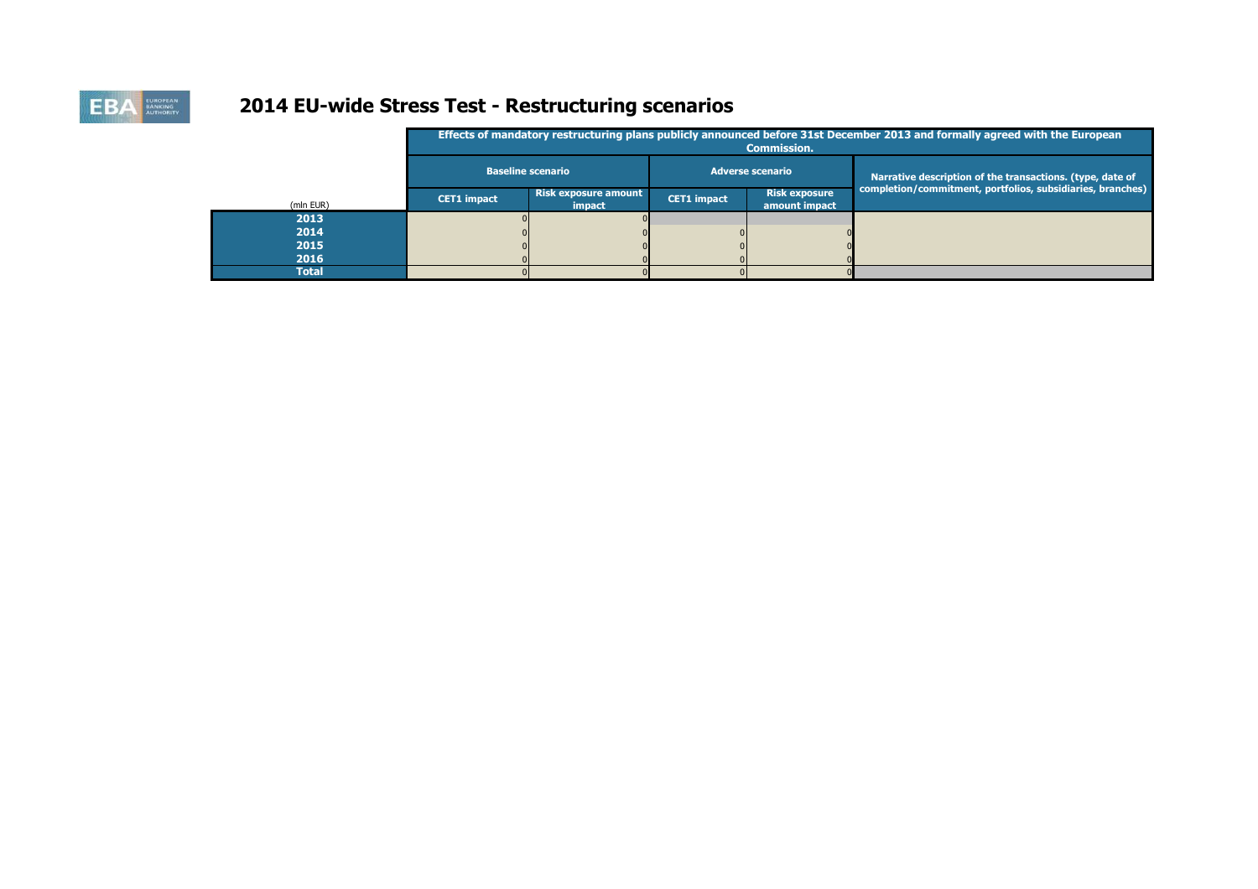

# **2014 EU-wide Stress Test - Restructuring scenarios**

|              |                          |                                       |             | <b>Commission.</b>                    | Effects of mandatory restructuring plans publicly announced before 31st December 2013 and formally agreed with the European |
|--------------|--------------------------|---------------------------------------|-------------|---------------------------------------|-----------------------------------------------------------------------------------------------------------------------------|
|              | <b>Baseline scenario</b> |                                       |             | <b>Adverse scenario</b>               | Narrative description of the transactions. (type, date of                                                                   |
| (mln EUR)    | <b>CET1 impact</b>       | <b>Risk exposure amount</b><br>impact | CET1 impact | <b>Risk exposure</b><br>amount impact | completion/commitment, portfolios, subsidiaries, branches)                                                                  |
| 2013         |                          |                                       |             |                                       |                                                                                                                             |
| 2014         |                          |                                       |             |                                       |                                                                                                                             |
| 2015         |                          |                                       |             |                                       |                                                                                                                             |
| 2016         |                          |                                       |             |                                       |                                                                                                                             |
| <b>Total</b> |                          |                                       |             |                                       |                                                                                                                             |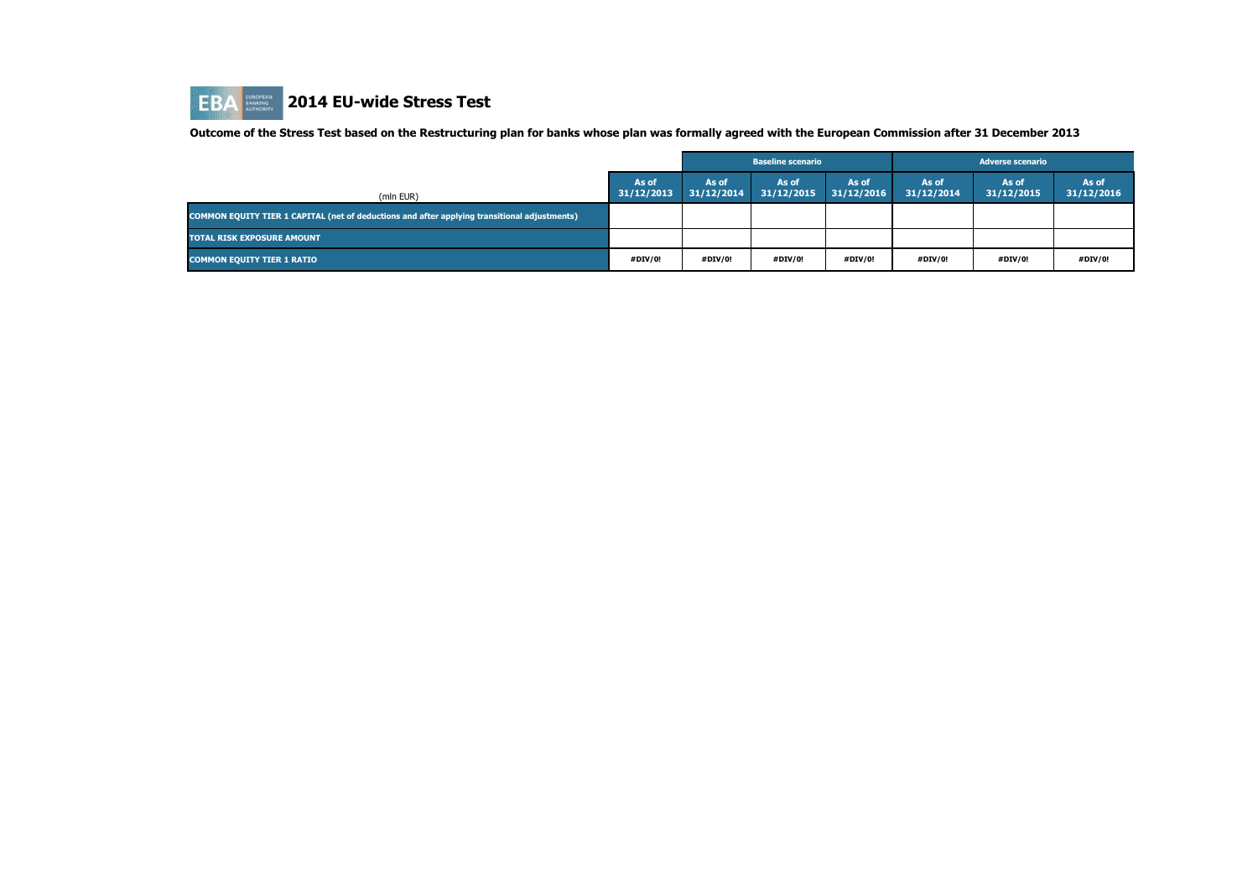

**Outcome of the Stress Test based on the Restructuring plan for banks whose plan was formally agreed with the European Commission after 31 December 2013**

|                                                                                              |                     |                     | <b>Baseline scenario</b> |                     |                     |                     |                     |
|----------------------------------------------------------------------------------------------|---------------------|---------------------|--------------------------|---------------------|---------------------|---------------------|---------------------|
| (mln EUR)                                                                                    | As of<br>31/12/2013 | As of<br>31/12/2014 | As of<br>31/12/2015      | As of<br>31/12/2016 | As of<br>31/12/2014 | As of<br>31/12/2015 | As of<br>31/12/2016 |
| COMMON EQUITY TIER 1 CAPITAL (net of deductions and after applying transitional adjustments) |                     |                     |                          |                     |                     |                     |                     |
| <b>TOTAL RISK EXPOSURE AMOUNT</b>                                                            |                     |                     |                          |                     |                     |                     |                     |
| <b>COMMON EQUITY TIER 1 RATIO</b>                                                            | #DIV/0!             | #DIV/0!             | #DIV/0!                  | #DIV/0!             | #DIV/0!             | #DIV/0!             | #DIV/0!             |